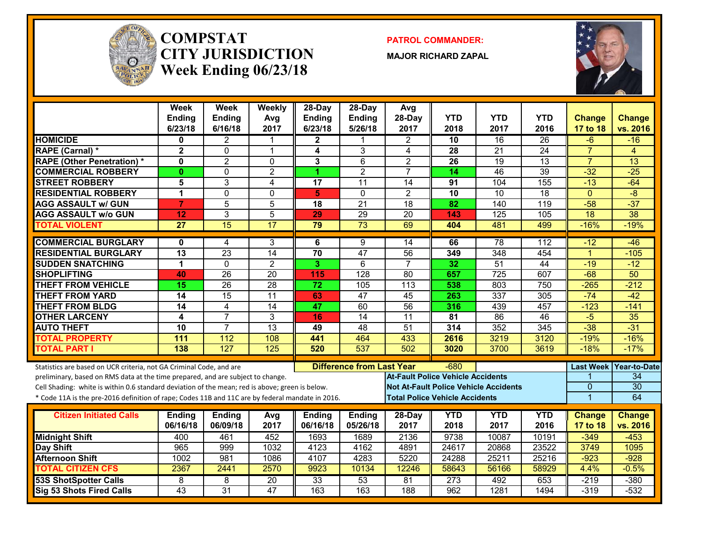

#### **COMPSTATCITY JURISDICTIONWeek Ending 06/23/18**

**PATROL COMMANDER:**

**MAJOR RICHARD ZAPAL**



|                                                                                                  | <b>Week</b><br><b>Ending</b><br>6/23/18 | Week<br><b>Ending</b><br>6/16/18 | Weekly<br>Avg<br>2017 | $28$ -Day<br><b>Ending</b><br>6/23/18 | $28-Dav$<br><b>Ending</b><br>5/26/18 | Avg<br>28-Day<br>2017                        | <b>YTD</b><br>2018 | <b>YTD</b><br>2017 | <b>YTD</b><br>2016 | <b>Change</b><br>17 to 18 | <b>Change</b><br>vs. 2016 |
|--------------------------------------------------------------------------------------------------|-----------------------------------------|----------------------------------|-----------------------|---------------------------------------|--------------------------------------|----------------------------------------------|--------------------|--------------------|--------------------|---------------------------|---------------------------|
| <b>HOMICIDE</b>                                                                                  | 0                                       | $\mathbf{2}$                     | 1                     | $\mathbf 2$                           |                                      | $\mathbf{2}$                                 | 10                 | 16                 | 26                 | $-6$                      | $-16$                     |
| RAPE (Carnal) *                                                                                  | $\mathbf{2}$                            | $\mathbf{0}$                     | $\overline{1}$        | 4                                     | 3                                    | 4                                            | 28                 | $\overline{21}$    | $\overline{24}$    | $\overline{7}$            | 4                         |
| <b>RAPE (Other Penetration)*</b>                                                                 | $\mathbf{0}$                            | $\overline{2}$                   | $\mathbf 0$           | 3                                     | $\overline{6}$                       | $\overline{2}$                               | 26                 | $\overline{19}$    | $\overline{13}$    | $\overline{7}$            | $\overline{13}$           |
| <b>COMMERCIAL ROBBERY</b>                                                                        | $\mathbf{0}$                            | $\mathbf 0$                      | $\overline{2}$        | 1.                                    | $\overline{2}$                       | $\overline{7}$                               | 14                 | 46                 | $\overline{39}$    | $-32$                     | $-25$                     |
| <b>STREET ROBBERY</b>                                                                            | 5                                       | 3                                | $\overline{4}$        | 17                                    | $\overline{11}$                      | $\overline{14}$                              | 91                 | 104                | 155                | $-13$                     | $-64$                     |
| <b>RESIDENTIAL ROBBERY</b>                                                                       | 1                                       | $\Omega$                         | $\mathbf 0$           | 5                                     | $\Omega$                             | $\overline{2}$                               | 10                 | $\overline{10}$    | $\overline{18}$    | $\Omega$                  | $-\frac{8}{3}$            |
| <b>AGG ASSAULT w/ GUN</b>                                                                        | $\overline{7}$                          | 5                                | 5                     | 18                                    | $\overline{21}$                      | 18                                           | 82                 | 140                | 119                | $-58$                     | $-37$                     |
| <b>AGG ASSAULT w/o GUN</b>                                                                       | 12                                      | 3                                | 5                     | 29                                    | 29                                   | 20                                           | 143                | 125                | 105                | 18                        | $\overline{38}$           |
| <b>TOTAL VIOLENT</b>                                                                             | 27                                      | $\overline{15}$                  | 17                    | 79                                    | $\overline{73}$                      | 69                                           | 404                | 481                | 499                | $-16%$                    | $-19%$                    |
| <b>COMMERCIAL BURGLARY</b>                                                                       | 0                                       | 4                                | 3                     | 6                                     | 9                                    | 14                                           | 66                 | $\overline{78}$    | 112                | $-12$                     | $-46$                     |
| <b>RESIDENTIAL BURGLARY</b>                                                                      | $\overline{13}$                         | $\overline{23}$                  | $\overline{14}$       | $\overline{70}$                       | $\overline{47}$                      | $\overline{56}$                              | 349                | 348                | 454                | $\mathbf{1}$              | $-105$                    |
| <b>SUDDEN SNATCHING</b>                                                                          | 1                                       | $\Omega$                         | $\overline{2}$        | 3.                                    | 6                                    | $\overline{7}$                               | 32                 | $\overline{51}$    | $\overline{44}$    | $-19$                     | $-12$                     |
| <b>SHOPLIFTING</b>                                                                               | 40                                      | 26                               | $\overline{20}$       | 115                                   | $\overline{128}$                     | $\overline{80}$                              | 657                | $\overline{725}$   | 607                | $-68$                     | $\overline{50}$           |
| <b>THEFT FROM VEHICLE</b>                                                                        | 15                                      | $\overline{26}$                  | 28                    | $\overline{72}$                       | 105                                  | $\overline{113}$                             | 538                | 803                | 750                | $-265$                    | $-212$                    |
| <b>THEFT FROM YARD</b>                                                                           | $\overline{14}$                         | 15                               | $\overline{11}$       | 63                                    | $\overline{47}$                      | 45                                           | 263                | 337                | 305                | $-74$                     | $-42$                     |
| <b>THEFT FROM BLDG</b>                                                                           | 14                                      | 4                                | 14                    | 47                                    | 60                                   | $\overline{56}$                              | 316                | 439                | 457                | $-123$                    | $-141$                    |
| <b>OTHER LARCENY</b>                                                                             | 4                                       | $\overline{7}$                   | 3                     | 16                                    | 14                                   | 11                                           | 81                 | 86                 | 46                 | $-5$                      | 35                        |
| <b>AUTO THEFT</b>                                                                                | 10                                      | $\overline{7}$                   | $\overline{13}$       | 49                                    | $\overline{48}$                      | 51                                           | 314                | 352                | 345                | $-38$                     | $-31$                     |
| <b>TOTAL PROPERTY</b>                                                                            | 111                                     | 112                              | 108                   | 441                                   | 464                                  | 433                                          | 2616               | 3219               | 3120               | $-19%$                    | $-16%$                    |
| <b>TOTAL PART I</b>                                                                              | 138                                     | 127                              | 125                   | 520                                   | 537                                  | 502                                          | 3020               | 3700               | 3619               | $-18%$                    | $-17%$                    |
| Statistics are based on UCR criteria, not GA Criminal Code, and are                              |                                         |                                  |                       |                                       | <b>Difference from Last Year</b>     |                                              | $-680$             |                    |                    |                           | Last Week   Year-to-Date  |
| preliminary, based on RMS data at the time prepared, and are subject to change.                  |                                         |                                  |                       |                                       |                                      | <b>At-Fault Police Vehicle Accidents</b>     |                    |                    |                    |                           | 34                        |
| Cell Shading: white is within 0.6 standard deviation of the mean; red is above; green is below.  |                                         |                                  |                       |                                       |                                      | <b>Not At-Fault Police Vehicle Accidents</b> |                    |                    |                    | $\overline{0}$            | $\overline{30}$           |
| * Code 11A is the pre-2016 definition of rape; Codes 11B and 11C are by federal mandate in 2016. |                                         |                                  |                       |                                       |                                      | <b>Total Police Vehicle Accidents</b>        |                    |                    |                    | $\overline{1}$            | 64                        |
| <b>Citizen Initiated Calls</b>                                                                   |                                         |                                  |                       |                                       |                                      |                                              | <b>YTD</b>         | <b>YTD</b>         | <b>YTD</b>         | <b>Change</b>             | <b>Change</b>             |
|                                                                                                  | <b>Ending</b><br>06/16/18               | <b>Ending</b><br>06/09/18        | Avg<br>2017           | <b>Ending</b><br>06/16/18             | <b>Ending</b><br>05/26/18            | 28-Day<br>2017                               | 2018               | 2017               | 2016               | 17 to 18                  | vs. 2016                  |
| <b>Midnight Shift</b>                                                                            | 400                                     | 461                              | 452                   | 1693                                  | 1689                                 | 2136                                         | 9738               | 10087              | 10191              | $-349$                    | $-453$                    |
| <b>Day Shift</b>                                                                                 | 965                                     | 999                              | 1032                  | 4123                                  | 4162                                 | 4891                                         | 24617              | 20868              | 23522              | 3749                      | 1095                      |
| <b>Afternoon Shift</b>                                                                           | 1002                                    | 981                              | 1086                  | 4107                                  | 4283                                 | 5220                                         | 24288              | 25211              | 25216              | $-923$                    | $-928$                    |
| <b>TOTAL CITIZEN CFS</b>                                                                         | 2367                                    | 2441                             | 2570                  | 9923                                  | 10134                                | 12246                                        | 58643              | 56166              | 58929              | 4.4%                      | $-0.5%$                   |
| <b>53S ShotSpotter Calls</b>                                                                     | 8                                       | 8                                | 20                    | 33                                    | 53                                   | 81                                           | 273                | 492                | 653                | $-219$                    | $-380$                    |
| <b>Sig 53 Shots Fired Calls</b>                                                                  | $\overline{43}$                         | $\overline{31}$                  | 47                    | 163                                   | 163                                  | 188                                          | $\overline{962}$   | 1281               | 1494               | $-319$                    | $-532$                    |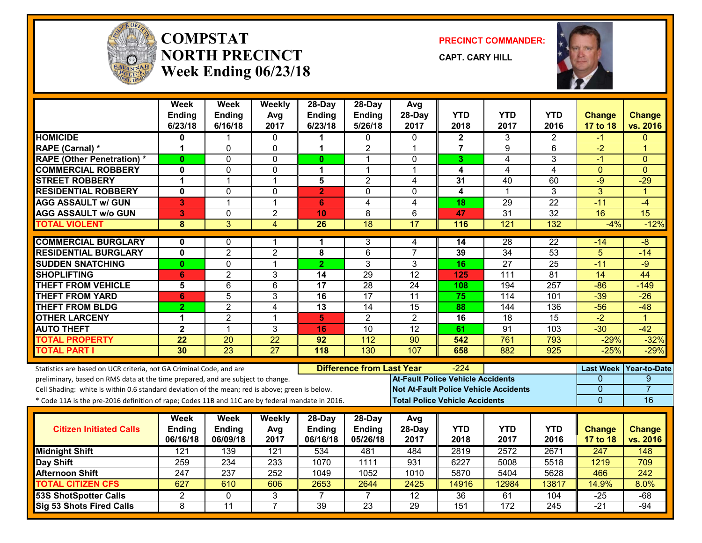

#### **COMPSTATNORTH PRECINCTWeek Ending 06/23/18**

**PRECINCT COMMANDER:**

**CAPT. CARY HILL**



|                                                                                                  | Week<br>Ending       | <b>Week</b><br>Ending | Weekly<br>Avg   | $28-Dav$<br><b>Ending</b> | $28$ -Day<br>Ending              | Avg<br>28-Day                                | <b>YTD</b>                               | YTD             | <b>YTD</b>       | Change           | <b>Change</b>        |
|--------------------------------------------------------------------------------------------------|----------------------|-----------------------|-----------------|---------------------------|----------------------------------|----------------------------------------------|------------------------------------------|-----------------|------------------|------------------|----------------------|
|                                                                                                  | 6/23/18              | 6/16/18               | 2017            | 6/23/18                   | 5/26/18                          | 2017                                         | 2018                                     | 2017            | 2016             | <b>17 to 18</b>  | vs. 2016             |
| <b>HOMICIDE</b>                                                                                  | 0                    | 1                     | $\mathbf{0}$    | 1                         | 0                                | $\Omega$                                     | $\mathbf{2}$                             | 3               | $\overline{2}$   | -1               | $\Omega$             |
| RAPE (Carnal) *                                                                                  | $\mathbf 1$          | 0                     | 0               | 1                         | $\overline{c}$                   | 1                                            | $\overline{7}$                           | 9               | 6                | $-2$             | 1                    |
| <b>RAPE (Other Penetration) *</b>                                                                | $\bf{0}$             | $\overline{0}$        | $\mathbf 0$     | $\mathbf{0}$              | $\mathbf{1}$                     | $\Omega$                                     | 3                                        | $\overline{4}$  | 3                | $-1$             | $\Omega$             |
| <b>COMMERCIAL ROBBERY</b>                                                                        | $\mathbf 0$          | 0                     | $\mathbf 0$     | 1                         | $\mathbf{1}$                     | $\mathbf{1}$                                 | 4                                        | 4               | 4                | $\mathbf{0}$     | $\Omega$             |
| <b>STREET ROBBERY</b>                                                                            | $\mathbf 1$          | $\mathbf{1}$          | $\mathbf{1}$    | 5                         | $\overline{2}$                   | 4                                            | 31                                       | 40              | 60               | $-9$             | $-29$                |
| <b>RESIDENTIAL ROBBERY</b>                                                                       | $\mathbf 0$          | 0                     | $\mathbf 0$     | $\overline{2}$            | $\Omega$                         | $\Omega$                                     | 4                                        | 1               | 3                | 3                | $\overline{1}$       |
| <b>AGG ASSAULT w/ GUN</b>                                                                        | 3                    | $\mathbf{1}$          | $\mathbf{1}$    | 6                         | $\overline{4}$                   | 4                                            | 18                                       | 29              | $\overline{22}$  | $-11$            | $-4$                 |
| <b>AGG ASSAULT W/o GUN</b>                                                                       | 3                    | 0                     | $\overline{2}$  | 10                        | 8                                | 6                                            | 47                                       | $\overline{31}$ | 32               | 16               | $\overline{15}$      |
| <b>TOTAL VIOLENT</b>                                                                             | 8                    | $\overline{3}$        | $\overline{4}$  | 26                        | $\overline{18}$                  | 17                                           | 116                                      | 121             | 132              | $-4%$            | $-12%$               |
| <b>COMMERCIAL BURGLARY</b>                                                                       | 0                    | 0                     | -1              | 1                         | 3                                | 4                                            | 14                                       | 28              | 22               | -14              | -8                   |
| <b>RESIDENTIAL BURGLARY</b>                                                                      | $\mathbf 0$          | $\overline{2}$        | $\overline{2}$  | 8                         | 6                                | $\overline{7}$                               | 39                                       | $\overline{34}$ | 53               | 5                | $-14$                |
| <b>SUDDEN SNATCHING</b>                                                                          | $\mathbf{0}$         | 0                     | $\mathbf{1}$    | $\overline{2}$            | 3                                | 3                                            | 16                                       | $\overline{27}$ | 25               | $-11$            | $-9$                 |
| <b>SHOPLIFTING</b>                                                                               | 6                    | $\overline{2}$        | 3               | $\overline{14}$           | 29                               | $\overline{12}$                              | 125                                      | 111             | 81               | $\overline{14}$  | 44                   |
| <b>THEFT FROM VEHICLE</b>                                                                        | 5                    | 6                     | $6\phantom{1}$  | 17                        | 28                               | 24                                           | 108                                      | 194             | 257              | $-86$            | $-149$               |
| <b>THEFT FROM YARD</b>                                                                           | 6                    | $\overline{5}$        | 3               | $\overline{16}$           | $\overline{17}$                  | 11                                           | 75                                       | 114             | 101              | $-39$            | $-26$                |
| <b>THEFT FROM BLDG</b>                                                                           | $\overline{2}$       | $\overline{2}$        | $\overline{4}$  | 13                        | $\overline{14}$                  | $\overline{15}$                              | 88                                       | 144             | 136              | $-56$            | $-48$                |
| <b>OTHER LARCENY</b>                                                                             | $\blacktriangleleft$ | $\overline{2}$        | $\overline{1}$  | 5                         | $\overline{2}$                   | $\overline{2}$                               | 16                                       | 18              | 15               | $-2$             | $\blacktriangleleft$ |
| <b>AUTO THEFT</b>                                                                                | $\overline{2}$       | $\overline{1}$        | $\overline{3}$  | 16                        | $\overline{10}$                  | $\overline{12}$                              | 61                                       | 91              | $\overline{103}$ | $-30$            | $-42$                |
| <b>TOTAL PROPERTY</b>                                                                            | 22                   | $\overline{20}$       | $\overline{22}$ | 92                        | $\overline{112}$                 | $\overline{90}$                              | 542                                      | 761             | 793              | $-29%$           | $-32%$               |
| <b>TOTAL PART I</b>                                                                              | 30                   | $\overline{23}$       | 27              | 118                       | 130                              | 107                                          | 658                                      | 882             | 925              | $-25%$           | $-29%$               |
| Statistics are based on UCR criteria, not GA Criminal Code, and are                              |                      |                       |                 |                           | <b>Difference from Last Year</b> |                                              | -224                                     |                 |                  | <b>Last Week</b> | <b>Year-to-Date</b>  |
| preliminary, based on RMS data at the time prepared, and are subject to change.                  |                      |                       |                 |                           |                                  |                                              | <b>At-Fault Police Vehicle Accidents</b> |                 |                  | 0                | 9                    |
| Cell Shading: white is within 0.6 standard deviation of the mean; red is above; green is below.  |                      |                       |                 |                           |                                  | <b>Not At-Fault Police Vehicle Accidents</b> |                                          |                 |                  | 0                | $\overline{7}$       |
| * Code 11A is the pre-2016 definition of rape; Codes 11B and 11C are by federal mandate in 2016. |                      |                       |                 |                           |                                  |                                              | <b>Total Police Vehicle Accidents</b>    |                 |                  | $\overline{0}$   | 16                   |
|                                                                                                  |                      |                       |                 |                           |                                  |                                              |                                          |                 |                  |                  |                      |
|                                                                                                  | Week                 | <b>Week</b>           | Weekly          | 28-Day                    | 28-Day                           | Avg                                          |                                          |                 |                  |                  |                      |
| <b>Citizen Initiated Calls</b>                                                                   | Ending               | Ending                | Avg             | <b>Ending</b>             | <b>Ending</b>                    | 28-Day                                       | <b>YTD</b>                               | <b>YTD</b>      | <b>YTD</b>       | <b>Change</b>    | <b>Change</b>        |
|                                                                                                  | 06/16/18             | 06/09/18              | 2017            | 06/16/18                  | 05/26/18                         | 2017                                         | 2018                                     | 2017            | 2016             | 17 to 18         | vs. 2016             |
| <b>Midnight Shift</b>                                                                            | 121                  | 139                   | 121             | 534                       | 481                              | 484                                          | 2819                                     | 2572            | 2671             | $\overline{247}$ | 148                  |
| Day Shift                                                                                        | 259                  | 234                   | 233             | 1070                      | 1111                             | 931                                          | 6227                                     | 5008            | 5518             | 1219             | 709                  |
| <b>Afternoon Shift</b>                                                                           | $\overline{247}$     | $\overline{237}$      | 252             | 1049                      | 1052                             | 1010                                         | 5870                                     | 5404            | 5628             | 466              | $\overline{242}$     |
| <b>TOTAL CITIZEN CFS</b>                                                                         | 627                  | 610                   | 606             | 2653                      | 2644                             | 2425                                         | 14916                                    | 12984           | 13817            | 14.9%            | 8.0%                 |
| <b>53S ShotSpotter Calls</b>                                                                     | $\overline{2}$       | 0                     | 3               |                           | 7                                | $\overline{12}$                              | $\overline{36}$                          | 61              | 104              | $-25$            | $-68$                |
| <b>Sig 53 Shots Fired Calls</b>                                                                  | 8                    | 11                    | $\overline{7}$  | 39                        | 23                               | 29                                           | 151                                      | 172             | 245              | $-21$            | $-94$                |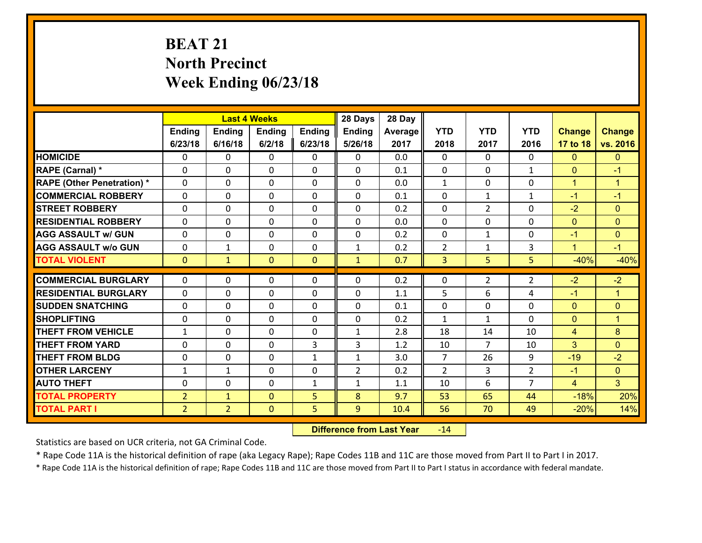# **BEAT 21 North Precinct Week Ending 06/23/18**

|                                   |                |                | <b>Last 4 Weeks</b> |               | 28 Days        | 28 Day  |                |                |                |                |                |
|-----------------------------------|----------------|----------------|---------------------|---------------|----------------|---------|----------------|----------------|----------------|----------------|----------------|
|                                   | <b>Ending</b>  | <b>Ending</b>  | <b>Endina</b>       | <b>Ending</b> | <b>Ending</b>  | Average | <b>YTD</b>     | <b>YTD</b>     | <b>YTD</b>     | <b>Change</b>  | <b>Change</b>  |
|                                   | 6/23/18        | 6/16/18        | 6/2/18              | 6/23/18       | 5/26/18        | 2017    | 2018           | 2017           | 2016           | 17 to 18       | vs. 2016       |
| <b>HOMICIDE</b>                   | $\Omega$       | 0              | $\mathbf{0}$        | 0             | 0              | 0.0     | $\Omega$       | $\Omega$       | $\Omega$       | $\Omega$       | $\mathbf{0}$   |
| RAPE (Carnal) *                   | $\Omega$       | $\Omega$       | $\mathbf 0$         | $\Omega$      | $\Omega$       | 0.1     | $\Omega$       | $\Omega$       | $\mathbf{1}$   | $\Omega$       | $-1$           |
| <b>RAPE (Other Penetration) *</b> | 0              | 0              | $\mathbf 0$         | 0             | 0              | 0.0     | $\mathbf{1}$   | $\mathbf 0$    | 0              | $\mathbf{1}$   | $\mathbf{1}$   |
| <b>COMMERCIAL ROBBERY</b>         | 0              | 0              | $\mathbf 0$         | 0             | 0              | 0.1     | $\mathbf 0$    | $\mathbf{1}$   | $\mathbf{1}$   | $-1$           | $-1$           |
| <b>STREET ROBBERY</b>             | 0              | 0              | $\mathbf 0$         | 0             | 0              | 0.2     | $\mathbf 0$    | $\overline{2}$ | 0              | $-2$           | $\mathbf{0}$   |
| <b>RESIDENTIAL ROBBERY</b>        | 0              | 0              | $\mathbf 0$         | 0             | 0              | 0.0     | $\mathbf 0$    | $\mathbf 0$    | 0              | $\overline{0}$ | $\overline{0}$ |
| <b>AGG ASSAULT w/ GUN</b>         | 0              | 0              | $\mathbf 0$         | 0             | 0              | 0.2     | $\mathbf 0$    | $\mathbf{1}$   | 0              | $-1$           | $\overline{0}$ |
| <b>AGG ASSAULT w/o GUN</b>        | 0              | $\mathbf{1}$   | $\mathbf 0$         | 0             | $\mathbf{1}$   | 0.2     | $\overline{2}$ | $\mathbf{1}$   | 3              | $\mathbf{1}$   | $-1$           |
| <b>TOTAL VIOLENT</b>              | $\mathbf{0}$   | $\mathbf{1}$   | $\mathbf{0}$        | $\mathbf{0}$  | $\mathbf{1}$   | 0.7     | 3              | 5              | 5              | $-40%$         | $-40%$         |
| <b>COMMERCIAL BURGLARY</b>        | $\Omega$       | 0              | 0                   | $\Omega$      | 0              | 0.2     | $\mathbf{0}$   | $\overline{2}$ | $\overline{2}$ | $-2$           | $-2$           |
| <b>RESIDENTIAL BURGLARY</b>       | $\Omega$       |                |                     |               |                |         | 5              | 6              | 4              |                |                |
|                                   |                | 0              | $\mathbf 0$         | 0             | 0              | 1.1     |                |                |                | $-1$           | $\mathbf{1}$   |
| <b>SUDDEN SNATCHING</b>           | 0              | 0              | $\mathbf 0$         | $\Omega$      | 0              | 0.1     | $\mathbf 0$    | $\Omega$       | $\Omega$       | $\overline{0}$ | $\overline{0}$ |
| <b>SHOPLIFTING</b>                | 0              | 0              | $\mathbf 0$         | 0             | 0              | 0.2     | $\mathbf{1}$   | $\mathbf{1}$   | 0              | $\mathbf{0}$   | $\mathbf{1}$   |
| <b>THEFT FROM VEHICLE</b>         | $\mathbf{1}$   | 0              | $\mathbf 0$         | 0             | $\mathbf{1}$   | 2.8     | 18             | 14             | 10             | $\overline{4}$ | 8              |
| <b>THEFT FROM YARD</b>            | $\mathbf 0$    | 0              | $\mathbf 0$         | 3             | 3              | 1.2     | 10             | $\overline{7}$ | 10             | 3              | $\mathbf{0}$   |
| <b>THEFT FROM BLDG</b>            | 0              | 0              | $\mathbf 0$         | $\mathbf{1}$  | $\mathbf{1}$   | 3.0     | $\overline{7}$ | 26             | 9              | $-19$          | $-2$           |
| <b>OTHER LARCENY</b>              | $\mathbf{1}$   | $\mathbf 1$    | $\mathbf 0$         | 0             | $\overline{2}$ | 0.2     | $\overline{2}$ | $\overline{3}$ | $\overline{2}$ | $-1$           | $\overline{0}$ |
| <b>AUTO THEFT</b>                 | $\Omega$       | 0              | $\mathbf 0$         | $\mathbf{1}$  | $\mathbf{1}$   | 1.1     | 10             | 6              | 7              | $\overline{4}$ | 3              |
| <b>TOTAL PROPERTY</b>             | $\overline{2}$ | $\mathbf{1}$   | $\mathbf{0}$        | 5             | 8              | 9.7     | 53             | 65             | 44             | $-18%$         | 20%            |
| <b>TOTAL PART I</b>               | $\overline{2}$ | $\overline{2}$ | $\mathbf{0}$        | 5             | 9              | 10.4    | 56             | 70             | 49             | $-20%$         | 14%            |

 **Difference from Last Year**r -14

Statistics are based on UCR criteria, not GA Criminal Code.

\* Rape Code 11A is the historical definition of rape (aka Legacy Rape); Rape Codes 11B and 11C are those moved from Part II to Part I in 2017.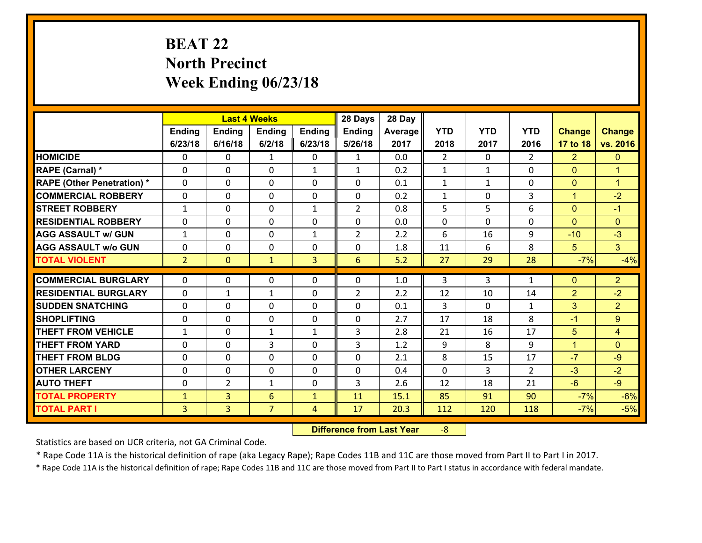# **BEAT 22 North Precinct Week Ending 06/23/18**

|                                              |                                |                                  | <b>Last 4 Weeks</b> |                   | 28 Days         | 28 Day       |                |              |                |                |                      |
|----------------------------------------------|--------------------------------|----------------------------------|---------------------|-------------------|-----------------|--------------|----------------|--------------|----------------|----------------|----------------------|
|                                              | Ending                         | <b>Ending</b>                    | <b>Ending</b>       | <b>Ending</b>     | <b>Ending</b>   | Average      | <b>YTD</b>     | <b>YTD</b>   | <b>YTD</b>     | <b>Change</b>  | <b>Change</b>        |
|                                              | 6/23/18                        | 6/16/18                          | 6/2/18              | 6/23/18           | 5/26/18         | 2017         | 2018           | 2017         | 2016           | 17 to 18       | vs. 2016             |
| <b>HOMICIDE</b>                              | 0                              | 0                                | $\mathbf{1}$        | 0                 | $\mathbf{1}$    | 0.0          | $\overline{2}$ | $\Omega$     | $\overline{2}$ | $\overline{2}$ | $\mathbf{0}$         |
| RAPE (Carnal) *                              | $\Omega$                       | 0                                | $\mathbf{0}$        | $\mathbf{1}$      | $\mathbf{1}$    | 0.2          | $\mathbf{1}$   | $\mathbf{1}$ | $\Omega$       | $\mathbf{0}$   | $\blacktriangleleft$ |
| <b>RAPE (Other Penetration) *</b>            | $\Omega$                       | $\Omega$                         | $\Omega$            | $\Omega$          | $\Omega$        | 0.1          | $\mathbf{1}$   | $\mathbf{1}$ | $\Omega$       | $\mathbf{0}$   | $\blacktriangleleft$ |
| <b>COMMERCIAL ROBBERY</b>                    | 0                              | 0                                | $\mathbf 0$         | 0                 | 0               | 0.2          | $\mathbf{1}$   | $\mathbf{0}$ | 3              | $\mathbf{1}$   | $-2$                 |
| <b>STREET ROBBERY</b>                        | $\mathbf{1}$                   | 0                                | $\mathbf 0$         | $\mathbf{1}$      | $\overline{2}$  | 0.8          | 5              | 5            | 6              | $\overline{0}$ | $-1$                 |
| <b>RESIDENTIAL ROBBERY</b>                   | $\Omega$                       | $\Omega$                         | $\mathbf 0$         | $\Omega$          | 0               | 0.0          | 0              | $\Omega$     | $\Omega$       | $\Omega$       | $\Omega$             |
| <b>AGG ASSAULT w/ GUN</b>                    | $\mathbf{1}$                   | 0                                | $\mathbf 0$         | $\mathbf{1}$      | $\overline{2}$  | 2.2          | 6              | 16           | 9              | $-10$          | $-3$                 |
| <b>AGG ASSAULT w/o GUN</b>                   | 0                              | 0                                | $\mathbf 0$         | 0                 | 0               | 1.8          | 11             | 6            | 8              | 5              | 3 <sup>1</sup>       |
| <b>TOTAL VIOLENT</b>                         | 2 <sup>2</sup>                 | $\overline{0}$                   | $\mathbf{1}$        | $\overline{3}$    | $6\overline{6}$ | 5.2          | 27             | 29           | 28             | $-7%$          | $-4%$                |
|                                              |                                |                                  |                     |                   |                 |              |                |              |                |                |                      |
|                                              |                                |                                  |                     |                   |                 |              |                |              |                |                |                      |
| <b>COMMERCIAL BURGLARY</b>                   | $\Omega$                       | 0                                | 0                   | 0                 | 0               | 1.0          | 3              | 3            | $\mathbf{1}$   | $\mathbf{0}$   | $\overline{2}$       |
| <b>RESIDENTIAL BURGLARY</b>                  | $\Omega$                       | 1                                | 1                   | 0                 | $\overline{2}$  | 2.2          | 12             | 10           | 14             | $\overline{2}$ | $-2$                 |
| <b>SUDDEN SNATCHING</b>                      | $\Omega$                       | 0                                | $\mathbf{0}$        | $\Omega$          | $\Omega$        | 0.1          | 3              | $\Omega$     | $\mathbf{1}$   | 3              | $\overline{2}$       |
| <b>SHOPLIFTING</b>                           | 0                              | 0                                | $\mathbf 0$         | 0                 | 0               | 2.7          | 17             | 18           | 8              | $-1$           | 9                    |
| <b>THEFT FROM VEHICLE</b>                    | $\mathbf{1}$                   | 0                                | $\mathbf{1}$        | $\mathbf{1}$      | 3               | 2.8          | 21             | 16           | 17             | 5              | $\overline{4}$       |
| <b>THEFT FROM YARD</b>                       | 0                              | 0                                | 3                   | $\Omega$          | 3               | 1.2          | 9              | 8            | 9              | $\mathbf{1}$   | $\Omega$             |
| <b>THEFT FROM BLDG</b>                       | 0                              | 0                                | $\mathbf 0$         | 0                 | 0               | 2.1          | 8              | 15           | 17             | $-7$           | $-9$                 |
| <b>OTHER LARCENY</b>                         | 0                              | 0                                | $\mathbf 0$         | 0                 | 0               | 0.4          | 0              | 3            | $\overline{2}$ | $-3$           | $-2$                 |
| <b>AUTO THEFT</b>                            | 0                              | $\overline{2}$                   | 1                   | 0                 | 3               | 2.6          | 12             | 18           | 21             | $-6$           | $-9$                 |
| <b>TOTAL PROPERTY</b><br><b>TOTAL PART I</b> | $\mathbf{1}$<br>3 <sup>1</sup> | $\overline{3}$<br>$\overline{3}$ | 6<br>$\overline{7}$ | $\mathbf{1}$<br>4 | 11<br>17        | 15.1<br>20.3 | 85<br>112      | 91<br>120    | 90<br>118      | $-7%$<br>$-7%$ | $-6%$<br>$-5%$       |

 **Difference from Last Year**r -8

Statistics are based on UCR criteria, not GA Criminal Code.

\* Rape Code 11A is the historical definition of rape (aka Legacy Rape); Rape Codes 11B and 11C are those moved from Part II to Part I in 2017.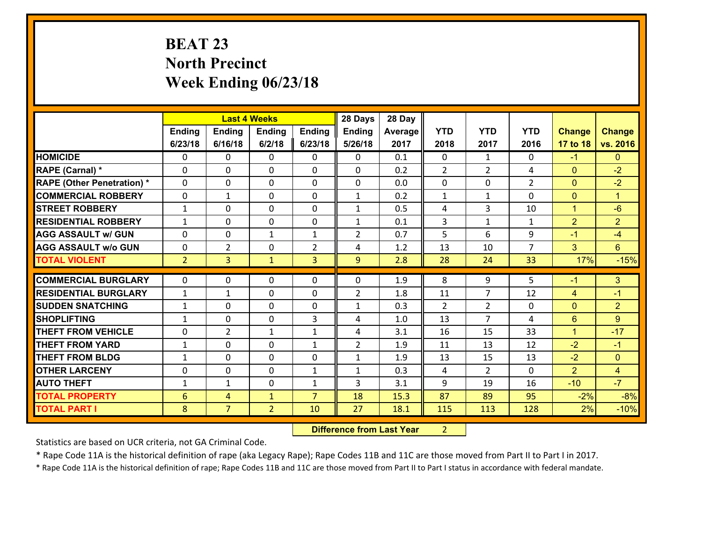# **BEAT 23 North Precinct Week Ending 06/23/18**

|                                   |                |                | <b>Last 4 Weeks</b> |                | 28 Days        | 28 Day  |                |                |                |                |                      |
|-----------------------------------|----------------|----------------|---------------------|----------------|----------------|---------|----------------|----------------|----------------|----------------|----------------------|
|                                   | Ending         | <b>Ending</b>  | <b>Ending</b>       | <b>Ending</b>  | <b>Ending</b>  | Average | <b>YTD</b>     | <b>YTD</b>     | <b>YTD</b>     | <b>Change</b>  | <b>Change</b>        |
|                                   | 6/23/18        | 6/16/18        | 6/2/18              | 6/23/18        | 5/26/18        | 2017    | 2018           | 2017           | 2016           | 17 to 18       | vs. 2016             |
| <b>HOMICIDE</b>                   | $\Omega$       | 0              | 0                   | 0              | 0              | 0.1     | $\Omega$       | $\mathbf{1}$   | 0              | $-1$           | $\mathbf{0}$         |
| RAPE (Carnal) *                   | $\Omega$       | 0              | $\mathbf 0$         | 0              | 0              | 0.2     | $\overline{2}$ | $\overline{2}$ | 4              | $\mathbf{0}$   | $-2$                 |
| <b>RAPE (Other Penetration) *</b> | $\Omega$       | 0              | $\mathbf{0}$        | 0              | 0              | 0.0     | $\mathbf 0$    | $\Omega$       | $\overline{2}$ | $\mathbf{0}$   | $-2$                 |
| <b>COMMERCIAL ROBBERY</b>         | $\Omega$       | 1              | $\mathbf{0}$        | $\Omega$       | $\mathbf{1}$   | 0.2     | $\mathbf{1}$   | $\mathbf{1}$   | $\Omega$       | $\mathbf{0}$   | $\blacktriangleleft$ |
| <b>STREET ROBBERY</b>             | $\mathbf{1}$   | 0              | $\mathbf{0}$        | $\Omega$       | $\mathbf{1}$   | 0.5     | 4              | 3              | 10             | $\mathbf{1}$   | $-6$                 |
| <b>RESIDENTIAL ROBBERY</b>        | $\mathbf{1}$   | 0              | $\mathbf{0}$        | $\Omega$       | $\mathbf{1}$   | 0.1     | 3              | $\mathbf{1}$   | $\mathbf{1}$   | $\overline{2}$ | $\overline{2}$       |
| <b>AGG ASSAULT w/ GUN</b>         | 0              | 0              | $\mathbf{1}$        | $\mathbf{1}$   | $\overline{2}$ | 0.7     | 5              | 6              | 9              | $-1$           | $-4$                 |
| <b>AGG ASSAULT w/o GUN</b>        | 0              | $\overline{2}$ | 0                   | $\overline{2}$ | 4              | 1.2     | 13             | 10             | $\overline{7}$ | 3              | 6                    |
| <b>TOTAL VIOLENT</b>              | 2 <sup>1</sup> | $\overline{3}$ | $\mathbf{1}$        | 3              | 9              | 2.8     | 28             | 24             | 33             | 17%            | $-15%$               |
|                                   |                |                |                     |                |                |         |                |                |                |                |                      |
|                                   |                |                |                     |                |                |         |                |                |                |                |                      |
| <b>COMMERCIAL BURGLARY</b>        | $\mathbf{0}$   | 0              | 0                   | 0              | $\Omega$       | 1.9     | 8              | 9              | 5              | $-1$           | 3 <sup>1</sup>       |
| <b>RESIDENTIAL BURGLARY</b>       | $\mathbf{1}$   | 1              | $\mathbf 0$         | $\Omega$       | $\overline{2}$ | 1.8     | 11             | $\overline{7}$ | 12             | 4              | $-1$                 |
| <b>SUDDEN SNATCHING</b>           | $\mathbf{1}$   | 0              | $\mathbf{0}$        | 0              | $\mathbf{1}$   | 0.3     | 2              | $\overline{2}$ | $\Omega$       | $\mathbf{0}$   | $\overline{2}$       |
| <b>SHOPLIFTING</b>                | 1              | 0              | $\mathbf 0$         | 3              | 4              | 1.0     | 13             | $\overline{7}$ | 4              | $6\phantom{1}$ | $9^{\circ}$          |
| <b>THEFT FROM VEHICLE</b>         | 0              | $\overline{2}$ | $\mathbf{1}$        | $\mathbf{1}$   | 4              | 3.1     | 16             | 15             | 33             | $\mathbf{1}$   | $-17$                |
| <b>THEFT FROM YARD</b>            | $\mathbf{1}$   | 0              | $\mathbf{0}$        | $\mathbf{1}$   | $\overline{2}$ | 1.9     | 11             | 13             | 12             | $-2$           | $-1$                 |
| <b>THEFT FROM BLDG</b>            | 1              | 0              | $\Omega$            | $\Omega$       | $\mathbf{1}$   | 1.9     | 13             | 15             | 13             | $-2$           | $\Omega$             |
| <b>OTHER LARCENY</b>              | 0              | 0              | $\mathbf{0}$        | $\mathbf{1}$   | $\mathbf{1}$   | 0.3     | 4              | $\overline{2}$ | $\Omega$       | $\overline{2}$ | $\overline{4}$       |
| <b>AUTO THEFT</b>                 | 1              | 1              | $\mathbf{0}$        | $\mathbf{1}$   | $\mathbf{3}$   | 3.1     | 9              | 19             | 16             | $-10$          | $-7$                 |
| <b>TOTAL PROPERTY</b>             | 6              | 4              | $\mathbf{1}$        | $\overline{7}$ | 18             | 15.3    | 87             | 89             | 95             | $-2%$          | $-8%$                |
| <b>TOTAL PART I</b>               | 8              | 7              | $\overline{2}$      | 10             | 27             | 18.1    | 115            | 113            | 128            | 2%             | $-10%$               |

 **Difference from Last Year** 2 $2 \mid$ 

Statistics are based on UCR criteria, not GA Criminal Code.

\* Rape Code 11A is the historical definition of rape (aka Legacy Rape); Rape Codes 11B and 11C are those moved from Part II to Part I in 2017.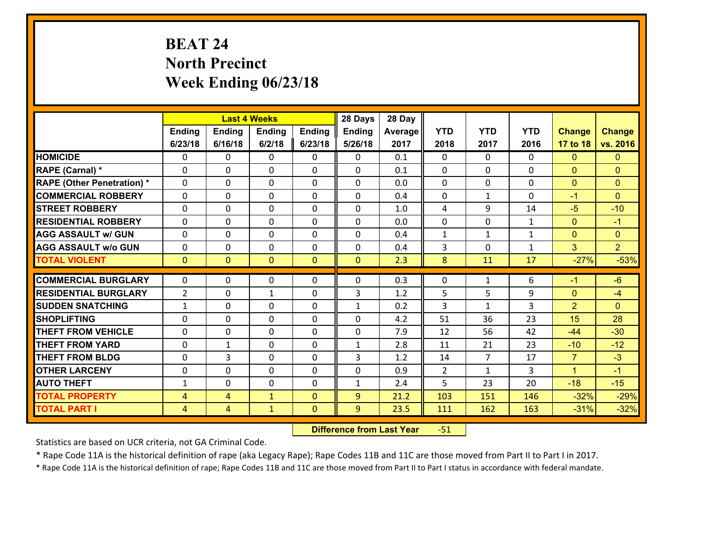# **BEAT 24 North Precinct Week Ending 06/23/18**

|                                   |                |                | <b>Last 4 Weeks</b> |              | 28 Days       | 28 Day  |              |                |              |                |                |
|-----------------------------------|----------------|----------------|---------------------|--------------|---------------|---------|--------------|----------------|--------------|----------------|----------------|
|                                   | <b>Ending</b>  | <b>Ending</b>  | <b>Ending</b>       | Ending       | <b>Ending</b> | Average | <b>YTD</b>   | <b>YTD</b>     | <b>YTD</b>   | <b>Change</b>  | <b>Change</b>  |
|                                   | 6/23/18        | 6/16/18        | 6/2/18              | 6/23/18      | 5/26/18       | 2017    | 2018         | 2017           | 2016         | 17 to 18       | vs. 2016       |
| <b>HOMICIDE</b>                   | 0              | $\Omega$       | $\Omega$            | 0            | $\Omega$      | 0.1     | $\Omega$     | $\Omega$       | 0            | $\Omega$       | $\mathbf{0}$   |
| RAPE (Carnal) *                   | 0              | 0              | $\mathbf{0}$        | 0            | 0             | 0.1     | $\mathbf{0}$ | $\Omega$       | 0            | $\mathbf{0}$   | $\mathbf{0}$   |
| <b>RAPE (Other Penetration) *</b> | $\Omega$       | 0              | $\mathbf{0}$        | $\Omega$     | 0             | 0.0     | $\Omega$     | $\Omega$       | $\Omega$     | $\mathbf{0}$   | $\mathbf{0}$   |
| <b>COMMERCIAL ROBBERY</b>         | 0              | 0              | 0                   | $\Omega$     | $\mathbf{0}$  | 0.4     | $\mathbf{0}$ | $\mathbf{1}$   | $\Omega$     | $-1$           | $\mathbf{0}$   |
| <b>STREET ROBBERY</b>             | 0              | 0              | $\mathbf 0$         | 0            | 0             | 1.0     | 4            | 9              | 14           | $-5$           | $-10$          |
| <b>RESIDENTIAL ROBBERY</b>        | $\Omega$       | $\Omega$       | $\mathbf 0$         | $\Omega$     | $\Omega$      | 0.0     | $\Omega$     | $\Omega$       | $\mathbf{1}$ | $\overline{0}$ | $-1$           |
| <b>AGG ASSAULT w/ GUN</b>         | 0              | $\Omega$       | $\mathbf 0$         | $\Omega$     | $\Omega$      | 0.4     | $\mathbf{1}$ | $\mathbf{1}$   | $\mathbf{1}$ | $\mathbf{0}$   | $\overline{0}$ |
| <b>AGG ASSAULT w/o GUN</b>        | 0              | 0              | $\mathbf 0$         | 0            | 0             | 0.4     | 3            | $\mathbf 0$    | $\mathbf{1}$ | 3              | 2 <sup>1</sup> |
| <b>TOTAL VIOLENT</b>              | $\mathbf{0}$   | $\overline{0}$ | $\mathbf{0}$        | $\mathbf{0}$ | $\mathbf{0}$  | 2.3     | 8            | 11             | 17           | $-27%$         | $-53%$         |
| <b>COMMERCIAL BURGLARY</b>        | $\Omega$       | $\Omega$       | $\mathbf{0}$        | $\Omega$     | 0             | 0.3     | $\Omega$     | $\mathbf{1}$   | 6            | $-1$           | $-6$           |
| <b>RESIDENTIAL BURGLARY</b>       | $\overline{2}$ | 0              | $\mathbf{1}$        | 0            | 3             | 1.2     | 5            | 5              | 9            | $\mathbf{0}$   | $-4$           |
| <b>SUDDEN SNATCHING</b>           | $\mathbf{1}$   | 0              | 0                   | $\Omega$     | $\mathbf{1}$  | 0.2     | 3            | $\mathbf{1}$   | 3            | $\overline{2}$ | $\mathbf{0}$   |
| <b>SHOPLIFTING</b>                | 0              | 0              | $\mathbf 0$         | 0            | 0             | 4.2     | 51           | 36             | 23           | 15             | 28             |
| <b>THEFT FROM VEHICLE</b>         | 0              | 0              | 0                   | $\Omega$     | 0             | 7.9     | 12           | 56             | 42           | $-44$          | $-30$          |
| <b>THEFT FROM YARD</b>            | 0              | $\mathbf{1}$   | $\mathbf 0$         | $\Omega$     | $\mathbf{1}$  | 2.8     | 11           | 21             | 23           | $-10$          | $-12$          |
| <b>THEFT FROM BLDG</b>            | 0              | 3              | $\mathbf 0$         | $\Omega$     | 3             | 1.2     | 14           | $\overline{7}$ | 17           | $\overline{7}$ | $-3$           |
| <b>OTHER LARCENY</b>              | 0              | 0              | $\mathbf 0$         | 0            | 0             | 0.9     | 2            | $\mathbf{1}$   | 3            | $\mathbf{1}$   | $-1$           |
| <b>AUTO THEFT</b>                 | $\mathbf{1}$   | 0              | $\mathbf{0}$        | $\Omega$     | $\mathbf{1}$  | 2.4     | 5            | 23             | 20           | $-18$          | $-15$          |
| <b>TOTAL PROPERTY</b>             | 4              | 4              | $\mathbf{1}$        | $\mathbf{0}$ | 9             | 21.2    | 103          | 151            | 146          | $-32%$         | $-29%$         |
| <b>TOTAL PART I</b>               | $\overline{4}$ | $\overline{4}$ | $\mathbf{1}$        | $\mathbf{0}$ | 9             | 23.5    | <u>111</u>   | 162            | 163          | $-31%$         | $-32%$         |

 **Difference from Last Year**r -51

Statistics are based on UCR criteria, not GA Criminal Code.

\* Rape Code 11A is the historical definition of rape (aka Legacy Rape); Rape Codes 11B and 11C are those moved from Part II to Part I in 2017.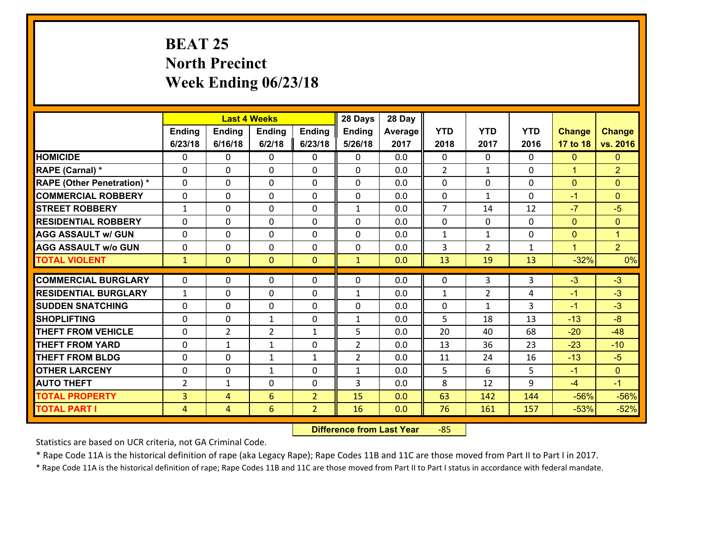# **BEAT 25 North Precinct Week Ending 06/23/18**

|                                              |                     |                     | <b>Last 4 Weeks</b>  |                                  | 28 Days        | 28 Day     |                |                |              |                  |                  |
|----------------------------------------------|---------------------|---------------------|----------------------|----------------------------------|----------------|------------|----------------|----------------|--------------|------------------|------------------|
|                                              | Ending              | <b>Ending</b>       | Ending               | <b>Ending</b>                    | Ending         | Average    | <b>YTD</b>     | <b>YTD</b>     | <b>YTD</b>   | <b>Change</b>    | <b>Change</b>    |
|                                              | 6/23/18             | 6/16/18             | 6/2/18               | 6/23/18                          | 5/26/18        | 2017       | 2018           | 2017           | 2016         | 17 to 18         | vs. 2016         |
| <b>HOMICIDE</b>                              | $\Omega$            | 0                   | 0                    | 0                                | 0              | 0.0        | $\Omega$       | $\Omega$       | 0            | $\mathbf{0}$     | $\mathbf{0}$     |
| RAPE (Carnal) *                              | 0                   | 0                   | $\mathbf 0$          | 0                                | $\Omega$       | 0.0        | 2              | $\mathbf{1}$   | 0            | $\mathbf{1}$     | $\overline{2}$   |
| <b>RAPE (Other Penetration) *</b>            | $\Omega$            | 0                   | $\mathbf{0}$         | 0                                | 0              | 0.0        | $\mathbf 0$    | 0              | $\Omega$     | $\mathbf{0}$     | $\mathbf{0}$     |
| <b>COMMERCIAL ROBBERY</b>                    | $\mathbf{0}$        | 0                   | $\mathbf{0}$         | 0                                | $\Omega$       | 0.0        | $\mathbf{0}$   | $\mathbf{1}$   | $\Omega$     | $-1$             | $\mathbf{0}$     |
| <b>STREET ROBBERY</b>                        | $\mathbf{1}$        | 0                   | $\mathbf{0}$         | 0                                | $\mathbf{1}$   | 0.0        | $\overline{7}$ | 14             | 12           | $-7$             | $-5$             |
| <b>RESIDENTIAL ROBBERY</b>                   | $\Omega$            | 0                   | $\mathbf{0}$         | $\Omega$                         | 0              | 0.0        | $\mathbf{0}$   | 0              | $\Omega$     | $\mathbf{0}$     | $\mathbf{0}$     |
| <b>AGG ASSAULT w/ GUN</b>                    | 0                   | 0                   | $\mathbf 0$          | 0                                | 0              | 0.0        | $\mathbf{1}$   | $\mathbf{1}$   | 0            | $\mathbf{0}$     | $\mathbf{1}$     |
| <b>AGG ASSAULT w/o GUN</b>                   | 0                   | 0                   | $\mathbf 0$          | 0                                | $\mathbf 0$    | 0.0        | 3              | $\overline{2}$ | $\mathbf{1}$ | $\mathbf{1}$     | 2 <sup>1</sup>   |
| <b>TOTAL VIOLENT</b>                         | $\mathbf{1}$        | $\overline{0}$      | $\mathbf{0}$         | $\overline{0}$                   | $\mathbf{1}$   | 0.0        | 13             | 19             | 13           | $-32%$           | 0%               |
| <b>COMMERCIAL BURGLARY</b>                   | 0                   | 0                   | $\mathbf{0}$         | 0                                | 0              | 0.0        | $\mathbf{0}$   | 3              | 3            |                  |                  |
|                                              |                     |                     |                      |                                  |                |            |                |                |              |                  |                  |
|                                              |                     |                     |                      |                                  |                |            |                |                |              | $-3$             | $-3$             |
| <b>RESIDENTIAL BURGLARY</b>                  | $\mathbf{1}$        | 0                   | $\mathbf 0$          | 0                                | $\mathbf{1}$   | 0.0        | $\mathbf{1}$   | $\overline{2}$ | 4            | $-1$             | $-3$             |
| <b>SUDDEN SNATCHING</b>                      | 0                   | 0                   | $\mathbf 0$          | 0                                | 0              | 0.0        | 0              | $\mathbf{1}$   | 3            | $-1$             | $-3$             |
| <b>SHOPLIFTING</b>                           | $\Omega$            | 0                   | $\mathbf{1}$         | 0                                | $\mathbf{1}$   | 0.0        | 5              | 18             | 13           | $-13$            | $-8$             |
| <b>THEFT FROM VEHICLE</b>                    | 0                   | $\overline{2}$      | $\overline{2}$       | $\mathbf{1}$                     | 5              | 0.0        | 20             | 40             | 68           | $-20$            | $-48$            |
| <b>THEFT FROM YARD</b>                       | $\mathbf 0$         | $\mathbf 1$         | $\mathbf{1}$         | 0                                | $\overline{2}$ | 0.0        | 13             | 36             | 23           | $-23$            | $-10$            |
| <b>THEFT FROM BLDG</b>                       | 0                   | 0                   | 1                    | $\mathbf{1}$                     | $\overline{2}$ | 0.0        | 11             | 24             | 16           | $-13$            | $-5$             |
| <b>OTHER LARCENY</b>                         | $\mathbf 0$         | 0                   | 1                    | 0                                | $\mathbf{1}$   | 0.0        | 5              | 6              | 5            | $-1$             | $\overline{0}$   |
| <b>AUTO THEFT</b>                            | $\overline{2}$      | 1                   | 0                    | 0                                | 3              | 0.0        | 8              | 12             | 9            | $-4$             | $-1$             |
| <b>TOTAL PROPERTY</b><br><b>TOTAL PART I</b> | 3<br>$\overline{4}$ | 4<br>$\overline{4}$ | 6<br>$6\phantom{.}6$ | $\overline{2}$<br>$\overline{2}$ | 15<br>16       | 0.0<br>0.0 | 63<br>76       | 142<br>161     | 144<br>157   | $-56%$<br>$-53%$ | $-56%$<br>$-52%$ |

 **Difference from Last Year**‐85

Statistics are based on UCR criteria, not GA Criminal Code.

\* Rape Code 11A is the historical definition of rape (aka Legacy Rape); Rape Codes 11B and 11C are those moved from Part II to Part I in 2017.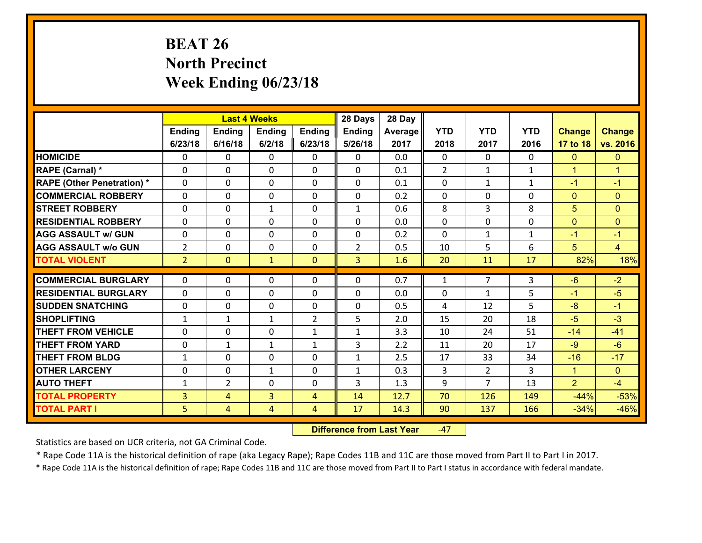# **BEAT 26 North Precinct Week Ending 06/23/18**

|                                   |                |                | <b>Last 4 Weeks</b> |                | 28 Days        | 28 Day  |              |                |              |                |                      |
|-----------------------------------|----------------|----------------|---------------------|----------------|----------------|---------|--------------|----------------|--------------|----------------|----------------------|
|                                   | Ending         | <b>Ending</b>  | <b>Ending</b>       | Ending         | <b>Ending</b>  | Average | <b>YTD</b>   | <b>YTD</b>     | <b>YTD</b>   | <b>Change</b>  | <b>Change</b>        |
|                                   | 6/23/18        | 6/16/18        | 6/2/18              | 6/23/18        | 5/26/18        | 2017    | 2018         | 2017           | 2016         | 17 to 18       | vs. 2016             |
| <b>HOMICIDE</b>                   | $\Omega$       | 0              | $\Omega$            | 0              | $\Omega$       | 0.0     | $\Omega$     | $\Omega$       | 0            | $\mathbf{0}$   | $\mathbf{0}$         |
| RAPE (Carnal) *                   | $\Omega$       | 0              | $\mathbf{0}$        | $\Omega$       | $\Omega$       | 0.1     | 2            | $\mathbf{1}$   | $\mathbf{1}$ | $\mathbf{1}$   | $\blacktriangleleft$ |
| <b>RAPE (Other Penetration) *</b> | 0              | 0              | $\mathbf 0$         | 0              | 0              | 0.1     | 0            | $\mathbf{1}$   | $\mathbf{1}$ | $-1$           | $-1$                 |
| <b>COMMERCIAL ROBBERY</b>         | 0              | 0              | $\mathbf 0$         | 0              | 0              | 0.2     | $\mathbf 0$  | $\mathbf 0$    | 0            | $\mathbf{0}$   | $\mathbf{0}$         |
| <b>STREET ROBBERY</b>             | 0              | 0              | $\mathbf{1}$        | 0              | $\mathbf{1}$   | 0.6     | 8            | 3              | 8            | 5              | $\mathbf{0}$         |
| <b>RESIDENTIAL ROBBERY</b>        | $\Omega$       | 0              | $\mathbf 0$         | 0              | 0              | 0.0     | $\mathbf 0$  | $\mathbf 0$    | 0            | $\mathbf{0}$   | $\mathbf{0}$         |
| <b>AGG ASSAULT w/ GUN</b>         | 0              | 0              | $\mathbf 0$         | 0              | 0              | 0.2     | $\mathbf 0$  | $\mathbf{1}$   | $\mathbf{1}$ | $-1$           | $-1$                 |
| <b>AGG ASSAULT w/o GUN</b>        | $\overline{2}$ | 0              | $\mathbf 0$         | $\Omega$       | $\overline{2}$ | 0.5     | 10           | 5              | 6            | 5              | $\overline{4}$       |
| <b>TOTAL VIOLENT</b>              | $\overline{2}$ | $\overline{0}$ | $\mathbf{1}$        | $\mathbf{0}$   | 3              | 1.6     | 20           | 11             | 17           | 82%            | 18%                  |
|                                   |                |                |                     |                |                |         |              |                |              |                |                      |
| <b>COMMERCIAL BURGLARY</b>        | $\Omega$       | 0              | $\mathbf{0}$        | 0              | $\Omega$       | 0.7     | $\mathbf{1}$ | $\overline{7}$ | 3            | $-6$           | $-2$                 |
| <b>RESIDENTIAL BURGLARY</b>       | 0              | 0              | 0                   | 0              | 0              | 0.0     | $\mathbf{0}$ | $\mathbf{1}$   | 5            | $-1$           | $-5$                 |
| <b>SUDDEN SNATCHING</b>           | 0              | 0              | $\mathbf 0$         | 0              | $\mathbf 0$    | 0.5     | 4            | 12             | 5            | $-8$           | $-1$                 |
| <b>SHOPLIFTING</b>                | $\mathbf{1}$   | $\mathbf 1$    | $\mathbf{1}$        | $\overline{2}$ | 5              | 2.0     | 15           | 20             | 18           | $-5$           | $-3$                 |
| <b>THEFT FROM VEHICLE</b>         | 0              | 0              | $\mathbf 0$         | $\mathbf{1}$   | $\mathbf{1}$   | 3.3     | 10           | 24             | 51           | $-14$          | $-41$                |
| <b>THEFT FROM YARD</b>            | $\mathbf 0$    | $\mathbf{1}$   | $\mathbf{1}$        | $\mathbf{1}$   | 3              | 2.2     | 11           | 20             | 17           | $-9$           | $-6$                 |
| <b>THEFT FROM BLDG</b>            | $\mathbf{1}$   | 0              | $\mathbf 0$         | 0              | $\mathbf{1}$   | 2.5     | 17           | 33             | 34           | $-16$          | $-17$                |
| <b>OTHER LARCENY</b>              | $\mathbf 0$    | 0              | $\mathbf{1}$        | 0              | $\mathbf{1}$   | 0.3     | 3            | $\overline{2}$ | 3            | $\mathbf{1}$   | $\overline{0}$       |
| <b>AUTO THEFT</b>                 | $\mathbf{1}$   | $\overline{2}$ | $\mathbf 0$         | 0              | 3              | 1.3     | 9            | $\overline{7}$ | 13           | $\overline{2}$ | $-4$                 |
| <b>TOTAL PROPERTY</b>             | $\overline{3}$ | $\overline{4}$ | $\overline{3}$      | $\overline{4}$ | 14             | 12.7    | 70           | 126            | 149          | $-44%$         | $-53%$               |
| <b>TOTAL PART I</b>               | 5 <sup>1</sup> | 4              | 4                   | 4              | 17             | 14.3    | 90           | 137            | 166          | $-34%$         | $-46%$               |

 **Difference from Last Year**‐47

Statistics are based on UCR criteria, not GA Criminal Code.

\* Rape Code 11A is the historical definition of rape (aka Legacy Rape); Rape Codes 11B and 11C are those moved from Part II to Part I in 2017.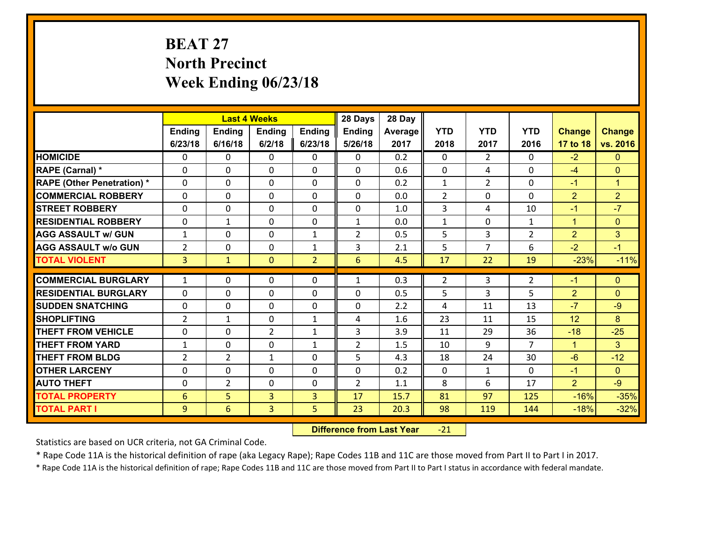# **BEAT 27 North Precinct Week Ending 06/23/18**

|                                   |                |                | <b>Last 4 Weeks</b> |                | 28 Days        | 28 Day  |                |                |                |                |                |
|-----------------------------------|----------------|----------------|---------------------|----------------|----------------|---------|----------------|----------------|----------------|----------------|----------------|
|                                   | Ending         | <b>Ending</b>  | <b>Ending</b>       | <b>Ending</b>  | Ending         | Average | <b>YTD</b>     | <b>YTD</b>     | <b>YTD</b>     | <b>Change</b>  | <b>Change</b>  |
|                                   | 6/23/18        | 6/16/18        | 6/2/18              | 6/23/18        | 5/26/18        | 2017    | 2018           | 2017           | 2016           | 17 to 18       | vs. 2016       |
| <b>HOMICIDE</b>                   | $\Omega$       | 0              | $\Omega$            | 0              | $\Omega$       | 0.2     | $\Omega$       | $\mathfrak{D}$ | $\Omega$       | $-2$           | $\Omega$       |
| <b>RAPE (Carnal) *</b>            | $\Omega$       | 0              | $\mathbf{0}$        | $\Omega$       | 0              | 0.6     | $\mathbf{0}$   | 4              | 0              | $-4$           | $\mathbf{0}$   |
| <b>RAPE (Other Penetration) *</b> | $\Omega$       | 0              | $\mathbf 0$         | 0              | 0              | 0.2     | $\mathbf{1}$   | $\overline{2}$ | $\Omega$       | $-1$           | $\mathbf{1}$   |
| <b>COMMERCIAL ROBBERY</b>         | 0              | 0              | $\mathbf 0$         | 0              | 0              | 0.0     | $\overline{2}$ | $\mathbf 0$    | $\Omega$       | $\overline{2}$ | $\overline{2}$ |
| <b>STREET ROBBERY</b>             | $\Omega$       | 0              | $\mathbf 0$         | 0              | 0              | 1.0     | 3              | 4              | 10             | $-1$           | $-7$           |
| <b>RESIDENTIAL ROBBERY</b>        | 0              | 1              | $\mathbf 0$         | 0              | $\mathbf{1}$   | 0.0     | $\mathbf{1}$   | $\mathbf 0$    | $\mathbf{1}$   | $\mathbf{1}$   | $\mathbf{0}$   |
| <b>AGG ASSAULT w/ GUN</b>         | $\mathbf{1}$   | 0              | $\mathbf 0$         | $\mathbf{1}$   | $\overline{2}$ | 0.5     | 5              | 3              | $\overline{2}$ | $\overline{2}$ | 3              |
| <b>AGG ASSAULT w/o GUN</b>        | $\overline{2}$ | 0              | 0                   | $\mathbf{1}$   | 3              | 2.1     | 5              | $\overline{7}$ | 6              | $-2$           | $-1$           |
| <b>TOTAL VIOLENT</b>              | $\overline{3}$ | $\mathbf{1}$   | $\mathbf{O}$        | $\overline{2}$ | 6              | 4.5     | 17             | 22             | 19             | $-23%$         | $-11%$         |
| <b>COMMERCIAL BURGLARY</b>        |                |                |                     |                |                |         |                |                |                |                |                |
|                                   | $\mathbf{1}$   | 0              | $\mathbf{0}$        | 0              | $\mathbf{1}$   | 0.3     | $\overline{2}$ | 3              | $\overline{2}$ | $-1$           | $\mathbf{0}$   |
| <b>RESIDENTIAL BURGLARY</b>       | $\Omega$       | 0              | $\mathbf 0$         | 0              | 0              | 0.5     | 5              | 3              | 5              | $\overline{2}$ | $\mathbf{0}$   |
| <b>SUDDEN SNATCHING</b>           | 0              | 0              | $\mathbf 0$         | 0              | 0              | 2.2     | 4              | 11             | 13             | $-7$           | $-9$           |
| <b>SHOPLIFTING</b>                | $\overline{2}$ | 1              | $\mathbf 0$         | $\mathbf{1}$   | 4              | 1.6     | 23             | 11             | 15             | 12             | 8              |
| <b>THEFT FROM VEHICLE</b>         | 0              | 0              | $\overline{2}$      | $\mathbf{1}$   | 3              | 3.9     | 11             | 29             | 36             | $-18$          | $-25$          |
| <b>THEFT FROM YARD</b>            | $\mathbf{1}$   | 0              | $\mathbf 0$         | $\mathbf{1}$   | $\overline{2}$ | 1.5     | 10             | 9              | $\overline{7}$ | $\mathbf{1}$   | 3 <sup>1</sup> |
| <b>THEFT FROM BLDG</b>            | $\overline{2}$ | $\overline{2}$ | 1                   | $\Omega$       | 5              | 4.3     | 18             | 24             | 30             | $-6$           | $-12$          |
| <b>OTHER LARCENY</b>              | $\mathbf 0$    | 0              | $\mathbf 0$         | $\Omega$       | 0              | 0.2     | $\Omega$       | $\mathbf{1}$   | $\Omega$       | $-1$           | $\overline{0}$ |
| <b>AUTO THEFT</b>                 | 0              | $\overline{2}$ | $\mathbf 0$         | 0              | $\overline{2}$ | 1.1     | 8              | 6              | 17             | $\overline{2}$ | $-9$           |
| <b>TOTAL PROPERTY</b>             | 6              | 5              | $\overline{3}$      | 3              | 17             | 15.7    | 81             | 97             | 125            | $-16%$         | $-35%$         |
| <b>TOTAL PART I</b>               | 9              | 6              | 3                   | 5              | 23             | 20.3    | 98             | 119            | 144            | $-18%$         | $-32%$         |

 **Difference from Last Year**r -21

Statistics are based on UCR criteria, not GA Criminal Code.

\* Rape Code 11A is the historical definition of rape (aka Legacy Rape); Rape Codes 11B and 11C are those moved from Part II to Part I in 2017.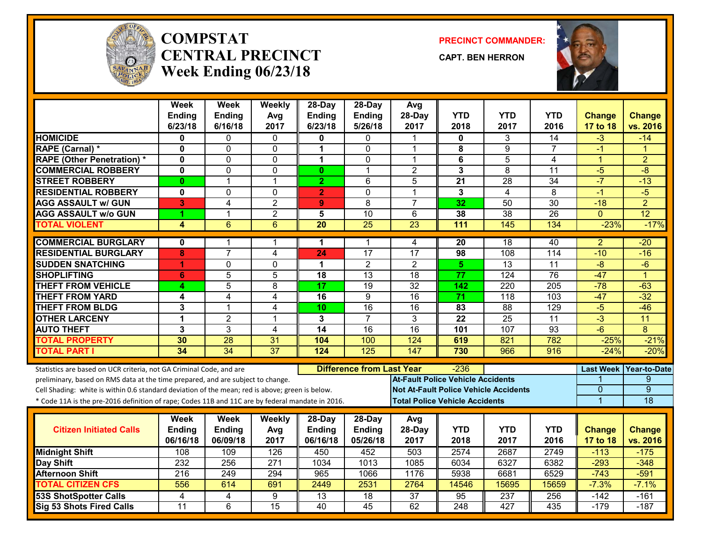

#### **COMPSTATCENTRAL PRECINCTWeek Ending 06/23/18**

**PRECINCT COMMANDER:**

**CAPT. BEN HERRON**



|                                                                                                  | Week<br><b>Ending</b>   | <b>Week</b><br><b>Ending</b> | Weekly<br>Avg    | 28-Day<br><b>Ending</b> | 28-Day<br><b>Ending</b>          | Avg<br>28-Day                            | <b>YTD</b>              | <b>YTD</b>                                   | <b>YTD</b>       | <b>Change</b>    | <b>Change</b>       |
|--------------------------------------------------------------------------------------------------|-------------------------|------------------------------|------------------|-------------------------|----------------------------------|------------------------------------------|-------------------------|----------------------------------------------|------------------|------------------|---------------------|
|                                                                                                  | 6/23/18                 | 6/16/18                      | 2017             | 6/23/18                 | 5/26/18                          | 2017                                     | 2018                    | 2017                                         | 2016             | 17 to 18         | vs. 2016            |
| <b>HOMICIDE</b>                                                                                  | $\bf{0}$                | 0                            | $\Omega$         | 0                       | 0                                |                                          | 0                       | 3                                            | 14               | $-3$             | $-14$               |
| <b>RAPE (Carnal) *</b>                                                                           | $\mathbf 0$             | 0                            | $\mathbf 0$      | 1                       | $\mathbf 0$                      | 1                                        | 8                       | 9                                            | $\overline{7}$   | $-1$             | 1                   |
| <b>RAPE (Other Penetration)*</b>                                                                 | $\mathbf 0$             | $\Omega$                     | 0                | 1                       | $\Omega$                         | 1                                        | 6                       | 5                                            | 4                | $\mathbf{1}$     | $\overline{2}$      |
| <b>COMMERCIAL ROBBERY</b>                                                                        | $\mathbf{0}$            | 0                            | $\mathbf 0$      | $\bf{0}$                | $\mathbf 1$                      | $\overline{c}$                           | $\overline{\mathbf{3}}$ | 8                                            | 11               | $-5$             | $-8$                |
| <b>STREET ROBBERY</b>                                                                            | $\bf{0}$                | $\mathbf{1}$                 | $\mathbf 1$      | $\overline{2}$          | 6                                | 5                                        | 21                      | $\overline{28}$                              | 34               | $-7$             | $-13$               |
| <b>RESIDENTIAL ROBBERY</b>                                                                       | $\mathbf 0$             | $\overline{0}$               | $\mathbf 0$      | $\overline{2}$          | $\overline{0}$                   | $\mathbf 1$                              | 3                       | $\overline{4}$                               | $\overline{8}$   | $-1$             | $-5$                |
| <b>AGG ASSAULT w/ GUN</b>                                                                        | 3                       | 4                            | $\overline{c}$   | 9                       | 8                                | $\overline{7}$                           | 32                      | 50                                           | 30               | $-18$            | $\overline{2}$      |
| <b>AGG ASSAULT w/o GUN</b>                                                                       | 4                       | 1                            | $\overline{2}$   | 5                       | 10                               | 6                                        | 38                      | 38                                           | 26               | $\Omega$         | $\overline{12}$     |
| <b>TOTAL VIOLENT</b>                                                                             | $\overline{\mathbf{A}}$ | $\overline{6}$               | $6\phantom{1}6$  | $\overline{20}$         | $\overline{25}$                  | $\overline{23}$                          | 111                     | 145                                          | 134              | $-23%$           | $-17%$              |
| <b>COMMERCIAL BURGLARY</b>                                                                       | $\mathbf{0}$            | 1                            | $\mathbf 1$      | 1                       | 1                                | 4                                        | 20                      | 18                                           | 40               | $\overline{a}$   | $-20$               |
| <b>RESIDENTIAL BURGLARY</b>                                                                      | 8                       | $\overline{7}$               | $\overline{4}$   | 24                      | 17                               | $\overline{17}$                          | 98                      | 108                                          | 114              | $-10$            | $-16$               |
| <b>SUDDEN SNATCHING</b>                                                                          | 1                       | $\Omega$                     | $\Omega$         | 1                       | 2                                | $\overline{2}$                           | 5                       | $\overline{13}$                              | 11               | $-\frac{8}{3}$   | $-6$                |
| <b>SHOPLIFTING</b>                                                                               | 6                       | 5                            | 5                | 18                      | 13                               | 18                                       | 77                      | 124                                          | 76               | $-47$            | $\overline{1}$      |
| <b>THEFT FROM VEHICLE</b>                                                                        | 4                       | $\overline{5}$               | $\overline{8}$   | 17                      | 19                               | $\overline{32}$                          | $\overline{142}$        | 220                                          | 205              | $-78$            | $-63$               |
| <b>THEFT FROM YARD</b>                                                                           | 4                       | 4                            | $\overline{4}$   | $\overline{16}$         | 9                                | $\overline{16}$                          | $\overline{71}$         | $\overline{118}$                             | $\overline{103}$ | $-47$            | $-32$               |
| <b>THEFT FROM BLDG</b>                                                                           | 3                       | $\mathbf{1}$                 | $\overline{4}$   | 10                      | 16                               | 16                                       | 83                      | 88                                           | 129              | $-5$             | $-46$               |
| <b>OTHER LARCENY</b>                                                                             | 1                       | $\overline{2}$               | $\mathbf 1$      | 3                       | $\overline{7}$                   | 3                                        | 22                      | $\overline{25}$                              | 11               | $\overline{3}$   | $\overline{11}$     |
| <b>AUTO THEFT</b>                                                                                | 3                       | 3                            | $\overline{4}$   | $\overline{14}$         | 16                               | $\overline{16}$                          | 101                     | 107                                          | $\overline{93}$  | $-6$             | 8                   |
| <b>TOTAL PROPERTY</b>                                                                            | 30                      | $\overline{28}$              | 31               | 104                     | 100                              | 124                                      | 619                     | 821                                          | 782              | $-25%$           | $-21%$              |
| <b>TOTAL PART I</b>                                                                              | 34                      | $\overline{34}$              | $\overline{37}$  | 124                     | 125                              | $\overline{147}$                         | 730                     | 966                                          | 916              | $-24%$           | $-20%$              |
| Statistics are based on UCR criteria, not GA Criminal Code, and are                              |                         |                              |                  |                         | <b>Difference from Last Year</b> |                                          | $-236$                  |                                              |                  | <b>Last Week</b> | <b>Year-to-Date</b> |
| preliminary, based on RMS data at the time prepared, and are subject to change.                  |                         |                              |                  |                         |                                  | <b>At-Fault Police Vehicle Accidents</b> |                         |                                              |                  |                  | 9                   |
| Cell Shading: white is within 0.6 standard deviation of the mean; red is above; green is below.  |                         |                              |                  |                         |                                  |                                          |                         | <b>Not At-Fault Police Vehicle Accidents</b> |                  | $\mathbf{0}$     | $\overline{9}$      |
| * Code 11A is the pre-2016 definition of rape; Codes 11B and 11C are by federal mandate in 2016. |                         |                              |                  |                         |                                  | <b>Total Police Vehicle Accidents</b>    |                         |                                              |                  | $\overline{1}$   | 18                  |
|                                                                                                  | <b>Week</b>             | <b>Week</b>                  | Weekly           | 28-Day                  | 28-Day                           | Avg                                      |                         |                                              |                  |                  |                     |
| <b>Citizen Initiated Calls</b>                                                                   | <b>Ending</b>           | Ending                       | Avg              | <b>Ending</b>           | Ending                           | 28-Day                                   | <b>YTD</b>              | <b>YTD</b>                                   | <b>YTD</b>       | <b>Change</b>    | <b>Change</b>       |
|                                                                                                  | 06/16/18                | 06/09/18                     | 2017             | 06/16/18                | 05/26/18                         | 2017                                     | 2018                    | 2017                                         | 2016             | 17 to 18         | vs. 2016            |
| <b>Midnight Shift</b>                                                                            | 108                     | 109                          | 126              | 450                     | 452                              | 503                                      | 2574                    | 2687                                         | 2749             | $-113$           | $-175$              |
| Day Shift                                                                                        | 232                     | 256                          | $\overline{271}$ | 1034                    | 1013                             | 1085                                     | 6034                    | 6327                                         | 6382             | $-293$           | $-348$              |
| <b>Afternoon Shift</b>                                                                           | 216                     | 249                          | 294              | 965                     | 1066                             | 1176                                     | 5938                    | 6681                                         | 6529             | $-743$           | $-591$              |
| <b>TOTAL CITIZEN CFS</b>                                                                         | 556                     | 614                          | 691              | 2449                    | 2531                             | 2764                                     | 14546                   | 15695                                        | 15659            | $-7.3%$          | $-7.1%$             |
| <b>53S ShotSpotter Calls</b>                                                                     | 4                       | 4                            | 9                | $\overline{13}$         | $\overline{18}$                  | $\overline{37}$                          | 95                      | 237                                          | 256              | $-142$           | $-161$              |
| Sig 53 Shots Fired Calls                                                                         | $\overline{11}$         | 6                            | $\overline{15}$  | 40                      | $\overline{45}$                  | 62                                       | 248                     | 427                                          | 435              | $-179$           | $-187$              |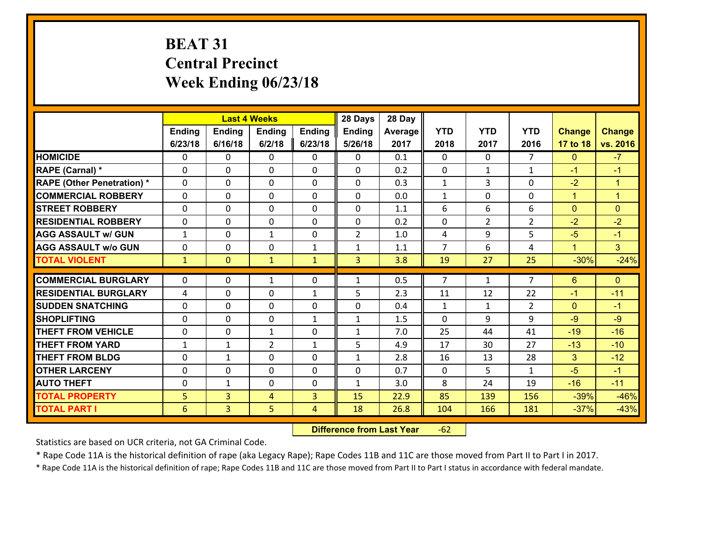# **BEAT 31 Central Precinct Week Ending 06/23/18**

|                                   |               |                | <b>Last 4 Weeks</b> |              | 28 Days        | 28 Day  |                |                |                |                |                |
|-----------------------------------|---------------|----------------|---------------------|--------------|----------------|---------|----------------|----------------|----------------|----------------|----------------|
|                                   | <b>Ending</b> | <b>Ending</b>  | <b>Ending</b>       | Ending       | <b>Ending</b>  | Average | <b>YTD</b>     | <b>YTD</b>     | <b>YTD</b>     | <b>Change</b>  | <b>Change</b>  |
|                                   | 6/23/18       | 6/16/18        | 6/2/18              | 6/23/18      | 5/26/18        | 2017    | 2018           | 2017           | 2016           | 17 to 18       | vs. 2016       |
| <b>HOMICIDE</b>                   | 0             | $\Omega$       | $\Omega$            | 0            | $\Omega$       | 0.1     | $\Omega$       | $\Omega$       | $\overline{7}$ | $\mathbf{0}$   | $-7$           |
| RAPE (Carnal) *                   | $\Omega$      | $\Omega$       | $\mathbf{0}$        | 0            | $\Omega$       | 0.2     | $\Omega$       | $\mathbf{1}$   | $\mathbf{1}$   | $-1$           | $-1$           |
| <b>RAPE (Other Penetration) *</b> | 0             | 0              | $\mathbf 0$         | 0            | 0              | 0.3     | $\mathbf{1}$   | 3              | 0              | $-2$           | $\mathbf{1}$   |
| <b>COMMERCIAL ROBBERY</b>         | 0             | 0              | $\mathbf 0$         | $\Omega$     | 0              | 0.0     | $\mathbf{1}$   | $\mathbf 0$    | 0              | $\mathbf{1}$   | $\mathbf{1}$   |
| <b>STREET ROBBERY</b>             | 0             | 0              | 0                   | $\Omega$     | 0              | 1.1     | 6              | 6              | 6              | $\overline{0}$ | $\mathbf{0}$   |
| <b>RESIDENTIAL ROBBERY</b>        | 0             | 0              | 0                   | $\Omega$     | 0              | 0.2     | $\mathbf 0$    | $\overline{2}$ | $\overline{2}$ | $-2$           | $-2$           |
| <b>AGG ASSAULT w/ GUN</b>         | $\mathbf{1}$  | 0              | $\mathbf{1}$        | $\Omega$     | $\overline{2}$ | 1.0     | 4              | 9              | 5              | $-5$           | $-1$           |
| <b>AGG ASSAULT w/o GUN</b>        | 0             | 0              | $\mathbf 0$         | $\mathbf{1}$ | 1              | 1.1     | $\overline{7}$ | 6              | 4              | $\mathbf{1}$   | 3 <sup>1</sup> |
| <b>TOTAL VIOLENT</b>              | $\mathbf{1}$  | $\overline{0}$ | $\mathbf{1}$        | $\mathbf{1}$ | 3              | 3.8     | 19             | 27             | 25             | $-30%$         | $-24%$         |
| <b>COMMERCIAL BURGLARY</b>        | 0             | 0              | $\mathbf{1}$        | 0            | $\mathbf{1}$   | 0.5     | $\overline{7}$ | $\mathbf{1}$   | $\overline{7}$ | 6              | $\mathbf{0}$   |
| <b>RESIDENTIAL BURGLARY</b>       | 4             | 0              | 0                   | $\mathbf{1}$ | 5              | 2.3     | 11             | 12             | 22             | $-1$           | $-11$          |
| <b>SUDDEN SNATCHING</b>           | 0             | 0              | 0                   | $\Omega$     | 0              | 0.4     | $\mathbf{1}$   | $\mathbf{1}$   | $\overline{2}$ | $\mathbf{0}$   | $-1$           |
| <b>SHOPLIFTING</b>                | 0             | $\mathbf 0$    | 0                   | $\mathbf{1}$ | $\mathbf{1}$   | 1.5     | $\mathbf 0$    | 9              | 9              | $-9$           | $-9$           |
| <b>THEFT FROM VEHICLE</b>         | 0             | 0              | $\mathbf{1}$        | $\Omega$     | $\mathbf{1}$   | 7.0     | 25             | 44             | 41             | $-19$          | $-16$          |
| <b>THEFT FROM YARD</b>            | $\mathbf{1}$  | $\mathbf{1}$   | $\overline{2}$      | $\mathbf{1}$ | 5              | 4.9     | 17             | 30             | 27             | $-13$          | $-10$          |
| <b>THEFT FROM BLDG</b>            | 0             | $\mathbf{1}$   | $\mathbf 0$         | $\Omega$     | $\mathbf{1}$   | 2.8     | 16             | 13             | 28             | 3              | $-12$          |
| <b>OTHER LARCENY</b>              | 0             | 0              | $\mathbf 0$         | 0            | 0              | 0.7     | $\mathbf 0$    | 5              | $\mathbf{1}$   | $-5$           | $-1$           |
| <b>AUTO THEFT</b>                 | 0             | $\mathbf{1}$   | $\mathbf 0$         | 0            | $\mathbf{1}$   | 3.0     | 8              | 24             | 19             | $-16$          | $-11$          |
| <b>TOTAL PROPERTY</b>             | 5             | $\overline{3}$ | 4                   | 3            | 15             | 22.9    | 85             | 139            | 156            | $-39%$         | $-46%$         |
| <b>TOTAL PART I</b>               | 6             | $\overline{3}$ | 5                   | 4            | 18             | 26.8    | 104            | 166            | 181            | $-37%$         | $-43%$         |

 **Difference from Last Year**r -62

Statistics are based on UCR criteria, not GA Criminal Code.

\* Rape Code 11A is the historical definition of rape (aka Legacy Rape); Rape Codes 11B and 11C are those moved from Part II to Part I in 2017.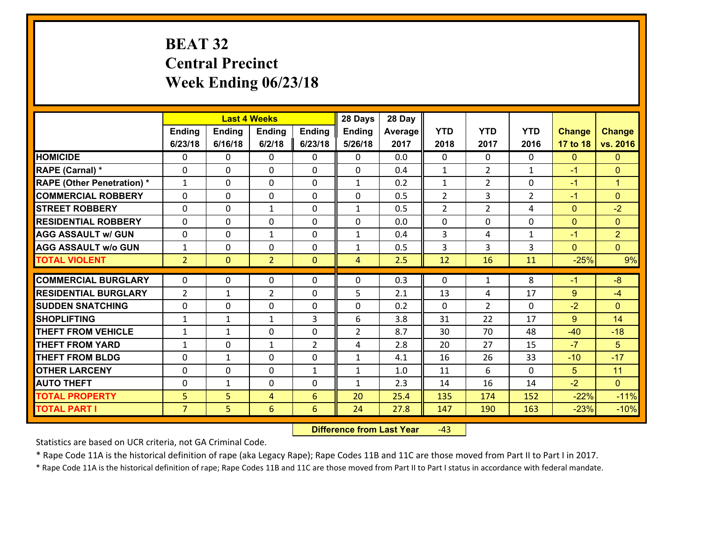# **BEAT 32 Central Precinct Week Ending 06/23/18**

|                                              |                     |                | <b>Last 4 Weeks</b> |                | 28 Days        | 28 Day       |                |                |                |                  |                  |
|----------------------------------------------|---------------------|----------------|---------------------|----------------|----------------|--------------|----------------|----------------|----------------|------------------|------------------|
|                                              | <b>Ending</b>       | <b>Ending</b>  | <b>Ending</b>       | <b>Ending</b>  | <b>Ending</b>  | Average      | <b>YTD</b>     | <b>YTD</b>     | <b>YTD</b>     | <b>Change</b>    | <b>Change</b>    |
|                                              | 6/23/18             | 6/16/18        | 6/2/18              | 6/23/18        | 5/26/18        | 2017         | 2018           | 2017           | 2016           | 17 to 18         | vs. 2016         |
| <b>HOMICIDE</b>                              | $\Omega$            | 0              | $\mathbf{0}$        | 0              | $\mathbf{0}$   | 0.0          | $\Omega$       | $\Omega$       | 0              | $\mathbf{0}$     | $\mathbf{0}$     |
| RAPE (Carnal) *                              | $\mathbf 0$         | 0              | $\mathbf{0}$        | $\Omega$       | 0              | 0.4          | 1              | $\overline{2}$ | $\mathbf{1}$   | $-1$             | $\mathbf{0}$     |
| <b>RAPE (Other Penetration) *</b>            | $\mathbf{1}$        | 0              | $\Omega$            | $\Omega$       | $\mathbf{1}$   | 0.2          | $\mathbf{1}$   | $\overline{2}$ | $\Omega$       | $-1$             | $\mathbf{1}$     |
| <b>COMMERCIAL ROBBERY</b>                    | $\mathbf 0$         | 0              | $\mathbf 0$         | 0              | 0              | 0.5          | $\overline{2}$ | 3              | $\overline{2}$ | $-1$             | $\overline{0}$   |
| <b>STREET ROBBERY</b>                        | $\Omega$            | 0              | $\mathbf{1}$        | $\Omega$       | $\mathbf{1}$   | 0.5          | $\overline{2}$ | $\overline{2}$ | 4              | $\mathbf{0}$     | $-2$             |
| <b>RESIDENTIAL ROBBERY</b>                   | $\mathbf{0}$        | 0              | $\mathbf 0$         | $\Omega$       | $\Omega$       | 0.0          | $\Omega$       | $\Omega$       | 0              | $\Omega$         | $\Omega$         |
| <b>AGG ASSAULT w/ GUN</b>                    | $\Omega$            | 0              | $\mathbf{1}$        | $\Omega$       | $\mathbf{1}$   | 0.4          | 3              | 4              | $\mathbf{1}$   | $-1$             | $\overline{2}$   |
| <b>AGG ASSAULT w/o GUN</b>                   | $\mathbf{1}$        | 0              | $\mathbf 0$         | 0              | $\mathbf{1}$   | 0.5          | 3              | 3              | 3              | $\Omega$         | $\overline{0}$   |
| <b>TOTAL VIOLENT</b>                         | 2 <sup>1</sup>      | $\overline{0}$ | $\overline{2}$      | $\mathbf{0}$   | 4              | 2.5          | 12             | 16             | 11             | $-25%$           | 9%               |
|                                              |                     |                |                     |                |                |              |                |                |                |                  |                  |
|                                              |                     |                |                     |                |                |              |                |                |                |                  |                  |
| <b>COMMERCIAL BURGLARY</b>                   | $\mathbf 0$         | 0              | $\mathbf{0}$        | $\mathbf{0}$   | 0              | 0.3          | $\mathbf{0}$   | $\mathbf{1}$   | 8              | $-1$             | $-8$             |
| <b>RESIDENTIAL BURGLARY</b>                  | $\overline{2}$      | $\mathbf{1}$   | $\overline{2}$      | $\Omega$       | 5              | 2.1          | 13             | 4              | 17             | 9                | $-4$             |
| <b>SUDDEN SNATCHING</b>                      | $\Omega$            | 0              | $\mathbf{0}$        | $\Omega$       | 0              | 0.2          | $\Omega$       | $\overline{2}$ | $\Omega$       | $-2$             | $\Omega$         |
| <b>SHOPLIFTING</b>                           | $\mathbf{1}$        | $\mathbf{1}$   | $\mathbf{1}$        | 3              | 6              | 3.8          | 31             | 22             | 17             | 9                | 14               |
| <b>THEFT FROM VEHICLE</b>                    | $\mathbf{1}$        | $\mathbf{1}$   | $\mathbf{0}$        | $\Omega$       | $\overline{2}$ | 8.7          | 30             | 70             | 48             | $-40$            | $-18$            |
| <b>THEFT FROM YARD</b>                       | $\mathbf{1}$        | 0              | $\mathbf{1}$        | $\overline{2}$ | 4              | 2.8          | 20             | 27             | 15             | $-7$             | 5                |
| <b>THEFT FROM BLDG</b>                       | $\mathbf 0$         | $\mathbf{1}$   | $\mathbf 0$         | 0              | $\mathbf{1}$   | 4.1          | 16             | 26             | 33             | $-10$            | $-17$            |
| <b>OTHER LARCENY</b>                         | $\mathbf 0$         | 0              | $\mathbf 0$         | $\mathbf{1}$   | $\mathbf{1}$   | 1.0          | 11             | 6              | $\Omega$       | $5\phantom{.0}$  | 11               |
| <b>AUTO THEFT</b>                            | $\mathbf{0}$        | $\mathbf{1}$   | $\mathbf{0}$        | 0              | $\mathbf{1}$   | 2.3          | 14             | 16             | 14             | $-2$             | $\overline{0}$   |
| <b>TOTAL PROPERTY</b><br><b>TOTAL PART I</b> | 5<br>$\overline{7}$ | 5<br>5         | 4<br>$6\phantom{1}$ | 6<br>6         | 20<br>24       | 25.4<br>27.8 | 135<br>147     | 174<br>190     | 152<br>163     | $-22%$<br>$-23%$ | $-11%$<br>$-10%$ |

 **Difference from Last Year**r -43

Statistics are based on UCR criteria, not GA Criminal Code.

\* Rape Code 11A is the historical definition of rape (aka Legacy Rape); Rape Codes 11B and 11C are those moved from Part II to Part I in 2017.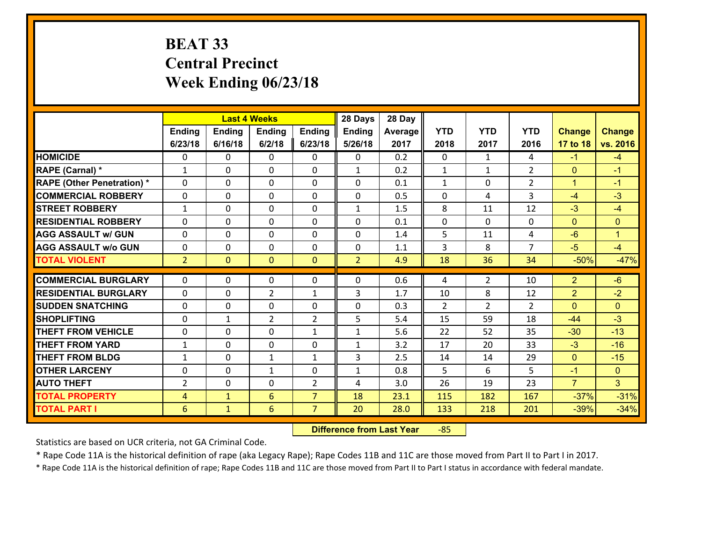# **BEAT 33 Central Precinct Week Ending 06/23/18**

|                                   |                 |                | <b>Last 4 Weeks</b> |                | 28 Days        | 28 Day  |              |                |                |                |                |
|-----------------------------------|-----------------|----------------|---------------------|----------------|----------------|---------|--------------|----------------|----------------|----------------|----------------|
|                                   | Ending          | <b>Ending</b>  | <b>Ending</b>       | Ending         | <b>Ending</b>  | Average | <b>YTD</b>   | <b>YTD</b>     | <b>YTD</b>     | <b>Change</b>  | <b>Change</b>  |
|                                   | 6/23/18         | 6/16/18        | 6/2/18              | 6/23/18        | 5/26/18        | 2017    | 2018         | 2017           | 2016           | 17 to 18       | vs. 2016       |
| <b>HOMICIDE</b>                   | $\Omega$        | 0              | $\Omega$            | 0              | $\Omega$       | 0.2     | 0            | $\mathbf{1}$   | 4              | $-1$           | $-4$           |
| RAPE (Carnal) *                   | $\mathbf{1}$    | 0              | $\mathbf{0}$        | 0              | $\mathbf{1}$   | 0.2     | $\mathbf{1}$ | $\mathbf{1}$   | $\overline{2}$ | $\mathbf{0}$   | $-1$           |
| <b>RAPE (Other Penetration) *</b> | $\Omega$        | 0              | $\mathbf{0}$        | $\Omega$       | $\Omega$       | 0.1     | $\mathbf{1}$ | 0              | $\overline{2}$ | $\mathbf{1}$   | $-1$           |
| <b>COMMERCIAL ROBBERY</b>         | 0               | 0              | 0                   | 0              | $\Omega$       | 0.5     | $\mathbf{0}$ | 4              | 3              | $-4$           | $-3$           |
| <b>STREET ROBBERY</b>             | $\mathbf{1}$    | 0              | $\mathbf 0$         | 0              | $\mathbf{1}$   | 1.5     | 8            | 11             | 12             | $-3$           | $-4$           |
| <b>RESIDENTIAL ROBBERY</b>        | $\Omega$        | $\Omega$       | $\mathbf 0$         | $\Omega$       | 0              | 0.1     | 0            | $\Omega$       | 0              | $\mathbf{0}$   | $\Omega$       |
| <b>AGG ASSAULT w/ GUN</b>         | 0               | 0              | $\mathbf 0$         | $\Omega$       | 0              | 1.4     | 5            | 11             | 4              | $-6$           | $\mathbf{1}$   |
| <b>AGG ASSAULT w/o GUN</b>        | 0               | 0              | $\mathbf 0$         | $\mathbf 0$    | 0              | 1.1     | 3            | 8              | $\overline{7}$ | $-5$           | $-4$           |
| <b>TOTAL VIOLENT</b>              | $\overline{2}$  | $\overline{0}$ | $\mathbf{O}$        | $\mathbf{0}$   | $\overline{2}$ | 4.9     | 18           | 36             | 34             | $-50%$         | $-47%$         |
| <b>COMMERCIAL BURGLARY</b>        | $\Omega$        | 0              | $\mathbf{0}$        | $\Omega$       | $\Omega$       | 0.6     | 4            | $\overline{2}$ | 10             | $\overline{2}$ | $-6$           |
| <b>RESIDENTIAL BURGLARY</b>       | 0               | 0              | $\overline{2}$      | $\mathbf{1}$   | 3              | 1.7     | 10           | 8              | 12             | $\overline{2}$ | $-2$           |
| <b>SUDDEN SNATCHING</b>           | 0               | 0              | $\mathbf 0$         | 0              | 0              | 0.3     | 2            | $\overline{2}$ | $\overline{2}$ | $\mathbf{0}$   | $\Omega$       |
| <b>SHOPLIFTING</b>                | 0               | $\mathbf{1}$   | $\overline{2}$      | $\overline{2}$ | 5              | 5.4     | 15           | 59             | 18             | $-44$          | $-3$           |
| <b>THEFT FROM VEHICLE</b>         | 0               | 0              | $\mathbf 0$         | $\mathbf{1}$   | $\mathbf{1}$   | 5.6     | 22           | 52             | 35             | $-30$          | $-13$          |
| <b>THEFT FROM YARD</b>            | $\mathbf 1$     | 0              | $\mathbf 0$         | 0              | $\mathbf{1}$   | 3.2     | 17           | 20             | 33             | $-3$           | $-16$          |
| <b>THEFT FROM BLDG</b>            | $\mathbf{1}$    | 0              | 1                   | $\mathbf{1}$   | 3              | 2.5     | 14           | 14             | 29             | $\mathbf{0}$   | $-15$          |
| <b>OTHER LARCENY</b>              | 0               | 0              | $\mathbf{1}$        | 0              | $\mathbf{1}$   | 0.8     | 5            | 6              | 5              | $-1$           | $\overline{0}$ |
| <b>AUTO THEFT</b>                 | $\overline{2}$  | 0              | $\mathbf{0}$        | 2              | 4              | 3.0     | 26           | 19             | 23             | $\overline{7}$ | 3 <sup>1</sup> |
| <b>TOTAL PROPERTY</b>             | 4               | $\mathbf{1}$   | 6                   | $\overline{7}$ | 18             | 23.1    | 115          | 182            | 167            | $-37%$         | $-31%$         |
| <b>TOTAL PART I</b>               | $6\phantom{1}6$ | $\mathbf{1}$   | 6                   | $\overline{7}$ | 20             | 28.0    | 133          | 218            | 201            | $-39%$         | $-34%$         |

 **Difference from Last Year**‐85

Statistics are based on UCR criteria, not GA Criminal Code.

\* Rape Code 11A is the historical definition of rape (aka Legacy Rape); Rape Codes 11B and 11C are those moved from Part II to Part I in 2017.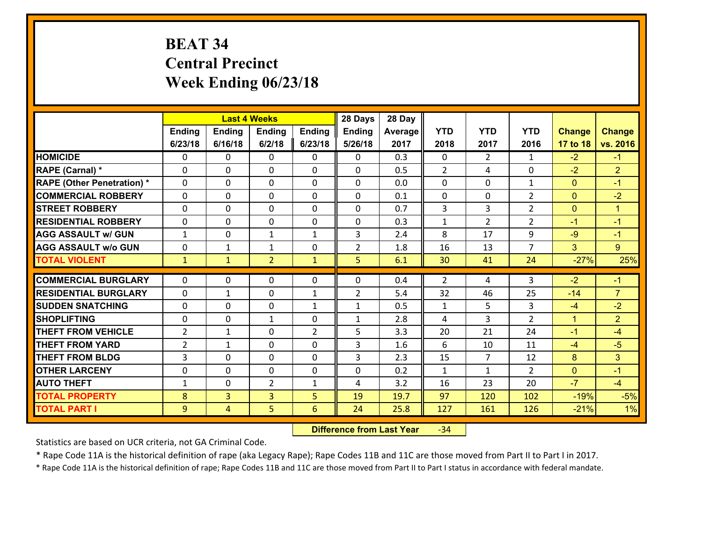# **BEAT 34 Central Precinct Week Ending 06/23/18**

|                                   |                |                | <b>Last 4 Weeks</b> |                | 28 Days        | 28 Day  |                |                |                |                |                |
|-----------------------------------|----------------|----------------|---------------------|----------------|----------------|---------|----------------|----------------|----------------|----------------|----------------|
|                                   | Ending         | <b>Ending</b>  | <b>Ending</b>       | Ending         | <b>Ending</b>  | Average | <b>YTD</b>     | <b>YTD</b>     | <b>YTD</b>     | <b>Change</b>  | <b>Change</b>  |
|                                   | 6/23/18        | 6/16/18        | 6/2/18              | 6/23/18        | 5/26/18        | 2017    | 2018           | 2017           | 2016           | 17 to 18       | vs. 2016       |
| <b>HOMICIDE</b>                   | $\Omega$       | 0              | $\Omega$            | 0              | $\Omega$       | 0.3     | $\Omega$       | $\overline{2}$ | $\mathbf{1}$   | $-2$           | $-1$           |
| RAPE (Carnal) *                   | 0              | 0              | $\mathbf{0}$        | 0              | $\Omega$       | 0.5     | 2              | 4              | $\Omega$       | $-2$           | $\overline{2}$ |
| <b>RAPE (Other Penetration) *</b> | $\Omega$       | 0              | $\mathbf{0}$        | $\Omega$       | $\Omega$       | 0.0     | $\Omega$       | $\Omega$       | $\mathbf{1}$   | $\mathbf{0}$   | $-1$           |
| <b>COMMERCIAL ROBBERY</b>         | 0              | 0              | 0                   | 0              | 0              | 0.1     | $\mathbf{0}$   | 0              | $\overline{2}$ | $\mathbf{0}$   | $-2$           |
| <b>STREET ROBBERY</b>             | $\Omega$       | 0              | $\mathbf 0$         | 0              | 0              | 0.7     | $\overline{3}$ | $\overline{3}$ | $\overline{2}$ | $\overline{0}$ | $\mathbf{1}$   |
| <b>RESIDENTIAL ROBBERY</b>        | $\Omega$       | $\Omega$       | $\mathbf 0$         | $\Omega$       | 0              | 0.3     | $\mathbf{1}$   | $\overline{2}$ | $\overline{2}$ | $-1$           | $-1$           |
| <b>AGG ASSAULT w/ GUN</b>         | $\mathbf{1}$   | 0              | $\mathbf{1}$        | $\mathbf{1}$   | 3              | 2.4     | 8              | 17             | 9              | $-9$           | $-1$           |
| <b>AGG ASSAULT w/o GUN</b>        | 0              | 1              | 1                   | 0              | $\overline{2}$ | 1.8     | 16             | 13             | $\overline{7}$ | 3              | 9              |
| <b>TOTAL VIOLENT</b>              | $\mathbf{1}$   | $\mathbf{1}$   | $\overline{2}$      | $\mathbf{1}$   | 5              | 6.1     | 30             | 41             | 24             | $-27%$         | 25%            |
| <b>COMMERCIAL BURGLARY</b>        | $\Omega$       | 0              | $\mathbf{0}$        | $\Omega$       | $\Omega$       | 0.4     | $\overline{2}$ | 4              | 3              | $-2$           | $-1$           |
|                                   |                |                |                     |                |                |         |                |                |                |                |                |
| <b>RESIDENTIAL BURGLARY</b>       | 0              | 1              | $\mathbf 0$         | $\mathbf{1}$   | $\overline{2}$ | 5.4     | 32             | 46             | 25             | $-14$          | $\overline{7}$ |
| <b>SUDDEN SNATCHING</b>           | 0              | 0              | $\mathbf 0$         | $\mathbf{1}$   | $\mathbf{1}$   | 0.5     | $\mathbf{1}$   | 5              | 3              | $-4$           | $-2$           |
| <b>SHOPLIFTING</b>                | 0              | 0              | 1                   | 0              | $\mathbf{1}$   | 2.8     | 4              | 3              | $\overline{2}$ | $\mathbf{1}$   | $\overline{2}$ |
| <b>THEFT FROM VEHICLE</b>         | $\overline{2}$ | $\mathbf{1}$   | $\mathbf 0$         | $\overline{2}$ | 5              | 3.3     | 20             | 21             | 24             | $-1$           | $-4$           |
| <b>THEFT FROM YARD</b>            | $\overline{2}$ | $\mathbf{1}$   | $\mathbf 0$         | 0              | 3              | 1.6     | 6              | 10             | 11             | $-4$           | $-5$           |
| <b>THEFT FROM BLDG</b>            | 3              | 0              | $\mathbf 0$         | 0              | 3              | 2.3     | 15             | $\overline{7}$ | 12             | 8              | 3              |
| <b>OTHER LARCENY</b>              | 0              | 0              | $\mathbf 0$         | 0              | 0              | 0.2     | $\mathbf{1}$   | $\mathbf{1}$   | $\overline{2}$ | $\mathbf{0}$   | $-1$           |
| <b>AUTO THEFT</b>                 | $\mathbf{1}$   | 0              | $\overline{2}$      | $\mathbf{1}$   | 4              | 3.2     | 16             | 23             | 20             | $-7$           | $-4$           |
| <b>TOTAL PROPERTY</b>             | 8              | $\overline{3}$ | $\overline{3}$      | 5              | 19             | 19.7    | 97             | 120            | 102            | $-19%$         | $-5%$          |
| <b>TOTAL PART I</b>               | 9              | $\overline{4}$ | 5                   | 6              | 24             | 25.8    | 127            | 161            | 126            | $-21%$         | 1%             |

 **Difference from Last Year**‐34

Statistics are based on UCR criteria, not GA Criminal Code.

\* Rape Code 11A is the historical definition of rape (aka Legacy Rape); Rape Codes 11B and 11C are those moved from Part II to Part I in 2017.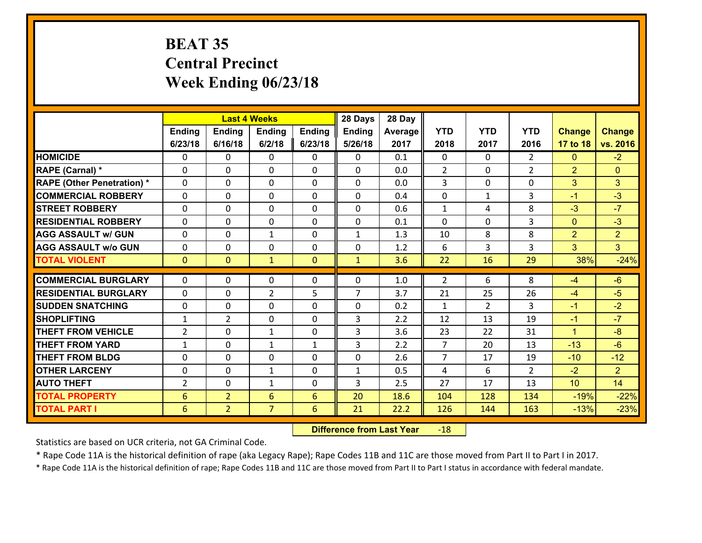## **BEAT 35 Central Precinct Week Ending 06/23/18**

|                                   |                 |                | <b>Last 4 Weeks</b> |              | 28 Days        | 28 Day  |                |                |                |                |                |
|-----------------------------------|-----------------|----------------|---------------------|--------------|----------------|---------|----------------|----------------|----------------|----------------|----------------|
|                                   | Ending          | <b>Ending</b>  | <b>Ending</b>       | Ending       | <b>Ending</b>  | Average | <b>YTD</b>     | <b>YTD</b>     | <b>YTD</b>     | <b>Change</b>  | <b>Change</b>  |
|                                   | 6/23/18         | 6/16/18        | 6/2/18              | 6/23/18      | 5/26/18        | 2017    | 2018           | 2017           | 2016           | 17 to 18       | vs. 2016       |
| <b>HOMICIDE</b>                   | $\Omega$        | 0              | $\Omega$            | 0            | $\Omega$       | 0.1     | $\Omega$       | $\Omega$       | $\mathcal{L}$  | $\mathbf{0}$   | $-2$           |
| RAPE (Carnal) *                   | 0               | 0              | $\mathbf{0}$        | 0            | $\Omega$       | 0.0     | 2              | 0              | $\overline{2}$ | $\overline{2}$ | $\mathbf{0}$   |
| <b>RAPE (Other Penetration) *</b> | $\Omega$        | 0              | $\mathbf{0}$        | $\Omega$     | $\Omega$       | 0.0     | 3              | $\Omega$       | $\Omega$       | 3              | 3              |
| <b>COMMERCIAL ROBBERY</b>         | 0               | 0              | 0                   | 0            | 0              | 0.4     | $\mathbf 0$    | $\mathbf{1}$   | 3              | $-1$           | $-3$           |
| <b>STREET ROBBERY</b>             | $\Omega$        | 0              | $\mathbf 0$         | 0            | 0              | 0.6     | $\mathbf{1}$   | 4              | 8              | $-3$           | $-7$           |
| <b>RESIDENTIAL ROBBERY</b>        | $\Omega$        | $\Omega$       | $\mathbf 0$         | $\Omega$     | 0              | 0.1     | $\Omega$       | $\Omega$       | 3              | $\mathbf{0}$   | $-3$           |
| <b>AGG ASSAULT w/ GUN</b>         | $\Omega$        | 0              | $\mathbf{1}$        | 0            | $\mathbf{1}$   | 1.3     | 10             | 8              | 8              | $\overline{2}$ | $\overline{2}$ |
| <b>AGG ASSAULT w/o GUN</b>        | 0               | 0              | $\mathbf 0$         | 0            | 0              | 1.2     | 6              | 3              | 3              | 3              | 3 <sup>1</sup> |
| <b>TOTAL VIOLENT</b>              | $\mathbf{0}$    | $\overline{0}$ | $\mathbf{1}$        | $\mathbf{0}$ | $\mathbf{1}$   | 3.6     | 22             | 16             | 29             | 38%            | $-24%$         |
| <b>COMMERCIAL BURGLARY</b>        | $\Omega$        | 0              | $\mathbf{0}$        | $\Omega$     | $\Omega$       | 1.0     | $\overline{2}$ | 6              | 8              | $-4$           | $-6$           |
|                                   |                 |                |                     |              | $\overline{7}$ |         |                |                |                |                |                |
| <b>RESIDENTIAL BURGLARY</b>       | 0               | 0              | $\overline{2}$      | 5            |                | 3.7     | 21             | 25             | 26             | $-4$           | $-5$           |
| <b>SUDDEN SNATCHING</b>           | 0               | 0              | $\mathbf 0$         | 0            | 0              | 0.2     | $\mathbf{1}$   | $\overline{2}$ | 3              | $-1$           | $-2$           |
| <b>SHOPLIFTING</b>                | $\mathbf{1}$    | $\overline{2}$ | $\mathbf 0$         | 0            | 3              | 2.2     | 12             | 13             | 19             | $-1$           | $-7$           |
| <b>THEFT FROM VEHICLE</b>         | $\overline{2}$  | 0              | 1                   | 0            | 3              | 3.6     | 23             | 22             | 31             | $\mathbf{1}$   | $-8$           |
| <b>THEFT FROM YARD</b>            | $\mathbf{1}$    | 0              | 1                   | $\mathbf{1}$ | 3              | 2.2     | $\overline{7}$ | 20             | 13             | $-13$          | $-6$           |
| <b>THEFT FROM BLDG</b>            | 0               | 0              | $\mathbf 0$         | 0            | 0              | 2.6     | $\overline{7}$ | 17             | 19             | $-10$          | $-12$          |
| <b>OTHER LARCENY</b>              | 0               | 0              | $\mathbf{1}$        | 0            | $\mathbf{1}$   | 0.5     | 4              | 6              | $\overline{2}$ | $-2$           | $\overline{2}$ |
| <b>AUTO THEFT</b>                 | 2               | 0              | $\mathbf{1}$        | 0            | 3              | 2.5     | 27             | 17             | 13             | 10             | 14             |
| <b>TOTAL PROPERTY</b>             | $6\phantom{1}6$ | $\overline{2}$ | 6                   | 6            | 20             | 18.6    | 104            | 128            | 134            | $-19%$         | $-22%$         |
| <b>TOTAL PART I</b>               | 6               | $\overline{2}$ | $\overline{7}$      | 6            | 21             | 22.2    | 126            | 144            | 163            | $-13%$         | $-23%$         |

 **Difference from Last Year**r -18

Statistics are based on UCR criteria, not GA Criminal Code.

\* Rape Code 11A is the historical definition of rape (aka Legacy Rape); Rape Codes 11B and 11C are those moved from Part II to Part I in 2017.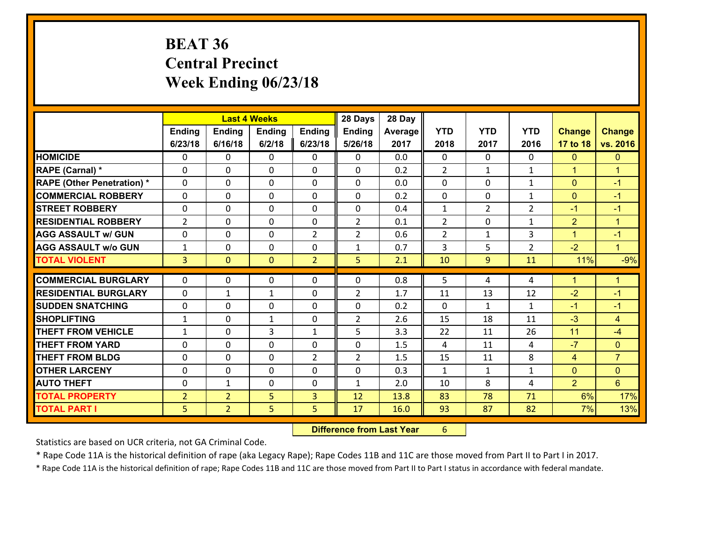# **BEAT 36 Central Precinct Week Ending 06/23/18**

|                                   |                |                | <b>Last 4 Weeks</b> |                | 28 Days        | 28 Day  |                |                |                |                |                      |
|-----------------------------------|----------------|----------------|---------------------|----------------|----------------|---------|----------------|----------------|----------------|----------------|----------------------|
|                                   | Ending         | <b>Ending</b>  | <b>Ending</b>       | <b>Ending</b>  | <b>Ending</b>  | Average | <b>YTD</b>     | <b>YTD</b>     | <b>YTD</b>     | <b>Change</b>  | <b>Change</b>        |
|                                   | 6/23/18        | 6/16/18        | 6/2/18              | 6/23/18        | 5/26/18        | 2017    | 2018           | 2017           | 2016           | 17 to 18       | vs. 2016             |
| <b>HOMICIDE</b>                   | $\Omega$       | 0              | 0                   | 0              | 0              | 0.0     | $\Omega$       | $\Omega$       | 0              | $\mathbf{0}$   | $\mathbf{0}$         |
| RAPE (Carnal) *                   | $\Omega$       | 0              | $\mathbf 0$         | 0              | 0              | 0.2     | $\overline{2}$ | $\mathbf{1}$   | $\mathbf{1}$   | $\mathbf{1}$   | $\blacktriangleleft$ |
| <b>RAPE (Other Penetration) *</b> | $\Omega$       | 0              | $\mathbf{0}$        | $\Omega$       | 0              | 0.0     | $\Omega$       | $\Omega$       | $\mathbf{1}$   | $\mathbf{0}$   | $-1$                 |
| <b>COMMERCIAL ROBBERY</b>         | $\Omega$       | $\Omega$       | $\mathbf 0$         | $\Omega$       | $\Omega$       | 0.2     | $\Omega$       | $\Omega$       | $\mathbf{1}$   | $\overline{0}$ | $-1$                 |
| <b>STREET ROBBERY</b>             | $\Omega$       | 0              | $\mathbf{0}$        | $\Omega$       | 0              | 0.4     | $\mathbf{1}$   | $\overline{2}$ | $\overline{2}$ | $-1$           | $-1$                 |
| <b>RESIDENTIAL ROBBERY</b>        | $\overline{2}$ | 0              | $\mathbf{0}$        | $\Omega$       | $\overline{2}$ | 0.1     | $\overline{2}$ | $\Omega$       | $\mathbf{1}$   | $\overline{2}$ | $\blacktriangleleft$ |
| <b>AGG ASSAULT w/ GUN</b>         | 0              | 0              | $\mathbf 0$         | $\overline{2}$ | $\overline{2}$ | 0.6     | $\overline{2}$ | $\mathbf{1}$   | 3              | $\mathbf{1}$   | $-1$                 |
| <b>AGG ASSAULT w/o GUN</b>        | $\mathbf{1}$   | 0              | 0                   | 0              | $\mathbf{1}$   | 0.7     | 3              | 5              | $\overline{2}$ | $-2$           | $\mathbf{1}$         |
| <b>TOTAL VIOLENT</b>              | $\overline{3}$ | $\overline{0}$ | $\mathbf{0}$        | $\overline{2}$ | 5              | 2.1     | 10             | 9              | 11             | 11%            | $-9%$                |
|                                   |                |                |                     |                |                |         |                |                |                |                |                      |
|                                   |                |                |                     |                |                |         |                |                |                |                |                      |
| <b>COMMERCIAL BURGLARY</b>        | $\mathbf{0}$   | 0              | 0                   | 0              | $\Omega$       | 0.8     | 5              | 4              | 4              | $\mathbf 1$    | 1                    |
| <b>RESIDENTIAL BURGLARY</b>       | $\Omega$       | 1              | $\mathbf{1}$        | $\Omega$       | $\overline{2}$ | 1.7     | 11             | 13             | 12             | $-2$           | $-1$                 |
| <b>SUDDEN SNATCHING</b>           | 0              | 0              | $\mathbf{0}$        | 0              | $\Omega$       | 0.2     | $\mathbf{0}$   | $\mathbf{1}$   | $\mathbf{1}$   | $-1$           | $-1$                 |
| <b>SHOPLIFTING</b>                | 1              | 0              | $\mathbf{1}$        | $\Omega$       | $\overline{2}$ | 2.6     | 15             | 18             | 11             | $-3$           | $\overline{4}$       |
| <b>THEFT FROM VEHICLE</b>         | $\mathbf{1}$   | 0              | 3                   | $\mathbf{1}$   | 5              | 3.3     | 22             | 11             | 26             | 11             | $-4$                 |
| <b>THEFT FROM YARD</b>            | 0              | 0              | $\mathbf 0$         | 0              | $\Omega$       | 1.5     | 4              | 11             | 4              | $-7$           | $\mathbf{0}$         |
| <b>THEFT FROM BLDG</b>            | $\Omega$       | $\Omega$       | $\Omega$            | $\mathcal{L}$  | $\overline{2}$ | 1.5     | 15             | 11             | 8              | $\overline{4}$ | $\overline{7}$       |
| <b>OTHER LARCENY</b>              | 0              | 0              | $\mathbf{0}$        | $\Omega$       | $\Omega$       | 0.3     | $\mathbf{1}$   | $\mathbf{1}$   | $\mathbf{1}$   | $\mathbf{0}$   | $\mathbf{0}$         |
| <b>AUTO THEFT</b>                 | 0              | 1              | $\mathbf{0}$        | 0              | $\mathbf{1}$   | 2.0     | 10             | 8              | 4              | $\overline{2}$ | 6                    |
| <b>TOTAL PROPERTY</b>             | $\overline{2}$ | $\overline{2}$ | 5                   | 3              | 12             | 13.8    | 83             | 78             | 71             | 6%             | 17%                  |
| <b>TOTAL PART I</b>               | 5              | $\overline{2}$ | 5                   | 5              | 17             | 16.0    | 93             | 87             | 82             | 7%             | 13%                  |

 **Difference from Last Year**r 6

Statistics are based on UCR criteria, not GA Criminal Code.

\* Rape Code 11A is the historical definition of rape (aka Legacy Rape); Rape Codes 11B and 11C are those moved from Part II to Part I in 2017.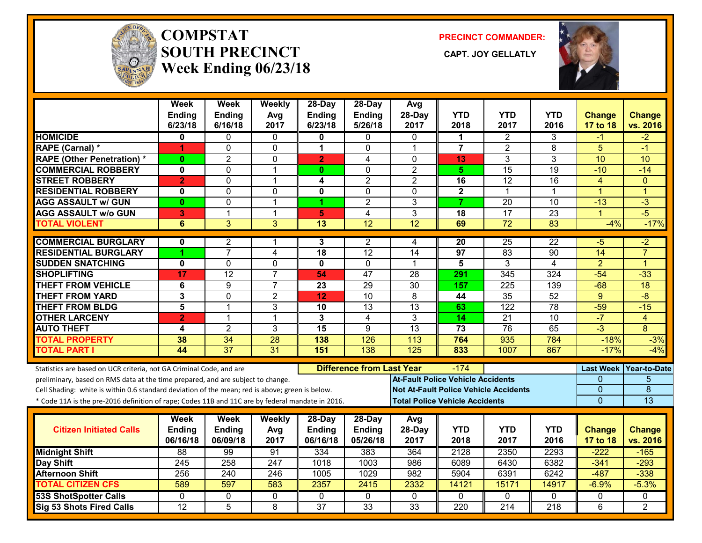

#### **COMPSTATSOUTH PRECINCT** CAPT. JOY GELLATLY **Week Ending 06/23/18**

**PRECINCT COMMANDER:**



|                                                                                                  | <b>Week</b><br>Ending | <b>Week</b><br><b>Ending</b> | Weekly<br>Avg  | 28-Day<br><b>Ending</b>   | 28-Day<br>Ending                 | Avg<br>28-Day                            | <b>YTD</b>                            | <b>YTD</b>                                   | <b>YTD</b>       | <b>Change</b>             | <b>Change</b>             |
|--------------------------------------------------------------------------------------------------|-----------------------|------------------------------|----------------|---------------------------|----------------------------------|------------------------------------------|---------------------------------------|----------------------------------------------|------------------|---------------------------|---------------------------|
|                                                                                                  | 6/23/18               | 6/16/18                      | 2017           | 6/23/18                   | 5/26/18                          | 2017                                     | 2018                                  | 2017                                         | 2016             | 17 to 18                  | vs. 2016                  |
| <b>HOMICIDE</b>                                                                                  | 0                     | 0                            | $\Omega$       | 0                         | 0                                | 0                                        | 1                                     | $\overline{2}$                               | 3                | -1                        | $-2$                      |
| <b>RAPE (Carnal) *</b>                                                                           | 4                     | 0                            | $\mathbf 0$    | 1                         | 0                                | $\mathbf{1}$                             | $\overline{7}$                        | $\overline{2}$                               | 8                | 5                         | $-1$                      |
| <b>RAPE (Other Penetration)*</b>                                                                 | $\bf{0}$              | $\overline{2}$               | $\mathbf 0$    | $\overline{2}$            | $\overline{4}$                   | $\Omega$                                 | 13                                    | $\overline{3}$                               | 3                | 10                        | 10                        |
| <b>COMMERCIAL ROBBERY</b>                                                                        | 0                     | 0                            | $\mathbf 1$    | $\mathbf{0}$              | 0                                | $\overline{c}$                           | 5.                                    | 15                                           | 19               | $-10$                     | $-14$                     |
| <b>STREET ROBBERY</b>                                                                            | $\overline{2}$        | 0                            | $\mathbf{1}$   | 4                         | $\overline{2}$                   | $\overline{2}$                           | 16                                    | 12                                           | 16               | $\overline{4}$            | $\mathbf{0}$              |
| <b>RESIDENTIAL ROBBERY</b>                                                                       | $\mathbf 0$           | 0                            | $\mathbf{0}$   | 0                         | $\mathbf{0}$                     | $\mathbf{0}$                             | $\mathbf{2}$                          | $\mathbf 1$                                  | 1                | $\overline{1}$            | 1                         |
| <b>AGG ASSAULT w/ GUN</b>                                                                        | 0                     | 0                            | $\overline{1}$ | 1                         | $\overline{2}$                   | 3                                        | $\overline{7}$                        | 20                                           | 10               | $-13$                     | $-3$                      |
| <b>AGG ASSAULT w/o GUN</b>                                                                       | 3                     | $\mathbf{1}$                 | $\mathbf{1}$   | 5                         | $\overline{4}$                   | 3                                        | 18                                    | $\overline{17}$                              | 23               | $\overline{1}$            | $-5$                      |
| <b>TOTAL VIOLENT</b>                                                                             | $6\phantom{1}$        | $\overline{3}$               | 3              | $\overline{13}$           | $\overline{12}$                  | 12                                       | 69                                    | $\overline{72}$                              | $\overline{83}$  | $-4%$                     | $-17%$                    |
| <b>COMMERCIAL BURGLARY</b>                                                                       | 0                     | 2                            | -1             | 3                         | $\overline{2}$                   | 4                                        | 20                                    | 25                                           | 22               | -5                        | -2                        |
| <b>RESIDENTIAL BURGLARY</b>                                                                      |                       | $\overline{7}$               | 4              | 18                        | 12                               | 14                                       | 97                                    | 83                                           | 90               | $\overline{14}$           | $\overline{7}$            |
| <b>SUDDEN SNATCHING</b>                                                                          | $\mathbf{0}$          | 0                            | $\mathbf 0$    | 0                         | $\mathbf 0$                      | 1                                        | $\overline{\mathbf{5}}$               | 3                                            | $\overline{4}$   | $\overline{2}$            | 1                         |
| <b>SHOPLIFTING</b>                                                                               | 17                    | $\overline{12}$              | $\overline{7}$ | 54                        | 47                               | 28                                       | 291                                   | 345                                          | 324              | $-54$                     | $-33$                     |
| <b>THEFT FROM VEHICLE</b>                                                                        | 6                     | 9                            | $\overline{7}$ | 23                        | $\overline{29}$                  | $\overline{30}$                          | 157                                   | $\overline{225}$                             | 139              | $-68$                     | $\overline{18}$           |
| <b>THEFT FROM YARD</b>                                                                           | 3                     | $\overline{0}$               | $\overline{2}$ | 12                        | 10                               | $\overline{8}$                           | 44                                    | 35                                           | 52               | $\overline{9}$            | $-8$                      |
| <b>THEFT FROM BLDG</b>                                                                           | 5                     | $\mathbf{1}$                 | 3              | 10                        | 13                               | 13                                       | 63                                    | 122                                          | 78               | $-59$                     | $-15$                     |
| <b>OTHER LARCENY</b>                                                                             | $\overline{2}$        | $\mathbf{1}$                 | $\overline{1}$ | 3                         | 4                                | 3                                        | $\overline{14}$                       | $\overline{21}$                              | $\overline{10}$  | $-7$                      | $\overline{4}$            |
| <b>AUTO THEFT</b>                                                                                | 4                     | $\overline{2}$               | 3              | $\overline{15}$           | 9                                | $\overline{13}$                          | $\overline{73}$                       | 76                                           | 65               | $-3$                      | 8                         |
| <b>TOTAL PROPERTY</b>                                                                            | 38                    | 34                           | 28             | 138                       | 126                              | 113                                      | 764                                   | 935                                          | 784              | $-18%$                    | $-3%$                     |
| <b>TOTAL PART I</b>                                                                              | 44                    | $\overline{37}$              | 31             | 151                       | 138                              | 125                                      | 833                                   | 1007                                         | 867              | $-17%$                    | $-4%$                     |
| Statistics are based on UCR criteria, not GA Criminal Code, and are                              |                       |                              |                |                           | <b>Difference from Last Year</b> |                                          | $-174$                                |                                              |                  | <b>Last Week</b>          | Year-to-Date              |
| preliminary, based on RMS data at the time prepared, and are subject to change.                  |                       |                              |                |                           |                                  | <b>At-Fault Police Vehicle Accidents</b> |                                       |                                              |                  | 0                         | 5                         |
| Cell Shading: white is within 0.6 standard deviation of the mean; red is above; green is below.  |                       |                              |                |                           |                                  |                                          |                                       | <b>Not At-Fault Police Vehicle Accidents</b> |                  | 0                         | $\overline{8}$            |
| * Code 11A is the pre-2016 definition of rape; Codes 11B and 11C are by federal mandate in 2016. |                       |                              |                |                           |                                  |                                          | <b>Total Police Vehicle Accidents</b> |                                              |                  | $\overline{0}$            | 13                        |
|                                                                                                  |                       |                              |                |                           |                                  |                                          |                                       |                                              |                  |                           |                           |
|                                                                                                  | Week                  | Week                         | Weekly         | 28-Day                    | 28-Day                           | Avg                                      | <b>YTD</b>                            | <b>YTD</b>                                   | <b>YTD</b>       |                           |                           |
| <b>Citizen Initiated Calls</b>                                                                   | Ending<br>06/16/18    | Ending<br>06/09/18           | Avg<br>2017    | <b>Ending</b><br>06/16/18 | Ending<br>05/26/18               | 28-Day<br>2017                           | 2018                                  | 2017                                         | 2016             | <b>Change</b><br>17 to 18 | <b>Change</b><br>vs. 2016 |
| <b>Midnight Shift</b>                                                                            | $\overline{88}$       | 99                           | 91             | 334                       | 383                              | 364                                      | 2128                                  | 2350                                         | 2293             | $-222$                    | $-165$                    |
| Day Shift                                                                                        | 245                   | 258                          | 247            | 1018                      | 1003                             | 986                                      | 6089                                  | 6430                                         | 6382             | $-341$                    | $-293$                    |
| <b>Afternoon Shift</b>                                                                           | 256                   | 240                          | 246            | 1005                      | 1029                             | 982                                      | 5904                                  | 6391                                         | 6242             | $-487$                    | $-338$                    |
| <b>TOTAL CITIZEN CFS</b>                                                                         | 589                   | 597                          | 583            | 2357                      | 2415                             | 2332                                     | 14121                                 | 15171                                        | 14917            | $-6.9%$                   | $-5.3%$                   |
| <b>53S ShotSpotter Calls</b>                                                                     | $\mathbf{0}$          | 0                            | 0              | $\mathbf{0}$              | $\mathbf{0}$                     | $\mathbf{0}$                             | $\mathbf{0}$                          | $\Omega$                                     | $\Omega$         | $\mathbf{0}$              | $\mathbf{0}$              |
| <b>Sig 53 Shots Fired Calls</b>                                                                  | $\overline{12}$       | $\overline{5}$               | 8              | $\overline{37}$           | 33                               | $\overline{33}$                          | 220                                   | $\overline{214}$                             | $\overline{218}$ | 6                         | 2                         |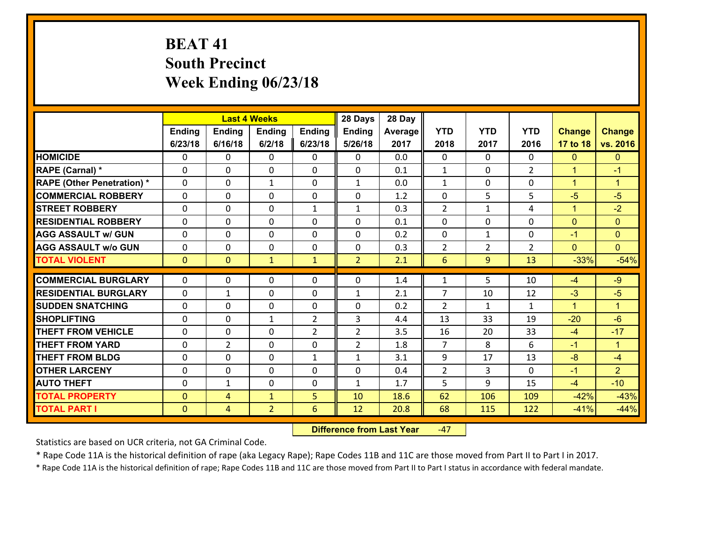# **BEAT 41 South Precinct Week Ending 06/23/18**

|                                   |               |                | <b>Last 4 Weeks</b> |                | 28 Days        | 28 Day  |                |                |                |                      |                      |
|-----------------------------------|---------------|----------------|---------------------|----------------|----------------|---------|----------------|----------------|----------------|----------------------|----------------------|
|                                   | <b>Ending</b> | <b>Ending</b>  | <b>Ending</b>       | Ending         | <b>Ending</b>  | Average | <b>YTD</b>     | <b>YTD</b>     | <b>YTD</b>     | <b>Change</b>        | <b>Change</b>        |
|                                   | 6/23/18       | 6/16/18        | 6/2/18              | 6/23/18        | 5/26/18        | 2017    | 2018           | 2017           | 2016           | 17 to 18             | vs. 2016             |
| <b>HOMICIDE</b>                   | 0             | 0              | 0                   | 0              | $\mathbf{0}$   | 0.0     | $\mathbf{0}$   | $\Omega$       | 0              | $\mathbf{0}$         | $\mathbf{0}$         |
| RAPE (Carnal) *                   | 0             | $\Omega$       | $\mathbf{0}$        | 0              | 0              | 0.1     | 1              | 0              | $\overline{2}$ | $\mathbf{1}$         | $-1$                 |
| <b>RAPE (Other Penetration) *</b> | $\Omega$      | 0              | $\mathbf{1}$        | 0              | $\mathbf{1}$   | 0.0     | $\mathbf{1}$   | $\Omega$       | $\Omega$       | $\blacktriangleleft$ | $\blacktriangleleft$ |
| <b>COMMERCIAL ROBBERY</b>         | 0             | $\Omega$       | $\mathbf 0$         | $\Omega$       | 0              | 1.2     | $\mathbf 0$    | 5              | 5              | $-5$                 | $-5$                 |
| <b>ISTREET ROBBERY</b>            | 0             | 0              | $\mathbf 0$         | $\mathbf{1}$   | $\mathbf{1}$   | 0.3     | $\overline{2}$ | $\mathbf{1}$   | 4              | $\mathbf{1}$         | $-2$                 |
| <b>RESIDENTIAL ROBBERY</b>        | 0             | 0              | 0                   | $\Omega$       | 0              | 0.1     | $\mathbf 0$    | $\mathbf{0}$   | 0              | $\overline{0}$       | $\mathbf{0}$         |
| <b>AGG ASSAULT w/ GUN</b>         | 0             | 0              | $\mathbf 0$         | $\Omega$       | 0              | 0.2     | $\mathbf 0$    | $\mathbf{1}$   | 0              | $-1$                 | $\mathbf{0}$         |
| <b>AGG ASSAULT w/o GUN</b>        | 0             | 0              | 0                   | $\Omega$       | 0              | 0.3     | $\overline{2}$ | $\overline{2}$ | $\overline{2}$ | $\overline{0}$       | $\overline{0}$       |
| <b>TOTAL VIOLENT</b>              | $\mathbf{0}$  | $\overline{0}$ | $\mathbf{1}$        | $\mathbf{1}$   | $\overline{2}$ | 2.1     | 6              | 9              | 13             | $-33%$               | $-54%$               |
| <b>COMMERCIAL BURGLARY</b>        | $\Omega$      | 0              | $\mathbf{0}$        | 0              | 0              | 1.4     | 1              | 5              | 10             | $-4$                 | $-9$                 |
| <b>RESIDENTIAL BURGLARY</b>       | $\Omega$      | $\mathbf{1}$   | $\Omega$            | 0              | $\mathbf{1}$   | 2.1     | $\overline{7}$ | 10             | 12             | $-3$                 | $-5$                 |
| <b>SUDDEN SNATCHING</b>           | $\Omega$      | $\Omega$       | $\mathbf 0$         | $\Omega$       | 0              | 0.2     | $\overline{2}$ | $\mathbf{1}$   | $\mathbf{1}$   | $\mathbf{1}$         | $\blacktriangleleft$ |
| <b>SHOPLIFTING</b>                | $\Omega$      | $\Omega$       | $\mathbf{1}$        | 2              | 3              | 4.4     | 13             | 33             | 19             | $-20$                | $-6$                 |
| <b>THEFT FROM VEHICLE</b>         | $\Omega$      | 0              | $\mathbf{0}$        | $\overline{2}$ | $\overline{2}$ | 3.5     | 16             | 20             | 33             | $-4$                 | $-17$                |
| <b>THEFT FROM YARD</b>            | 0             | $\overline{2}$ | $\mathbf 0$         | $\Omega$       | $\overline{2}$ | 1.8     | $\overline{7}$ | 8              | 6              | $-1$                 | $\blacktriangleleft$ |
| <b>THEFT FROM BLDG</b>            | 0             | 0              | $\mathbf 0$         | $\mathbf{1}$   | $\mathbf{1}$   | 3.1     | 9              | 17             | 13             | $-8$                 | $-4$                 |
| <b>OTHER LARCENY</b>              | 0             | 0              | $\mathbf 0$         | 0              | 0              | 0.4     | $\overline{2}$ | 3              | $\Omega$       | $-1$                 | 2 <sup>1</sup>       |
| <b>AUTO THEFT</b>                 | 0             | $\mathbf{1}$   | 0                   | $\Omega$       | 1              | 1.7     | 5              | 9              | 15             | $-4$                 | $-10$                |
| <b>TOTAL PROPERTY</b>             | $\mathbf{0}$  | 4              | $\mathbf{1}$        | 5              | 10             | 18.6    | 62             | 106            | 109            | $-42%$               | $-43%$               |
| <b>TOTAL PART I</b>               | $\mathbf 0$   | $\overline{4}$ | $\overline{2}$      | 6              | 12             | 20.8    | 68             | 115            | 122            | $-41%$               | $-44%$               |

 **Difference from Last Year**‐47

Statistics are based on UCR criteria, not GA Criminal Code.

\* Rape Code 11A is the historical definition of rape (aka Legacy Rape); Rape Codes 11B and 11C are those moved from Part II to Part I in 2017.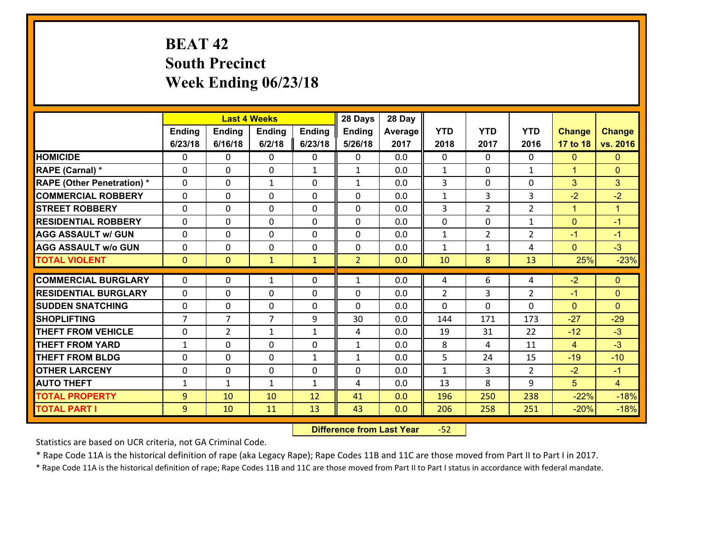# **BEAT 42 South Precinct Week Ending 06/23/18**

|                                   |                |                | <b>Last 4 Weeks</b> |               | 28 Days        | 28 Day  |                |                |                |                |                      |
|-----------------------------------|----------------|----------------|---------------------|---------------|----------------|---------|----------------|----------------|----------------|----------------|----------------------|
|                                   | <b>Ending</b>  | <b>Ending</b>  | <b>Ending</b>       | <b>Ending</b> | <b>Ending</b>  | Average | <b>YTD</b>     | <b>YTD</b>     | <b>YTD</b>     | <b>Change</b>  | <b>Change</b>        |
|                                   | 6/23/18        | 6/16/18        | 6/2/18              | 6/23/18       | 5/26/18        | 2017    | 2018           | 2017           | 2016           | 17 to 18       | vs. 2016             |
| <b>HOMICIDE</b>                   | $\Omega$       | 0              | $\Omega$            | 0             | 0              | 0.0     | 0              | $\Omega$       | 0              | $\mathbf{0}$   | $\mathbf{0}$         |
| RAPE (Carnal) *                   | 0              | 0              | $\mathbf 0$         | $\mathbf{1}$  | $\mathbf{1}$   | 0.0     | $\mathbf{1}$   | $\mathbf{0}$   | $\mathbf{1}$   | $\mathbf{1}$   | $\mathbf{0}$         |
| <b>RAPE (Other Penetration) *</b> | $\Omega$       | 0              | $\mathbf{1}$        | $\Omega$      | $\mathbf{1}$   | 0.0     | 3              | $\Omega$       | $\Omega$       | 3              | 3                    |
| <b>COMMERCIAL ROBBERY</b>         | $\Omega$       | $\Omega$       | $\mathbf 0$         | $\Omega$      | $\Omega$       | 0.0     | $\mathbf{1}$   | 3              | 3              | $-2$           | $-2$                 |
| <b>STREET ROBBERY</b>             | 0              | 0              | $\mathbf 0$         | 0             | 0              | 0.0     | 3              | $\overline{2}$ | $\overline{2}$ | $\mathbf{1}$   | $\blacktriangleleft$ |
| <b>RESIDENTIAL ROBBERY</b>        | $\Omega$       | $\Omega$       | $\mathbf 0$         | $\Omega$      | $\Omega$       | 0.0     | 0              | $\Omega$       | $\mathbf{1}$   | $\mathbf{0}$   | $-1$                 |
| <b>AGG ASSAULT w/ GUN</b>         | 0              | 0              | $\mathbf 0$         | 0             | 0              | 0.0     | $\mathbf 1$    | $\overline{2}$ | $\overline{2}$ | $-1$           | $-1$                 |
| <b>AGG ASSAULT w/o GUN</b>        | 0              | 0              | $\mathbf 0$         | 0             | 0              | 0.0     | $\mathbf{1}$   | $\mathbf{1}$   | 4              | $\mathbf{0}$   | $-3$                 |
| <b>TOTAL VIOLENT</b>              | $\mathbf{0}$   | $\overline{0}$ | $\mathbf{1}$        | $\mathbf{1}$  | $\overline{2}$ | 0.0     | 10             | 8              | 13             | 25%            | $-23%$               |
|                                   |                |                |                     |               |                |         |                |                |                |                |                      |
|                                   |                |                |                     |               |                |         |                |                |                |                |                      |
| <b>COMMERCIAL BURGLARY</b>        | 0              | 0              | 1                   | 0             | $\mathbf{1}$   | 0.0     | 4              | 6              | 4              | $-2$           | $\mathbf{0}$         |
| <b>RESIDENTIAL BURGLARY</b>       | $\Omega$       | 0              | $\mathbf{0}$        | 0             | 0              | 0.0     | $\overline{2}$ | 3              | $\overline{2}$ | $-1$           | $\mathbf{0}$         |
| <b>SUDDEN SNATCHING</b>           | 0              | 0              | $\mathbf{0}$        | $\Omega$      | $\Omega$       | 0.0     | $\Omega$       | $\Omega$       | $\Omega$       | $\Omega$       | $\Omega$             |
| <b>SHOPLIFTING</b>                | $\overline{7}$ | $\overline{7}$ | $\overline{7}$      | 9             | 30             | 0.0     | 144            | 171            | 173            | $-27$          | $-29$                |
| <b>THEFT FROM VEHICLE</b>         | 0              | $\overline{2}$ | $\mathbf{1}$        | $\mathbf{1}$  | 4              | 0.0     | 19             | 31             | 22             | $-12$          | $-3$                 |
| <b>THEFT FROM YARD</b>            | $\mathbf{1}$   | 0              | $\mathbf 0$         | 0             | $\mathbf{1}$   | 0.0     | 8              | 4              | 11             | $\overline{4}$ | $-3$                 |
| <b>THEFT FROM BLDG</b>            | $\Omega$       | 0              | $\mathbf{0}$        | $\mathbf{1}$  | $\mathbf{1}$   | 0.0     | 5              | 24             | 15             | $-19$          | $-10$                |
| <b>OTHER LARCENY</b>              | 0              | 0              | $\mathbf{0}$        | 0             | 0              | 0.0     | $\mathbf{1}$   | 3              | $\overline{2}$ | $-2$           | $-1$                 |
| <b>AUTO THEFT</b>                 | $\mathbf{1}$   | 1              | $\mathbf{1}$        | $\mathbf{1}$  | 4              | 0.0     | 13             | 8              | 9              | 5              | $\overline{4}$       |
| <b>TOTAL PROPERTY</b>             | 9              | 10             | 10                  | 12            | 41             | 0.0     | 196            | 250            | 238            | $-22%$         | $-18%$               |
| <b>TOTAL PART I</b>               | 9              | 10             | 11                  | 13            | 43             | 0.0     | 206            | 258            | 251            | $-20%$         | $-18%$               |

 **Difference from Last Year**r -52

Statistics are based on UCR criteria, not GA Criminal Code.

\* Rape Code 11A is the historical definition of rape (aka Legacy Rape); Rape Codes 11B and 11C are those moved from Part II to Part I in 2017.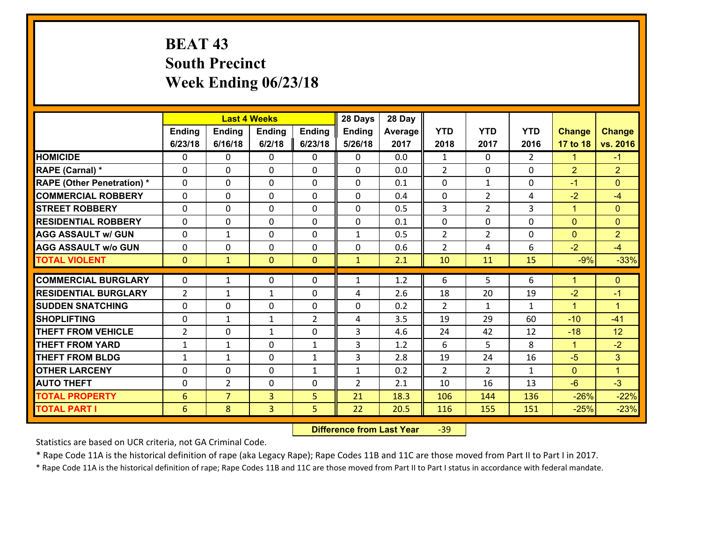# **BEAT 43 South Precinct Week Ending 06/23/18**

|                                   |                 |                | <b>Last 4 Weeks</b> |                | 28 Days        | 28 Day  |                |                |               |                |                      |
|-----------------------------------|-----------------|----------------|---------------------|----------------|----------------|---------|----------------|----------------|---------------|----------------|----------------------|
|                                   | Ending          | <b>Ending</b>  | <b>Ending</b>       | Ending         | <b>Ending</b>  | Average | <b>YTD</b>     | <b>YTD</b>     | <b>YTD</b>    | <b>Change</b>  | <b>Change</b>        |
|                                   | 6/23/18         | 6/16/18        | 6/2/18              | 6/23/18        | 5/26/18        | 2017    | 2018           | 2017           | 2016          | 17 to 18       | vs. 2016             |
| <b>HOMICIDE</b>                   | $\Omega$        | 0              | $\Omega$            | 0              | $\Omega$       | 0.0     | 1              | $\Omega$       | $\mathcal{L}$ | $\mathbf{1}$   | $-1$                 |
| RAPE (Carnal) *                   | 0               | 0              | $\mathbf{0}$        | 0              | $\Omega$       | 0.0     | 2              | 0              | $\Omega$      | $\overline{2}$ | $\overline{2}$       |
| <b>RAPE (Other Penetration) *</b> | $\Omega$        | 0              | $\mathbf{0}$        | $\Omega$       | $\Omega$       | 0.1     | $\Omega$       | $\mathbf{1}$   | $\Omega$      | $-1$           | $\Omega$             |
| <b>COMMERCIAL ROBBERY</b>         | 0               | 0              | 0                   | 0              | 0              | 0.4     | $\mathbf{0}$   | $\overline{2}$ | 4             | $-2$           | $-4$                 |
| <b>STREET ROBBERY</b>             | $\Omega$        | 0              | $\mathbf 0$         | 0              | 0              | 0.5     | $\overline{3}$ | $\overline{2}$ | 3             | $\mathbf{1}$   | $\mathbf{0}$         |
| <b>RESIDENTIAL ROBBERY</b>        | $\Omega$        | 0              | $\mathbf 0$         | $\Omega$       | 0              | 0.1     | $\mathbf 0$    | 0              | $\Omega$      | $\mathbf{0}$   | $\overline{0}$       |
| <b>AGG ASSAULT w/ GUN</b>         | 0               | 1              | $\mathbf 0$         | 0              | $\mathbf{1}$   | 0.5     | $\overline{2}$ | $\overline{2}$ | 0             | $\mathbf{0}$   | $\overline{2}$       |
| <b>AGG ASSAULT w/o GUN</b>        | 0               | 0              | $\mathbf 0$         | 0              | 0              | 0.6     | $\overline{2}$ | 4              | 6             | $-2$           | $-4$                 |
| <b>TOTAL VIOLENT</b>              | $\mathbf{0}$    | $\mathbf{1}$   | $\mathbf{O}$        | $\mathbf{0}$   | $\mathbf{1}$   | 2.1     | 10             | 11             | 15            | $-9%$          | $-33%$               |
| <b>COMMERCIAL BURGLARY</b>        | $\Omega$        | 1              | $\mathbf{0}$        | $\Omega$       | $\mathbf{1}$   | 1.2     | 6              | 5.             | 6             | $\mathbf{1}$   | $\mathbf{0}$         |
|                                   |                 |                |                     |                |                |         |                |                |               |                |                      |
| <b>RESIDENTIAL BURGLARY</b>       | $\overline{2}$  | 1              | $\mathbf{1}$        | 0              | 4              | 2.6     | 18             | 20             | 19            | $-2$           | $-1$                 |
| <b>SUDDEN SNATCHING</b>           | 0               | 0              | $\mathbf 0$         | 0              | 0              | 0.2     | $\overline{2}$ | $\mathbf{1}$   | $\mathbf{1}$  | $\mathbf{1}$   | $\blacktriangleleft$ |
| <b>SHOPLIFTING</b>                | 0               | 1              | 1                   | $\overline{2}$ | 4              | 3.5     | 19             | 29             | 60            | $-10$          | $-41$                |
| <b>THEFT FROM VEHICLE</b>         | $\overline{2}$  | 0              | 1                   | 0              | 3              | 4.6     | 24             | 42             | 12            | $-18$          | 12                   |
| <b>THEFT FROM YARD</b>            | $\mathbf{1}$    | $\mathbf 1$    | $\mathbf 0$         | $\mathbf{1}$   | 3              | 1.2     | 6              | 5              | 8             | $\mathbf{1}$   | $-2$                 |
| <b>THEFT FROM BLDG</b>            | $\mathbf{1}$    | 1              | $\mathbf 0$         | $\mathbf{1}$   | 3              | 2.8     | 19             | 24             | 16            | $-5$           | 3                    |
| <b>OTHER LARCENY</b>              | 0               | 0              | $\mathbf 0$         | $\mathbf{1}$   | $\mathbf{1}$   | 0.2     | $\overline{2}$ | $\overline{2}$ | $\mathbf{1}$  | $\mathbf{0}$   | $\mathbf{1}$         |
| <b>AUTO THEFT</b>                 | $\mathbf{0}$    | $\overline{2}$ | $\mathbf{0}$        | 0              | $\overline{2}$ | 2.1     | 10             | 16             | 13            | $-6$           | $-3$                 |
| <b>TOTAL PROPERTY</b>             | $6\phantom{1}6$ | $\overline{7}$ | $\overline{3}$      | 5              | 21             | 18.3    | 106            | 144            | 136           | $-26%$         | $-22%$               |
| <b>TOTAL PART I</b>               | 6               | 8              | $\overline{3}$      | 5              | 22             | 20.5    | 116            | 155            | 151           | $-25%$         | $-23%$               |

 **Difference from Last Year**r -39

Statistics are based on UCR criteria, not GA Criminal Code.

\* Rape Code 11A is the historical definition of rape (aka Legacy Rape); Rape Codes 11B and 11C are those moved from Part II to Part I in 2017.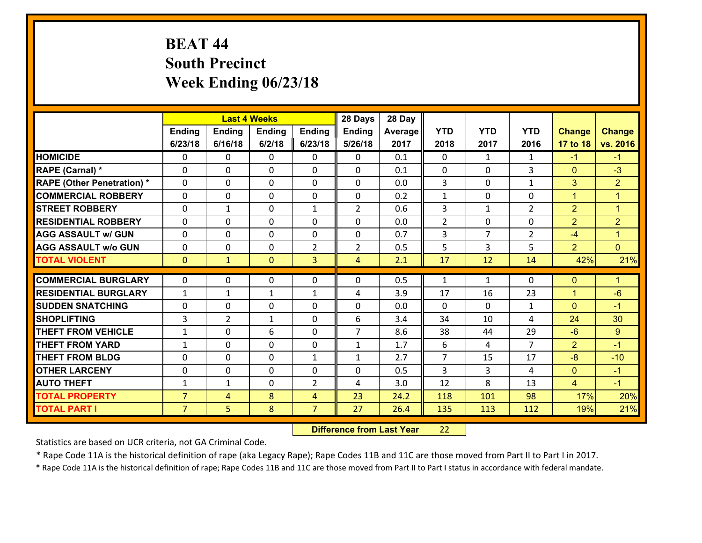# **BEAT 44 South Precinct Week Ending 06/23/18**

|                                              |                                  |                | <b>Last 4 Weeks</b> |                     | 28 Days        | 28 Day       |                |                |                |                |                      |
|----------------------------------------------|----------------------------------|----------------|---------------------|---------------------|----------------|--------------|----------------|----------------|----------------|----------------|----------------------|
|                                              | Ending                           | <b>Ending</b>  | <b>Ending</b>       | <b>Ending</b>       | <b>Ending</b>  | Average      | <b>YTD</b>     | <b>YTD</b>     | <b>YTD</b>     | <b>Change</b>  | <b>Change</b>        |
|                                              | 6/23/18                          | 6/16/18        | 6/2/18              | 6/23/18             | 5/26/18        | 2017         | 2018           | 2017           | 2016           | 17 to 18       | vs. 2016             |
| <b>HOMICIDE</b>                              | 0                                | 0              | $\mathbf{0}$        | 0                   | 0              | 0.1          | $\Omega$       | $\mathbf{1}$   | $\mathbf{1}$   | $-1$           | $-1$                 |
| RAPE (Carnal) *                              | $\Omega$                         | 0              | $\mathbf{0}$        | 0                   | $\Omega$       | 0.1          | $\mathbf{0}$   | $\Omega$       | 3              | $\mathbf{0}$   | $-3$                 |
| <b>RAPE (Other Penetration) *</b>            | $\Omega$                         | $\Omega$       | $\Omega$            | $\Omega$            | $\Omega$       | 0.0          | 3              | $\Omega$       | $\mathbf{1}$   | 3              | $\overline{2}$       |
| <b>COMMERCIAL ROBBERY</b>                    | 0                                | 0              | $\mathbf 0$         | 0                   | 0              | 0.2          | $\mathbf{1}$   | $\mathbf{0}$   | 0              | $\mathbf{1}$   | $\mathbf{1}$         |
| <b>STREET ROBBERY</b>                        | $\Omega$                         | 1              | $\mathbf 0$         | $\mathbf{1}$        | $\overline{2}$ | 0.6          | 3              | $\mathbf{1}$   | $\overline{2}$ | $\overline{2}$ | $\overline{1}$       |
| <b>RESIDENTIAL ROBBERY</b>                   | $\Omega$                         | $\Omega$       | $\mathbf 0$         | $\Omega$            | 0              | 0.0          | $\overline{2}$ | $\Omega$       | 0              | 2              | $\overline{2}$       |
| <b>AGG ASSAULT w/ GUN</b>                    | $\Omega$                         | 0              | $\mathbf 0$         | $\Omega$            | 0              | 0.7          | 3              | $\overline{7}$ | $\overline{2}$ | $-4$           | $\blacktriangleleft$ |
| <b>AGG ASSAULT w/o GUN</b>                   | 0                                | 0              | $\mathbf 0$         | $\overline{2}$      | $\overline{2}$ | 0.5          | 5              | 3              | 5              | 2              | $\overline{0}$       |
| <b>TOTAL VIOLENT</b>                         | $\mathbf{0}$                     | $\mathbf{1}$   | $\mathbf{0}$        | $\overline{3}$      | $\overline{4}$ | 2.1          | 17             | 12             | 14             | 42%            | 21%                  |
| <b>COMMERCIAL BURGLARY</b>                   | $\Omega$                         | 0              | 0                   | 0                   | $\Omega$       | 0.5          | 1              | $\mathbf{1}$   | $\Omega$       | $\mathbf 0$    | $\mathbf{1}$         |
| <b>RESIDENTIAL BURGLARY</b>                  | $\mathbf{1}$                     | 1              | $\mathbf{1}$        | $\mathbf{1}$        | 4              | 3.9          | 17             | 16             | 23             | $\overline{1}$ | $-6$                 |
|                                              |                                  |                |                     |                     |                |              |                |                |                |                |                      |
|                                              |                                  |                |                     |                     |                |              |                |                |                |                |                      |
| <b>SUDDEN SNATCHING</b>                      | $\mathbf{0}$                     | 0              | $\mathbf{0}$        | $\Omega$            | $\Omega$       | 0.0          | $\Omega$       | $\Omega$       | $\mathbf{1}$   | $\Omega$       | $-1$                 |
| <b>SHOPLIFTING</b>                           | 3                                | $\overline{2}$ | $\mathbf{1}$        | 0                   | 6              | 3.4          | 34             | 10             | 4              | 24             | 30                   |
| <b>THEFT FROM VEHICLE</b>                    | $\mathbf{1}$                     | 0              | 6                   | $\Omega$            | $\overline{7}$ | 8.6          | 38             | 44             | 29             | $-6$           | 9                    |
| <b>THEFT FROM YARD</b>                       | $\mathbf{1}$                     | 0              | $\mathbf 0$         | 0                   | $\mathbf{1}$   | 1.7          | 6              | 4              | $\overline{7}$ | $\overline{2}$ | $-1$                 |
| <b>THEFT FROM BLDG</b>                       | 0                                | 0              | $\mathbf 0$         | $\mathbf{1}$        | $\mathbf{1}$   | 2.7          | $\overline{7}$ | 15             | 17             | $-8$           | $-10$                |
| <b>OTHER LARCENY</b>                         | 0                                | 0              | $\mathbf 0$         | 0                   | 0              | 0.5          | $\overline{3}$ | 3              | 4              | $\mathbf{0}$   | $-1$                 |
| <b>AUTO THEFT</b>                            | $\mathbf{1}$                     | $\mathbf{1}$   | $\mathbf 0$         | $\overline{2}$      | 4              | 3.0          | 12             | 8              | 13             | $\overline{4}$ | $-1$                 |
| <b>TOTAL PROPERTY</b><br><b>TOTAL PART I</b> | $\overline{7}$<br>$\overline{7}$ | 4<br>5         | 8<br>8              | 4<br>$\overline{7}$ | 23<br>27       | 24.2<br>26.4 | 118<br>135     | 101<br>113     | 98<br>112      | 17%<br>19%     | 20%<br>21%           |

 **Difference from Last Year**r 22

Statistics are based on UCR criteria, not GA Criminal Code.

\* Rape Code 11A is the historical definition of rape (aka Legacy Rape); Rape Codes 11B and 11C are those moved from Part II to Part I in 2017.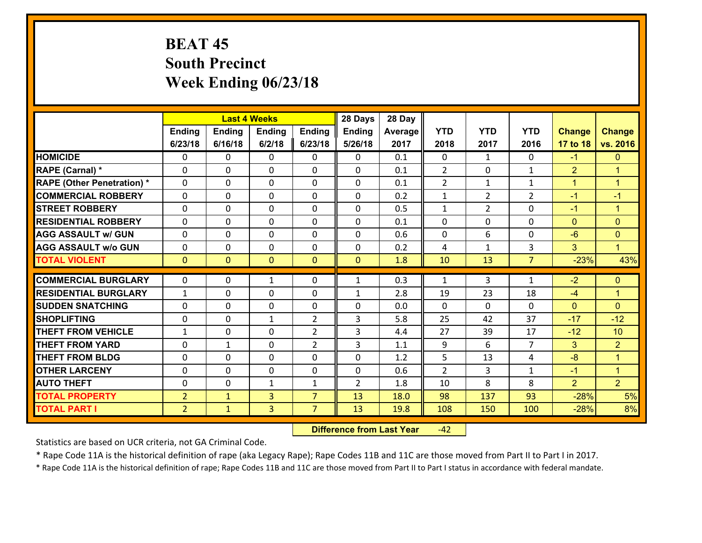# **BEAT 45 South Precinct Week Ending 06/23/18**

|                                              |                                  |                              | <b>Last 4 Weeks</b>              |                                  | 28 Days        | 28 Day       |                |                |                |                  |                      |
|----------------------------------------------|----------------------------------|------------------------------|----------------------------------|----------------------------------|----------------|--------------|----------------|----------------|----------------|------------------|----------------------|
|                                              | Ending                           | <b>Ending</b>                | <b>Ending</b>                    | <b>Ending</b>                    | <b>Ending</b>  | Average      | <b>YTD</b>     | <b>YTD</b>     | <b>YTD</b>     | <b>Change</b>    | <b>Change</b>        |
|                                              | 6/23/18                          | 6/16/18                      | 6/2/18                           | 6/23/18                          | 5/26/18        | 2017         | 2018           | 2017           | 2016           | 17 to 18         | vs. 2016             |
| <b>HOMICIDE</b>                              | 0                                | 0                            | $\mathbf{0}$                     | 0                                | $\mathbf{0}$   | 0.1          | $\mathbf 0$    | $\mathbf{1}$   | $\Omega$       | $-1$             | $\mathbf{0}$         |
| RAPE (Carnal) *                              | $\Omega$                         | 0                            | $\mathbf 0$                      | 0                                | 0              | 0.1          | $\overline{2}$ | $\mathbf{0}$   | $\mathbf{1}$   | $\overline{2}$   | $\blacktriangleleft$ |
| <b>RAPE (Other Penetration) *</b>            | $\Omega$                         | 0                            | $\mathbf 0$                      | $\Omega$                         | 0              | 0.1          | $\overline{2}$ | $\mathbf{1}$   | $\mathbf{1}$   | $\mathbf{1}$     | $\blacktriangleleft$ |
| <b>COMMERCIAL ROBBERY</b>                    | $\Omega$                         | 0                            | $\mathbf{0}$                     | $\Omega$                         | $\Omega$       | 0.2          | $\mathbf{1}$   | $\overline{2}$ | $\overline{2}$ | $-1$             | $-1$                 |
| <b>STREET ROBBERY</b>                        | 0                                | 0                            | $\mathbf 0$                      | 0                                | 0              | 0.5          | $\mathbf{1}$   | $\overline{2}$ | $\Omega$       | $-1$             | $\blacktriangleleft$ |
| <b>RESIDENTIAL ROBBERY</b>                   | 0                                | 0                            | $\mathbf 0$                      | 0                                | 0              | 0.1          | 0              | 0              | 0              | $\mathbf{0}$     | $\mathbf{0}$         |
| <b>AGG ASSAULT w/ GUN</b>                    | 0                                | 0                            | $\mathbf 0$                      | 0                                | 0              | 0.6          | 0              | 6              | $\Omega$       | $-6$             | $\mathbf{0}$         |
| <b>AGG ASSAULT w/o GUN</b>                   | 0                                | 0                            | $\mathbf 0$                      | 0                                | $\mathbf 0$    | 0.2          | 4              | $\mathbf{1}$   | 3              | 3                | $\mathbf{1}$         |
| <b>TOTAL VIOLENT</b>                         | $\mathbf{0}$                     | $\overline{0}$               | $\mathbf{0}$                     | $\overline{0}$                   | $\mathbf{0}$   | 1.8          | 10             | 13             | $\overline{7}$ | $-23%$           | 43%                  |
| <b>COMMERCIAL BURGLARY</b>                   | $\mathbf{0}$                     | 0                            | $\mathbf{1}$                     | 0                                | $\mathbf{1}$   | 0.3          | 1              | 3              | $\mathbf{1}$   | $-2$             | $\mathbf{0}$         |
| <b>RESIDENTIAL BURGLARY</b>                  | $\mathbf{1}$                     | 0                            | $\mathbf{0}$                     | 0                                |                | 2.8          |                | 23             | 18             |                  | $\mathbf{1}$         |
| <b>SUDDEN SNATCHING</b>                      | $\Omega$                         | 0                            | $\mathbf{0}$                     | $\Omega$                         | $\mathbf{1}$   |              | 19<br>$\Omega$ | $\Omega$       |                | $-4$             | $\Omega$             |
|                                              |                                  |                              |                                  |                                  |                |              |                |                |                |                  |                      |
|                                              |                                  |                              |                                  |                                  | $\Omega$       | 0.0          |                |                | $\Omega$       | $\mathbf{0}$     |                      |
| <b>SHOPLIFTING</b>                           | $\Omega$                         | 0                            | $\mathbf{1}$                     | $\overline{2}$                   | 3              | 5.8          | 25             | 42             | 37             | $-17$            | $-12$                |
| <b>THEFT FROM VEHICLE</b>                    | $\mathbf{1}$                     | $\Omega$                     | $\mathbf 0$                      | $\overline{2}$                   | 3              | 4.4          | 27             | 39             | 17             | $-12$            | 10                   |
| <b>THEFT FROM YARD</b>                       | 0                                | $\mathbf{1}$                 | $\mathbf 0$                      | $\overline{2}$                   | 3              | 1.1          | 9              | 6              | $\overline{7}$ | 3                | $\overline{2}$       |
| <b>THEFT FROM BLDG</b>                       | 0                                | 0                            | $\mathbf 0$                      | 0                                | $\mathbf 0$    | 1.2          | 5              | 13             | 4              | $-8$             | $\mathbf{1}$         |
| <b>OTHER LARCENY</b>                         | 0                                | 0                            | $\mathbf 0$                      | 0                                | 0              | 0.6          | $\overline{2}$ | 3              | $\mathbf{1}$   | $-1$             | $\mathbf{1}$         |
| <b>AUTO THEFT</b>                            | 0                                | 0                            | 1                                | $\mathbf{1}$                     | $\overline{2}$ | 1.8          | 10             | 8              | 8              | $\overline{2}$   | 2 <sup>1</sup>       |
| <b>TOTAL PROPERTY</b><br><b>TOTAL PART I</b> | $\overline{2}$<br>2 <sup>1</sup> | $\mathbf{1}$<br>$\mathbf{1}$ | $\overline{3}$<br>$\overline{3}$ | $\overline{7}$<br>$\overline{7}$ | 13<br>13       | 18.0<br>19.8 | 98<br>108      | 137<br>150     | 93<br>100      | $-28%$<br>$-28%$ | 5%<br>8%             |

 **Difference from Last Year**r -42

Statistics are based on UCR criteria, not GA Criminal Code.

\* Rape Code 11A is the historical definition of rape (aka Legacy Rape); Rape Codes 11B and 11C are those moved from Part II to Part I in 2017.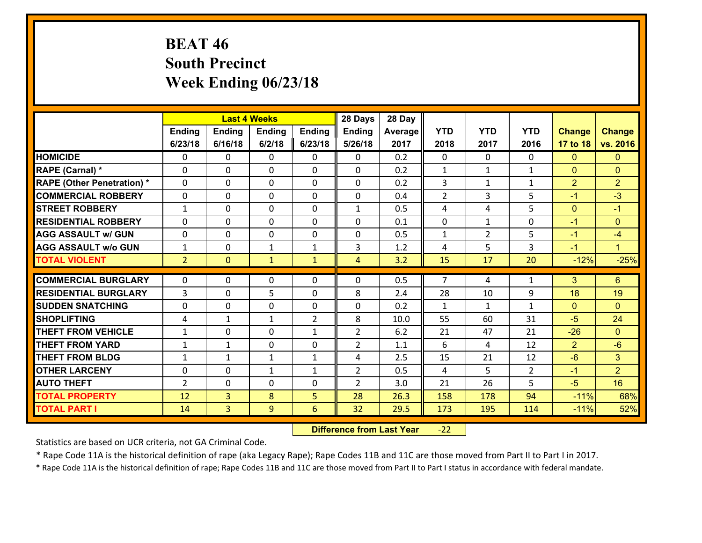# **BEAT 46 South Precinct Week Ending 06/23/18**

|                                   |                |                | <b>Last 4 Weeks</b> |                | 28 Days        | 28 Day  |                |                |                |                |                |
|-----------------------------------|----------------|----------------|---------------------|----------------|----------------|---------|----------------|----------------|----------------|----------------|----------------|
|                                   | Ending         | <b>Ending</b>  | <b>Ending</b>       | Ending         | <b>Ending</b>  | Average | <b>YTD</b>     | <b>YTD</b>     | <b>YTD</b>     | <b>Change</b>  | <b>Change</b>  |
|                                   | 6/23/18        | 6/16/18        | 6/2/18              | 6/23/18        | 5/26/18        | 2017    | 2018           | 2017           | 2016           | 17 to 18       | vs. 2016       |
| <b>HOMICIDE</b>                   | $\Omega$       | 0              | $\Omega$            | 0              | $\Omega$       | 0.2     | $\Omega$       | $\Omega$       | $\Omega$       | $\Omega$       | $\mathbf{0}$   |
| RAPE (Carnal) *                   | 0              | 0              | $\mathbf{0}$        | 0              | $\Omega$       | 0.2     | $\mathbf{1}$   | $\mathbf{1}$   | $\mathbf{1}$   | $\mathbf{0}$   | $\mathbf{0}$   |
| <b>RAPE (Other Penetration) *</b> | $\Omega$       | 0              | $\mathbf{0}$        | $\Omega$       | $\Omega$       | 0.2     | 3              | $\mathbf{1}$   | $\mathbf{1}$   | $\overline{2}$ | $\overline{2}$ |
| <b>COMMERCIAL ROBBERY</b>         | 0              | 0              | 0                   | 0              | 0              | 0.4     | $\overline{2}$ | 3              | 5              | $-1$           | $-3$           |
| <b>STREET ROBBERY</b>             | $\mathbf{1}$   | 0              | $\mathbf 0$         | 0              | $\mathbf{1}$   | 0.5     | 4              | 4              | 5              | $\overline{0}$ | $-1$           |
| <b>RESIDENTIAL ROBBERY</b>        | $\Omega$       | $\Omega$       | $\mathbf 0$         | $\Omega$       | 0              | 0.1     | $\mathbf 0$    | $\mathbf{1}$   | $\Omega$       | $-1$           | $\mathbf{0}$   |
| <b>AGG ASSAULT w/ GUN</b>         | 0              | 0              | $\mathbf 0$         | 0              | 0              | 0.5     | $\mathbf 1$    | $\overline{2}$ | 5              | $-1$           | $-4$           |
| <b>AGG ASSAULT w/o GUN</b>        | $\mathbf{1}$   | 0              | $\mathbf{1}$        | $\mathbf{1}$   | 3              | 1.2     | 4              | 5              | 3              | $-1$           | $\mathbf{1}$   |
| <b>TOTAL VIOLENT</b>              | 2 <sup>1</sup> | $\overline{0}$ | $\mathbf{1}$        | $\mathbf{1}$   | $\overline{4}$ | 3.2     | 15             | 17             | 20             | $-12%$         | $-25%$         |
| <b>COMMERCIAL BURGLARY</b>        | $\Omega$       | 0              | $\mathbf{0}$        | $\Omega$       | $\Omega$       | 0.5     | $\overline{7}$ | 4              | $\mathbf{1}$   | 3              | 6              |
| <b>RESIDENTIAL BURGLARY</b>       | 3              | 0              | 5                   | 0              | 8              | 2.4     | 28             | 10             | 9              | 18             | 19             |
| <b>SUDDEN SNATCHING</b>           | 0              | 0              | $\mathbf 0$         | 0              | 0              | 0.2     | $\mathbf{1}$   | $\mathbf{1}$   | $\mathbf{1}$   | $\mathbf{0}$   | $\mathbf{0}$   |
| <b>SHOPLIFTING</b>                | 4              | 1              | 1                   | $\overline{2}$ | 8              | 10.0    | 55             | 60             | 31             | $-5$           | 24             |
| <b>THEFT FROM VEHICLE</b>         | $\mathbf{1}$   | 0              | $\mathbf 0$         | $\mathbf{1}$   | $\overline{2}$ | 6.2     | 21             | 47             | 21             | $-26$          | $\Omega$       |
| <b>THEFT FROM YARD</b>            | $\mathbf{1}$   | $\mathbf 1$    | $\mathbf 0$         | 0              | $\overline{2}$ | 1.1     | 6              | 4              | 12             | $\overline{2}$ | $-6$           |
| <b>THEFT FROM BLDG</b>            | $\mathbf{1}$   | 1              | 1                   | $\mathbf{1}$   | 4              | 2.5     | 15             | 21             | 12             | $-6$           | 3              |
| <b>OTHER LARCENY</b>              | 0              | 0              | $\mathbf{1}$        | $\mathbf{1}$   | $\overline{2}$ | 0.5     | $\overline{4}$ | 5              | $\overline{2}$ | $-1$           | $\overline{2}$ |
| <b>AUTO THEFT</b>                 | 2              | 0              | $\mathbf{0}$        | 0              | $\overline{2}$ | 3.0     | 21             | 26             | 5              | $-5$           | 16             |
| <b>TOTAL PROPERTY</b>             | 12             | $\overline{3}$ | 8                   | 5              | 28             | 26.3    | 158            | 178            | 94             | $-11%$         | 68%            |
| <b>TOTAL PART I</b>               | 14             | $\overline{3}$ | 9                   | 6              | 32             | 29.5    | 173            | 195            | 114            | $-11%$         | 52%            |

 **Difference from Last Year**r -22

Statistics are based on UCR criteria, not GA Criminal Code.

\* Rape Code 11A is the historical definition of rape (aka Legacy Rape); Rape Codes 11B and 11C are those moved from Part II to Part I in 2017.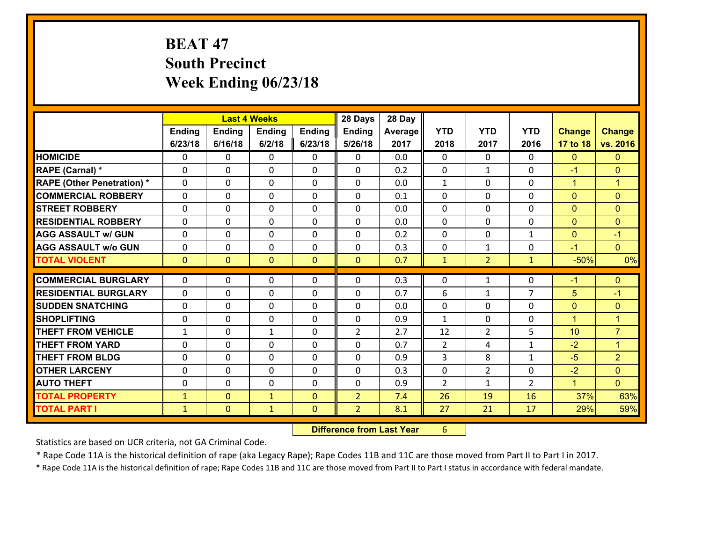# **BEAT 47 South Precinct Week Ending 06/23/18**

|                                   |              |                | <b>Last 4 Weeks</b> |                | 28 Days        | 28 Day  |                |                |                |                      |                      |
|-----------------------------------|--------------|----------------|---------------------|----------------|----------------|---------|----------------|----------------|----------------|----------------------|----------------------|
|                                   | Ending       | <b>Ending</b>  | <b>Ending</b>       | <b>Ending</b>  | <b>Ending</b>  | Average | <b>YTD</b>     | <b>YTD</b>     | <b>YTD</b>     | <b>Change</b>        | <b>Change</b>        |
|                                   | 6/23/18      | 6/16/18        | 6/2/18              | 6/23/18        | 5/26/18        | 2017    | 2018           | 2017           | 2016           | 17 to 18             | vs. 2016             |
| <b>HOMICIDE</b>                   | $\Omega$     | 0              | 0                   | 0              | 0              | 0.0     | $\Omega$       | $\Omega$       | 0              | $\mathbf{0}$         | $\mathbf{0}$         |
| RAPE (Carnal) *                   | 0            | 0              | $\mathbf 0$         | 0              | 0              | 0.2     | $\mathbf 0$    | $\mathbf{1}$   | $\Omega$       | $-1$                 | $\mathbf{0}$         |
| <b>RAPE (Other Penetration) *</b> | $\Omega$     | 0              | $\mathbf{0}$        | $\Omega$       | 0              | 0.0     | 1              | $\Omega$       | $\Omega$       | $\mathbf{1}$         | $\blacktriangleleft$ |
| <b>COMMERCIAL ROBBERY</b>         | $\Omega$     | $\Omega$       | $\mathbf 0$         | $\Omega$       | $\Omega$       | 0.1     | $\Omega$       | $\Omega$       | $\Omega$       | $\mathbf{0}$         | $\mathbf{0}$         |
| <b>STREET ROBBERY</b>             | $\Omega$     | 0              | $\mathbf{0}$        | $\Omega$       | $\Omega$       | 0.0     | $\Omega$       | $\Omega$       | $\Omega$       | $\mathbf{0}$         | $\mathbf{0}$         |
| <b>RESIDENTIAL ROBBERY</b>        | $\Omega$     | 0              | $\mathbf{0}$        | $\Omega$       | $\Omega$       | 0.0     | $\Omega$       | $\Omega$       | $\Omega$       | $\mathbf{0}$         | $\mathbf{0}$         |
| <b>AGG ASSAULT w/ GUN</b>         | 0            | 0              | $\mathbf 0$         | $\Omega$       | 0              | 0.2     | 0              | 0              | $\mathbf{1}$   | $\mathbf{0}$         | $-1$                 |
| <b>AGG ASSAULT w/o GUN</b>        | 0            | 0              | 0                   | 0              | 0              | 0.3     | 0              | $\mathbf{1}$   | $\Omega$       | $-1$                 | $\overline{0}$       |
| <b>TOTAL VIOLENT</b>              | $\mathbf{0}$ | $\overline{0}$ | $\mathbf{0}$        | $\overline{0}$ | $\mathbf{0}$   | 0.7     | $\mathbf{1}$   | 2 <sup>1</sup> | $\mathbf{1}$   | $-50%$               | 0%                   |
|                                   |              |                |                     |                |                |         |                |                |                |                      |                      |
|                                   |              |                |                     |                |                |         |                |                |                |                      |                      |
| <b>COMMERCIAL BURGLARY</b>        | $\mathbf{0}$ | 0              | 0                   | 0              | $\Omega$       | 0.3     | $\mathbf{0}$   | $\mathbf{1}$   | 0              | $-1$                 | $\mathbf{0}$         |
| <b>RESIDENTIAL BURGLARY</b>       | $\Omega$     | 0              | $\mathbf 0$         | $\Omega$       | 0              | 0.7     | 6              | $\mathbf 1$    | $\overline{7}$ | 5                    | $-1$                 |
| <b>SUDDEN SNATCHING</b>           | 0            | 0              | $\mathbf{0}$        | 0              | $\Omega$       | 0.0     | $\mathbf{0}$   | 0              | $\Omega$       | $\mathbf{0}$         | $\mathbf{0}$         |
| <b>SHOPLIFTING</b>                | $\Omega$     | 0              | $\mathbf 0$         | $\Omega$       | 0              | 0.9     | $\mathbf{1}$   | $\Omega$       | $\Omega$       | $\overline{1}$       | $\overline{1}$       |
| <b>THEFT FROM VEHICLE</b>         | $\mathbf{1}$ | 0              | $\mathbf{1}$        | 0              | $\overline{2}$ | 2.7     | 12             | $\overline{2}$ | 5              | 10                   | $\overline{7}$       |
| <b>THEFT FROM YARD</b>            | 0            | 0              | $\mathbf{0}$        | $\Omega$       | $\Omega$       | 0.7     | 2              | 4              | $\mathbf{1}$   | $-2$                 | $\blacktriangleleft$ |
| <b>THEFT FROM BLDG</b>            | $\Omega$     | $\Omega$       | $\Omega$            | $\Omega$       | $\Omega$       | 0.9     | 3              | 8              | $\mathbf{1}$   | $-5$                 | $\overline{2}$       |
| <b>OTHER LARCENY</b>              | 0            | 0              | $\mathbf{0}$        | $\Omega$       | $\Omega$       | 0.3     | 0              | $\overline{2}$ | $\Omega$       | $-2$                 | $\mathbf{0}$         |
| <b>AUTO THEFT</b>                 | 0            | 0              | $\mathbf{0}$        | 0              | $\Omega$       | 0.9     | $\overline{2}$ | $\mathbf{1}$   | $\overline{2}$ | $\blacktriangleleft$ | $\Omega$             |
| <b>TOTAL PROPERTY</b>             | $\mathbf{1}$ | $\overline{0}$ | $\mathbf{1}$        | $\Omega$       | $\overline{2}$ | 7.4     | 26             | 19             | 16             | 37%                  | 63%                  |
| <b>TOTAL PART I</b>               | $\mathbf{1}$ | $\mathbf{0}$   | $\mathbf{1}$        | $\mathbf{0}$   | $\overline{2}$ | 8.1     | 27             | 21             | 17             | 29%                  | 59%                  |

 **Difference from Last Year**r 6

Statistics are based on UCR criteria, not GA Criminal Code.

\* Rape Code 11A is the historical definition of rape (aka Legacy Rape); Rape Codes 11B and 11C are those moved from Part II to Part I in 2017.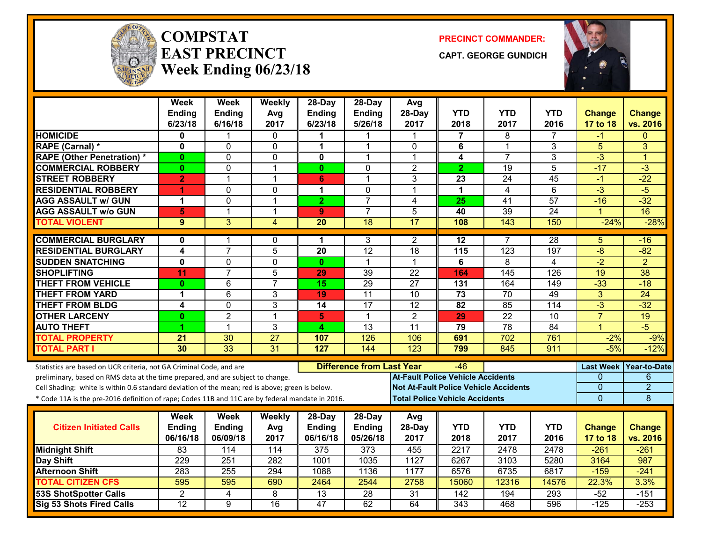

#### **COMPSTATEAST PRECINCTWeek Ending 06/23/18**

**PRECINCT COMMANDER:**

**CAPT. GEORGE GUNDICH**



|                                                                                                  | <b>Week</b><br>Ending | <b>Week</b><br><b>Ending</b> | Weekly<br>Avg           | 28-Day<br><b>Ending</b> | $28$ -Day<br>Ending              | Avg<br>28-Day                                | <b>YTD</b>       | <b>YTD</b>              | <b>YTD</b>      | <b>Change</b>    | Change               |
|--------------------------------------------------------------------------------------------------|-----------------------|------------------------------|-------------------------|-------------------------|----------------------------------|----------------------------------------------|------------------|-------------------------|-----------------|------------------|----------------------|
|                                                                                                  | 6/23/18               | 6/16/18                      | 2017                    | 6/23/18                 | 5/26/18                          | 2017                                         | 2018             | 2017                    | 2016            | 17 to 18         | vs. 2016             |
| <b>HOMICIDE</b>                                                                                  | 0                     |                              | $\mathbf{0}$            | 1                       |                                  |                                              | 7                | 8                       |                 | -1               | $\Omega$             |
| RAPE (Carnal) *                                                                                  | 0                     | 0                            | 0                       | $\mathbf 1$             | 1                                | 0                                            | 6                | $\mathbf 1$             | 3               | 5                | 3                    |
| <b>RAPE (Other Penetration) *</b>                                                                | $\bf{0}$              | 0                            | $\mathbf 0$             | $\mathbf{0}$            | 1                                | 1                                            | 4                | $\overline{7}$          | 3               | $-3$             | $\blacktriangleleft$ |
| <b>COMMERCIAL ROBBERY</b>                                                                        | $\bf{0}$              | 0                            | $\overline{1}$          | $\mathbf{0}$            | $\mathbf 0$                      | $\overline{2}$                               | $\overline{2}$   | 19                      | 5               | $-17$            | $-3$                 |
| <b>STREET ROBBERY</b>                                                                            | $\overline{2}$        | 1                            | $\overline{1}$          | 6                       | 1                                | 3                                            | 23               | 24                      | $\overline{45}$ | -1               | $-22$                |
| <b>RESIDENTIAL ROBBERY</b>                                                                       | 4                     | 0                            | $\mathbf 0$             | 1                       | $\mathbf 0$                      | $\mathbf{1}$                                 | $\mathbf 1$      | $\overline{\mathbf{4}}$ | $\overline{6}$  | $-3$             | $-5$                 |
| <b>AGG ASSAULT w/ GUN</b>                                                                        | 1                     | $\Omega$                     | $\overline{1}$          | $\overline{2}$          | $\overline{7}$                   | $\overline{4}$                               | 25               | 41                      | 57              | $-16$            | $-32$                |
| <b>AGG ASSAULT w/o GUN</b>                                                                       | 5                     | $\mathbf{1}$                 | $\overline{\mathbf{1}}$ | 9                       | $\overline{7}$                   | 5                                            | 40               | $\overline{39}$         | $\overline{24}$ | $\mathbf{1}$     | $\overline{16}$      |
| <b>TOTAL VIOLENT</b>                                                                             | $\overline{9}$        | $\overline{3}$               | 4                       | $\overline{20}$         | 18                               | $\overline{17}$                              | 108              | 143                     | 150             | $-24%$           | $-28%$               |
| <b>COMMERCIAL BURGLARY</b>                                                                       | $\mathbf{0}$          | 1                            | $\mathbf{0}$            | 1                       | 3                                | 2                                            | $\overline{12}$  | $\overline{7}$          | 28              | 5                | $-16$                |
| <b>RESIDENTIAL BURGLARY</b>                                                                      | 4                     | $\overline{7}$               | 5                       | 20                      | $\overline{12}$                  | 18                                           | 115              | 123                     | 197             | $-8$             | $-82$                |
| <b>SUDDEN SNATCHING</b>                                                                          | $\mathbf{0}$          | 0                            | $\mathbf 0$             | $\mathbf{0}$            | $\mathbf{1}$                     | $\mathbf 1$                                  | 6                | 8                       | $\overline{4}$  | $\overline{-2}$  | $\overline{2}$       |
| <b>SHOPLIFTING</b>                                                                               | 11                    | $\overline{7}$               | 5                       | 29                      | 39                               | $\overline{22}$                              | 164              | 145                     | 126             | 19               | $\overline{38}$      |
| <b>THEFT FROM VEHICLE</b>                                                                        | $\mathbf{0}$          | $\overline{6}$               | $\overline{7}$          | 15                      | 29                               | $\overline{27}$                              | 131              | 164                     | 149             | $-33$            | $-18$                |
| <b>THEFT FROM YARD</b>                                                                           | 1                     | $\overline{6}$               | 3                       | 19                      | $\overline{11}$                  | $\overline{10}$                              | $\overline{73}$  | 70                      | 49              | $\overline{3}$   | $\overline{24}$      |
| <b>THEFT FROM BLDG</b>                                                                           | 4                     | 0                            | 3                       | 14                      | 17                               | $\overline{12}$                              | 82               | 85                      | 114             | $\overline{3}$   | $-32$                |
| <b>OTHER LARCENY</b>                                                                             | $\mathbf{0}$          | $\overline{2}$               | $\overline{1}$          | 5                       | 1                                | $\overline{2}$                               | 29               | $\overline{22}$         | $\overline{10}$ | $\overline{7}$   | 19                   |
| <b>AUTO THEFT</b>                                                                                | 4                     | $\mathbf{1}$                 | 3                       | 4                       | 13                               | 11                                           | 79               | 78                      | 84              | $\overline{1}$   | $-5$                 |
| <b>TOTAL PROPERTY</b>                                                                            | 21                    | 30                           | 27                      | 107                     | 126                              | 106                                          | 691              | 702                     | 761             | $-2%$            | $-9%$                |
| <b>TOTAL PART I</b>                                                                              | 30                    | 33                           | 31                      | 127                     | 144                              | $\overline{123}$                             | 799              | 845                     | 911             | $-5%$            | $-12%$               |
| Statistics are based on UCR criteria, not GA Criminal Code, and are                              |                       |                              |                         |                         | <b>Difference from Last Year</b> |                                              | -46              |                         |                 | <b>Last Week</b> | <b>Year-to-Date</b>  |
| preliminary, based on RMS data at the time prepared, and are subject to change.                  |                       |                              |                         |                         |                                  | <b>At-Fault Police Vehicle Accidents</b>     |                  |                         |                 | 0                | 6                    |
| Cell Shading: white is within 0.6 standard deviation of the mean; red is above; green is below.  |                       |                              |                         |                         |                                  | <b>Not At-Fault Police Vehicle Accidents</b> |                  |                         |                 | $\mathbf 0$      | $\overline{2}$       |
| * Code 11A is the pre-2016 definition of rape; Codes 11B and 11C are by federal mandate in 2016. |                       |                              |                         |                         |                                  | <b>Total Police Vehicle Accidents</b>        |                  |                         |                 | $\Omega$         | 8                    |
|                                                                                                  | Week                  | <b>Week</b>                  | Weekly                  | 28-Day                  | 28-Day                           | Avg                                          |                  |                         |                 |                  |                      |
| <b>Citizen Initiated Calls</b>                                                                   | Ending                | Ending                       | Avg                     | <b>Ending</b>           | <b>Ending</b>                    | 28-Day                                       | <b>YTD</b>       | <b>YTD</b>              | <b>YTD</b>      | <b>Change</b>    | <b>Change</b>        |
|                                                                                                  | 06/16/18              | 06/09/18                     | 2017                    | 06/16/18                | 05/26/18                         | 2017                                         | 2018             | 2017                    | 2016            | 17 to 18         | vs. 2016             |
| <b>Midnight Shift</b>                                                                            | 83                    | 114                          | 114                     | 375                     | 373                              | 455                                          | 2217             | 2478                    | 2478            | $-261$           | $-261$               |
| Day Shift                                                                                        | 229                   | $\overline{251}$             | 282                     | 1001                    | 1035                             | 1127                                         | 6267             | 3103                    | 5280            | 3164             | 987                  |
| <b>Afternoon Shift</b>                                                                           | 283                   | 255                          | 294                     | 1088                    | 1136                             | 1177                                         | 6576             | 6735                    | 6817            | $-159$           | $-241$               |
| <b>TOTAL CITIZEN CFS</b>                                                                         | 595                   | 595                          | 690                     | 2464                    | 2544                             | 2758                                         | 15060            | 12316                   | 14576           | 22.3%            | 3.3%                 |
| <b>53S ShotSpotter Calls</b>                                                                     | $\overline{2}$        | 4                            | 8                       | $\overline{13}$         | $\overline{28}$                  | $\overline{31}$                              | $\overline{142}$ | 194                     | 293             | $-52$            | $-151$               |
| <b>Sig 53 Shots Fired Calls</b>                                                                  | $\overline{12}$       | 9                            | $\overline{16}$         | $\overline{47}$         | 62                               | 64                                           | 343              | 468                     | 596             | $-125$           | $-253$               |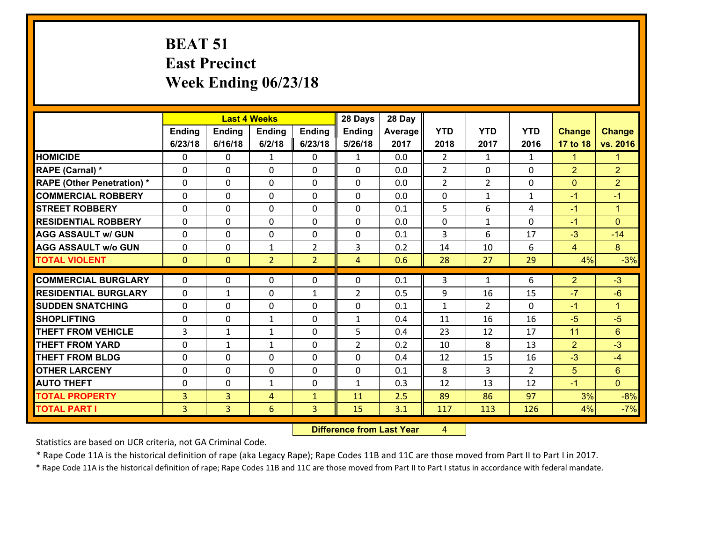## **BEAT 51 East Precinct Week Ending 06/23/18**

|                                              |                     |                     | <b>Last 4 Weeks</b> |                   | 28 Days        | 28 Day     |                |                |               |                |                      |
|----------------------------------------------|---------------------|---------------------|---------------------|-------------------|----------------|------------|----------------|----------------|---------------|----------------|----------------------|
|                                              | Ending              | <b>Ending</b>       | <b>Ending</b>       | <b>Ending</b>     | <b>Ending</b>  | Average    | <b>YTD</b>     | <b>YTD</b>     | <b>YTD</b>    | <b>Change</b>  | <b>Change</b>        |
|                                              | 6/23/18             | 6/16/18             | 6/2/18              | 6/23/18           | 5/26/18        | 2017       | 2018           | 2017           | 2016          | 17 to 18       | vs. 2016             |
| <b>HOMICIDE</b>                              | $\Omega$            | 0                   | $\mathbf{1}$        | 0                 | $\mathbf{1}$   | 0.0        | $\overline{2}$ | $\mathbf{1}$   | $\mathbf{1}$  | $\mathbf{1}$   | $\blacktriangleleft$ |
| RAPE (Carnal) *                              | 0                   | 0                   | $\mathbf 0$         | 0                 | 0              | 0.0        | $\overline{2}$ | $\mathbf{0}$   | 0             | $\overline{2}$ | $\overline{2}$       |
| <b>RAPE (Other Penetration) *</b>            | $\Omega$            | 0                   | $\mathbf{0}$        | 0                 | $\Omega$       | 0.0        | $\overline{2}$ | $\overline{2}$ | $\Omega$      | $\mathbf{0}$   | $\overline{2}$       |
| <b>COMMERCIAL ROBBERY</b>                    | $\Omega$            | 0                   | $\mathbf{0}$        | $\Omega$          | $\Omega$       | 0.0        | $\Omega$       | $\mathbf{1}$   | $\mathbf{1}$  | $-1$           | $-1$                 |
| <b>STREET ROBBERY</b>                        | $\Omega$            | 0                   | $\mathbf{0}$        | $\Omega$          | $\Omega$       | 0.1        | 5              | 6              | 4             | $-1$           | $\blacktriangleleft$ |
| <b>RESIDENTIAL ROBBERY</b>                   | $\Omega$            | 0                   | $\mathbf{0}$        | $\Omega$          | $\Omega$       | 0.0        | $\Omega$       | $\mathbf{1}$   | $\Omega$      | $-1$           | $\Omega$             |
| <b>AGG ASSAULT w/ GUN</b>                    | 0                   | 0                   | $\mathbf 0$         | 0                 | 0              | 0.1        | 3              | 6              | 17            | $-3$           | $-14$                |
| <b>AGG ASSAULT w/o GUN</b>                   | 0                   | 0                   | 1                   | $\overline{2}$    | 3              | 0.2        | 14             | 10             | 6             | 4              | 8                    |
| <b>TOTAL VIOLENT</b>                         | $\mathbf{0}$        | $\overline{0}$      | $\overline{2}$      | $\overline{2}$    | $\overline{4}$ | 0.6        | 28             | 27             | 29            | 4%             | $-3%$                |
| <b>COMMERCIAL BURGLARY</b>                   |                     |                     |                     |                   |                |            |                |                |               |                |                      |
|                                              |                     |                     |                     |                   |                |            |                |                |               |                |                      |
|                                              | $\mathbf{0}$        | 0                   | 0                   | 0                 | $\Omega$       | 0.1        | 3              | $\mathbf{1}$   | 6             | $\overline{2}$ | $-3$                 |
| <b>RESIDENTIAL BURGLARY</b>                  | $\Omega$            | 1                   | $\mathbf 0$         | $\mathbf{1}$      | $\overline{2}$ | 0.5        | 9              | 16             | 15            | $-7$           | $-6$                 |
| <b>SUDDEN SNATCHING</b>                      | 0                   | 0                   | $\mathbf{0}$        | 0                 | $\Omega$       | 0.1        | $\mathbf{1}$   | $\overline{2}$ | $\Omega$      | $-1$           | $\blacktriangleleft$ |
| <b>SHOPLIFTING</b>                           | $\Omega$            | 0                   | $\mathbf{1}$        | $\Omega$          | $\mathbf{1}$   | 0.4        | 11             | 16             | 16            | $-5$           | $-5$                 |
| <b>THEFT FROM VEHICLE</b>                    | 3                   | 1                   | $\mathbf{1}$        | 0                 | 5              | 0.4        | 23             | 12             | 17            | 11             | 6                    |
| <b>THEFT FROM YARD</b>                       | 0                   | $\mathbf{1}$        | $\mathbf{1}$        | $\Omega$          | $\overline{2}$ | 0.2        | 10             | 8              | 13            | $\overline{2}$ | $-3$                 |
| <b>THEFT FROM BLDG</b>                       | $\Omega$            | 0                   | $\Omega$            | $\Omega$          | $\Omega$       | 0.4        | 12             | 15             | 16            | $-3$           | $-4$                 |
| <b>OTHER LARCENY</b>                         | 0                   | 0                   | $\mathbf{0}$        | $\Omega$          | $\Omega$       | 0.1        | 8              | 3              | $\mathcal{P}$ | 5              | $6\phantom{1}$       |
| <b>AUTO THEFT</b>                            | 0                   | 0                   | $\mathbf{1}$        | 0                 | $\mathbf{1}$   | 0.3        | 12             | 13             | 12            | $-1$           | $\Omega$             |
| <b>TOTAL PROPERTY</b><br><b>TOTAL PART I</b> | $\overline{3}$<br>3 | $\overline{3}$<br>3 | 4<br>6              | $\mathbf{1}$<br>3 | 11<br>15       | 2.5<br>3.1 | 89<br>117      | 86<br>113      | 97<br>126     | 3%<br>4%       | $-8%$<br>$-7%$       |

 **Difference from Last Year**r 4

Statistics are based on UCR criteria, not GA Criminal Code.

\* Rape Code 11A is the historical definition of rape (aka Legacy Rape); Rape Codes 11B and 11C are those moved from Part II to Part I in 2017.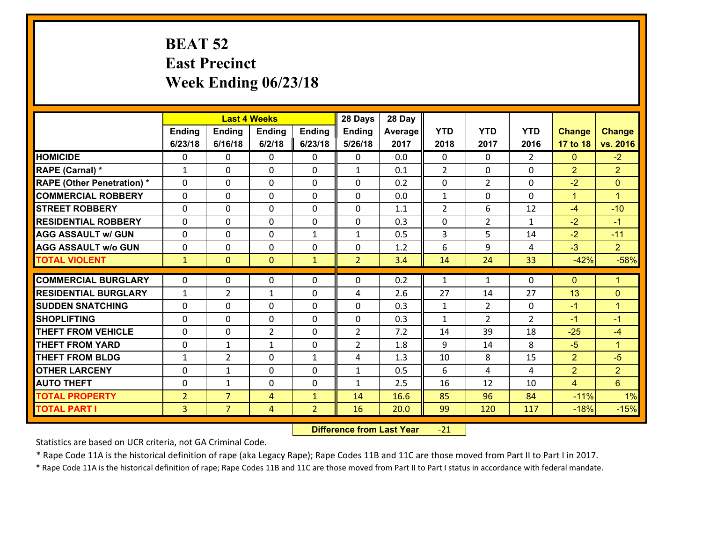## **BEAT 52 East Precinct Week Ending 06/23/18**

|                                              |                                  |                                  | <b>Last 4 Weeks</b> |                                | 28 Days        | 28 Day       |                |                |                |                  |                      |
|----------------------------------------------|----------------------------------|----------------------------------|---------------------|--------------------------------|----------------|--------------|----------------|----------------|----------------|------------------|----------------------|
|                                              | Ending                           | <b>Ending</b>                    | <b>Ending</b>       | <b>Ending</b>                  | <b>Ending</b>  | Average      | <b>YTD</b>     | <b>YTD</b>     | <b>YTD</b>     | <b>Change</b>    | <b>Change</b>        |
|                                              | 6/23/18                          | 6/16/18                          | 6/2/18              | 6/23/18                        | 5/26/18        | 2017         | 2018           | 2017           | 2016           | 17 to 18         | vs. 2016             |
| <b>HOMICIDE</b>                              | 0                                | 0                                | $\mathbf{0}$        | 0                              | $\mathbf{0}$   | 0.0          | $\Omega$       | $\Omega$       | $\overline{2}$ | $\mathbf{0}$     | $-2$                 |
| RAPE (Carnal) *                              | $\mathbf{1}$                     | 0                                | $\mathbf{0}$        | 0                              | $\mathbf{1}$   | 0.1          | 2              | $\Omega$       | $\Omega$       | $\overline{2}$   | $\overline{2}$       |
| <b>RAPE (Other Penetration) *</b>            | $\Omega$                         | $\Omega$                         | $\Omega$            | $\Omega$                       | $\Omega$       | 0.2          | $\Omega$       | $\overline{2}$ | $\Omega$       | $-2$             | $\mathbf{0}$         |
| <b>COMMERCIAL ROBBERY</b>                    | 0                                | 0                                | $\mathbf 0$         | 0                              | 0              | 0.0          | $\mathbf{1}$   | $\mathbf{0}$   | $\Omega$       | $\mathbf{1}$     | $\blacktriangleleft$ |
| <b>STREET ROBBERY</b>                        | $\Omega$                         | 0                                | $\mathbf 0$         | $\Omega$                       | 0              | 1.1          | $\overline{2}$ | 6              | 12             | $-4$             | $-10$                |
| <b>RESIDENTIAL ROBBERY</b>                   | $\Omega$                         | $\Omega$                         | $\mathbf 0$         | $\Omega$                       | 0              | 0.3          | 0              | $\overline{2}$ | $\mathbf{1}$   | $-2$             | $-1$                 |
| <b>AGG ASSAULT w/ GUN</b>                    | $\Omega$                         | 0                                | $\mathbf 0$         | $\mathbf{1}$                   | $\mathbf{1}$   | 0.5          | 3              | 5              | 14             | $-2$             | $-11$                |
| <b>AGG ASSAULT w/o GUN</b>                   | 0                                | 0                                | $\mathbf 0$         | 0                              | 0              | 1.2          | 6              | 9              | 4              | $-3$             | 2 <sup>1</sup>       |
| <b>TOTAL VIOLENT</b>                         | $\mathbf{1}$                     | $\overline{0}$                   | $\mathbf{0}$        | $\mathbf{1}$                   | $\overline{2}$ | 3.4          | 14             | 24             | 33             | $-42%$           | $-58%$               |
| <b>COMMERCIAL BURGLARY</b>                   | $\Omega$                         |                                  |                     |                                |                |              |                |                |                |                  |                      |
|                                              |                                  |                                  |                     |                                |                |              |                |                |                |                  |                      |
|                                              |                                  | 0                                | 0                   | 0                              | 0              | 0.2          | 1              | $\mathbf{1}$   | 0              | $\mathbf{0}$     | $\blacklozenge$      |
| <b>RESIDENTIAL BURGLARY</b>                  | $\mathbf{1}$                     | $\overline{2}$                   | 1                   | 0                              | 4              | 2.6          | 27             | 14             | 27             | 13               | $\mathbf{0}$         |
| <b>SUDDEN SNATCHING</b>                      | $\Omega$                         | 0                                | $\mathbf{0}$        | $\Omega$                       | 0              | 0.3          | $\mathbf{1}$   | $\overline{2}$ | $\Omega$       | $-1$             | $\blacktriangleleft$ |
| <b>SHOPLIFTING</b>                           | 0                                | 0                                | $\mathbf 0$         | 0                              | 0              | 0.3          | $\mathbf{1}$   | $\overline{2}$ | $\overline{2}$ | $-1$             | $-1$                 |
| <b>THEFT FROM VEHICLE</b>                    | $\Omega$                         | 0                                | $\overline{2}$      | $\Omega$                       | $\overline{2}$ | 7.2          | 14             | 39             | 18             | $-25$            | $-4$                 |
| <b>THEFT FROM YARD</b>                       | 0                                | 1                                | 1                   | 0                              | $\overline{2}$ | 1.8          | 9              | 14             | 8              | $-5$             | $\blacktriangleleft$ |
| <b>THEFT FROM BLDG</b>                       | $\mathbf{1}$                     | $\overline{2}$                   | $\mathbf 0$         | $\mathbf{1}$                   | 4              | 1.3          | 10             | 8              | 15             | $\overline{2}$   | $-5$                 |
| <b>OTHER LARCENY</b>                         | 0                                | 1                                | $\mathbf 0$         | 0                              | $\mathbf{1}$   | 0.5          | 6              | 4              | 4              | $\overline{2}$   | $\overline{2}$       |
| <b>AUTO THEFT</b>                            | 0                                | $\mathbf{1}$                     | $\mathbf 0$         | 0                              | $\mathbf{1}$   | 2.5          | 16             | 12             | 10             | $\overline{4}$   | $6\overline{6}$      |
| <b>TOTAL PROPERTY</b><br><b>TOTAL PART I</b> | $\overline{2}$<br>3 <sup>1</sup> | $\overline{7}$<br>$\overline{7}$ | 4<br>$\overline{4}$ | $\mathbf{1}$<br>$\overline{2}$ | 14<br>16       | 16.6<br>20.0 | 85<br>99       | 96<br>120      | 84<br>117      | $-11%$<br>$-18%$ | 1%<br>$-15%$         |

 **Difference from Last Year**r -21

Statistics are based on UCR criteria, not GA Criminal Code.

\* Rape Code 11A is the historical definition of rape (aka Legacy Rape); Rape Codes 11B and 11C are those moved from Part II to Part I in 2017.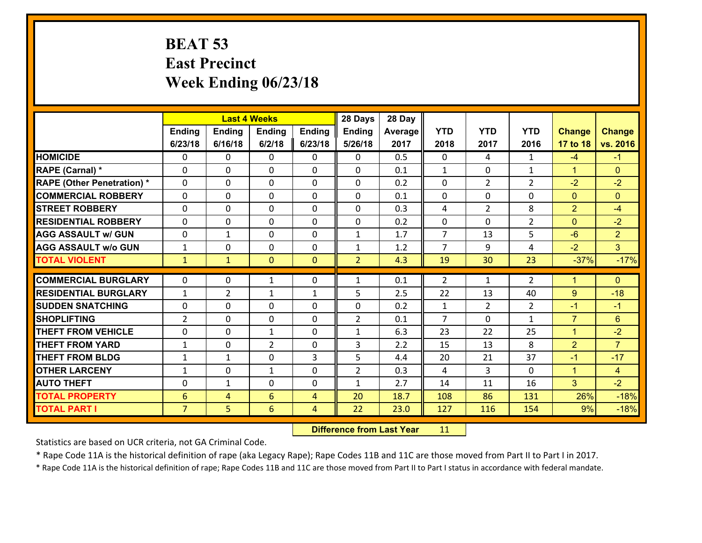### **BEAT 53 East Precinct Week Ending 06/23/18**

|                                              |                                   |                | <b>Last 4 Weeks</b> |                     | 28 Days        | 28 Day       |                |                |                |                |                  |
|----------------------------------------------|-----------------------------------|----------------|---------------------|---------------------|----------------|--------------|----------------|----------------|----------------|----------------|------------------|
|                                              | Ending                            | <b>Ending</b>  | <b>Ending</b>       | <b>Ending</b>       | <b>Ending</b>  | Average      | <b>YTD</b>     | <b>YTD</b>     | <b>YTD</b>     | <b>Change</b>  | <b>Change</b>    |
|                                              | 6/23/18                           | 6/16/18        | 6/2/18              | 6/23/18             | 5/26/18        | 2017         | 2018           | 2017           | 2016           | 17 to 18       | vs. 2016         |
| <b>HOMICIDE</b>                              | $\Omega$                          | 0              | 0                   | 0                   | 0              | 0.5          | $\mathbf 0$    | 4              | $\mathbf{1}$   | $-4$           | $-1$             |
| RAPE (Carnal) *                              | 0                                 | 0              | $\mathbf{0}$        | 0                   | $\Omega$       | 0.1          | 1              | $\mathbf{0}$   | $\mathbf{1}$   | $\mathbf{1}$   | $\mathbf{0}$     |
| <b>RAPE (Other Penetration) *</b>            | $\Omega$                          | $\Omega$       | $\Omega$            | $\Omega$            | $\Omega$       | 0.2          | $\Omega$       | $\overline{2}$ | $\overline{2}$ | $-2$           | $-2$             |
| <b>COMMERCIAL ROBBERY</b>                    | $\Omega$                          | $\Omega$       | $\mathbf 0$         | $\Omega$            | 0              | 0.1          | $\mathbf 0$    | $\Omega$       | $\Omega$       | $\mathbf{0}$   | $\mathbf{0}$     |
| <b>STREET ROBBERY</b>                        | 0                                 | 0              | $\mathbf 0$         | 0                   | 0              | 0.3          | 4              | $\overline{2}$ | 8              | $\overline{2}$ | $-4$             |
| <b>RESIDENTIAL ROBBERY</b>                   | $\Omega$                          | 0              | $\mathbf 0$         | 0                   | 0              | 0.2          | $\mathbf 0$    | $\mathbf{0}$   | $\overline{2}$ | $\mathbf{0}$   | $-2$             |
| <b>AGG ASSAULT w/ GUN</b>                    | 0                                 | $\mathbf{1}$   | $\mathbf 0$         | 0                   | $\mathbf{1}$   | 1.7          | $\overline{7}$ | 13             | 5              | $-6$           | $\overline{2}$   |
| <b>AGG ASSAULT w/o GUN</b>                   | $\mathbf{1}$                      | 0              | $\mathbf 0$         | 0                   | $\mathbf{1}$   | 1.2          | $\overline{7}$ | 9              | 4              | $-2$           | 3 <sup>1</sup>   |
| <b>TOTAL VIOLENT</b>                         | $\mathbf{1}$                      | $\mathbf{1}$   | $\mathbf{0}$        | $\overline{0}$      | $\overline{2}$ | 4.3          | 19             | 30             | 23             | $-37%$         | $-17%$           |
| <b>COMMERCIAL BURGLARY</b>                   | $\Omega$                          | 0              | 1                   | 0                   | 1              | 0.1          | 2              | $\mathbf{1}$   | $\overline{2}$ | $\mathbf{1}$   | $\mathbf{0}$     |
|                                              |                                   |                |                     |                     |                |              |                |                |                |                |                  |
|                                              |                                   |                |                     |                     |                |              |                |                |                |                |                  |
| <b>RESIDENTIAL BURGLARY</b>                  | $\mathbf{1}$                      | $\overline{2}$ | 1                   | $\mathbf{1}$        | 5              | 2.5          | 22             | 13             | 40             | 9              | $-18$            |
| <b>SUDDEN SNATCHING</b>                      | $\Omega$                          | 0              | $\mathbf 0$         | $\Omega$            | $\Omega$       | 0.2          | $\mathbf{1}$   | $\overline{2}$ | $\overline{2}$ | $-1$           | $-1$             |
| <b>SHOPLIFTING</b>                           | $\overline{2}$                    | 0              | $\mathbf 0$         | $\Omega$            | $\overline{2}$ | 0.1          | $\overline{7}$ | $\Omega$       | $\mathbf{1}$   | $\overline{7}$ | 6                |
| <b>THEFT FROM VEHICLE</b>                    | $\mathbf{0}$                      | 0              | 1                   | 0                   | $\mathbf{1}$   | 6.3          | 23             | 22             | 25             | $\mathbf{1}$   | $-2$             |
| <b>THEFT FROM YARD</b>                       | $\mathbf{1}$                      | 0              | $\overline{2}$      | 0                   | 3              | 2.2          | 15             | 13             | 8              | $\overline{2}$ | $\overline{7}$   |
| <b>THEFT FROM BLDG</b>                       | $\mathbf{1}$                      | $\mathbf{1}$   | $\mathbf 0$         | 3                   | 5              | 4.4          | 20             | 21             | 37             | $-1$           | $-17$            |
| <b>OTHER LARCENY</b>                         | $\mathbf{1}$                      | 0              | $\mathbf{1}$        | 0                   | $\overline{2}$ | 0.3          | $\overline{4}$ | 3              | 0              | $\mathbf{1}$   | $\overline{4}$   |
| <b>AUTO THEFT</b>                            | 0                                 | 1              | 0                   | 0                   | $\mathbf{1}$   | 2.7          | 14             | 11             | 16             | 3              | $-2$             |
| <b>TOTAL PROPERTY</b><br><b>TOTAL PART I</b> | $6\phantom{1}6$<br>$\overline{7}$ | 4<br>5         | 6<br>6              | 4<br>$\overline{4}$ | 20<br>22       | 18.7<br>23.0 | 108<br>127     | 86<br>116      | 131<br>154     | 26%<br>9%      | $-18%$<br>$-18%$ |

 **Difference from Last Year**r 11

Statistics are based on UCR criteria, not GA Criminal Code.

\* Rape Code 11A is the historical definition of rape (aka Legacy Rape); Rape Codes 11B and 11C are those moved from Part II to Part I in 2017.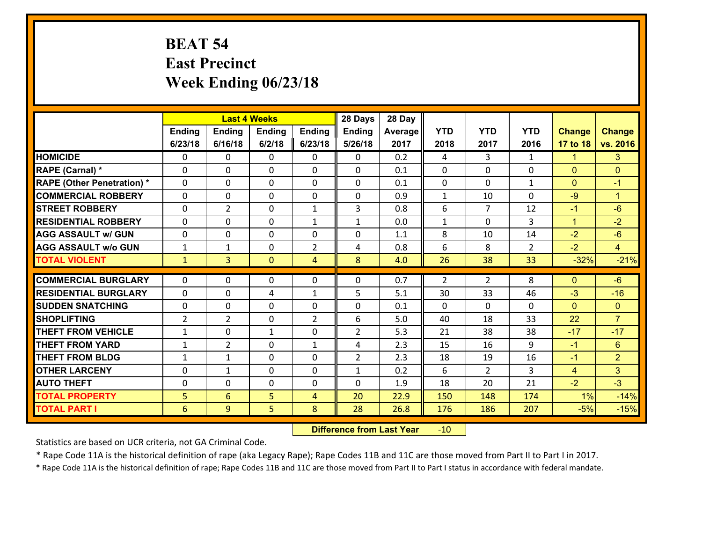## **BEAT 54 East Precinct Week Ending 06/23/18**

|                                              |                |                | <b>Last 4 Weeks</b> |                | 28 Days        | 28 Day       |              |                |                |               |                      |
|----------------------------------------------|----------------|----------------|---------------------|----------------|----------------|--------------|--------------|----------------|----------------|---------------|----------------------|
|                                              | Ending         | <b>Ending</b>  | <b>Ending</b>       | <b>Ending</b>  | <b>Ending</b>  | Average      | <b>YTD</b>   | <b>YTD</b>     | <b>YTD</b>     | <b>Change</b> | <b>Change</b>        |
|                                              | 6/23/18        | 6/16/18        | 6/2/18              | 6/23/18        | 5/26/18        | 2017         | 2018         | 2017           | 2016           | 17 to 18      | vs. 2016             |
| <b>HOMICIDE</b>                              | $\Omega$       | 0              | 0                   | 0              | 0              | 0.2          | 4            | 3              | $\mathbf{1}$   | 1             | 3 <sup>2</sup>       |
| RAPE (Carnal) *                              | 0              | 0              | $\mathbf{0}$        | 0              | 0              | 0.1          | $\mathbf{0}$ | 0              | 0              | $\mathbf{0}$  | $\mathbf{0}$         |
| <b>RAPE (Other Penetration) *</b>            | $\Omega$       | 0              | $\mathbf{0}$        | $\Omega$       | 0              | 0.1          | 0            | $\Omega$       | $\mathbf{1}$   | $\mathbf{0}$  | $-1$                 |
| <b>COMMERCIAL ROBBERY</b>                    | 0              | 0              | 0                   | 0              | 0              | 0.9          | $\mathbf{1}$ | 10             | $\Omega$       | $-9$          | $\blacktriangleleft$ |
| <b>STREET ROBBERY</b>                        | $\Omega$       | $\overline{2}$ | $\mathbf{0}$        | $\mathbf{1}$   | 3              | 0.8          | 6            | $\overline{7}$ | 12             | $-1$          | $-6$                 |
| <b>RESIDENTIAL ROBBERY</b>                   | $\Omega$       | $\Omega$       | $\mathbf 0$         | $\mathbf{1}$   | $\mathbf{1}$   | 0.0          | $\mathbf{1}$ | $\Omega$       | 3              | $\mathbf{1}$  | $-2$                 |
| <b>AGG ASSAULT w/ GUN</b>                    | $\Omega$       | 0              | $\mathbf 0$         | 0              | 0              | 1.1          | 8            | 10             | 14             | $-2$          | $-6$                 |
| <b>AGG ASSAULT w/o GUN</b>                   | $\mathbf{1}$   | 1              | $\mathbf 0$         | $\overline{2}$ | 4              | 0.8          | 6            | 8              | $\overline{2}$ | $-2$          | $\overline{4}$       |
| <b>TOTAL VIOLENT</b>                         | $\mathbf{1}$   | $\overline{3}$ | $\mathbf{O}$        | $\overline{4}$ | 8              | 4.0          | 26           | 38             | 33             | $-32%$        | $-21%$               |
| <b>COMMERCIAL BURGLARY</b>                   | $\Omega$       | 0              | $\mathbf{0}$        | 0              | 0              | 0.7          | 2            | $\overline{2}$ | 8              | $\mathbf{0}$  | $-6$                 |
| <b>RESIDENTIAL BURGLARY</b>                  | $\Omega$       | 0              | 4                   | $\mathbf{1}$   | 5              | 5.1          | 30           | 33             | 46             | $-3$          | $-16$                |
|                                              |                |                |                     |                |                |              |              |                |                |               |                      |
|                                              |                |                |                     |                |                |              |              |                |                |               |                      |
| <b>SUDDEN SNATCHING</b>                      | 0              | 0              | $\mathbf 0$         | $\Omega$       | 0              | 0.1          | $\Omega$     | $\Omega$       | $\Omega$       | $\mathbf{0}$  | $\mathbf{0}$         |
| <b>SHOPLIFTING</b>                           | $\overline{2}$ | $\overline{2}$ | $\mathbf 0$         | $\overline{2}$ | 6              | 5.0          | 40           | 18             | 33             | 22            | $\overline{7}$       |
| <b>THEFT FROM VEHICLE</b>                    | $\mathbf{1}$   | 0              | 1                   | $\Omega$       | $\overline{2}$ | 5.3          | 21           | 38             | 38             | $-17$         | $-17$                |
| <b>THEFT FROM YARD</b>                       | $\mathbf{1}$   | $\overline{2}$ | $\mathbf 0$         | $\mathbf{1}$   | 4              | 2.3          | 15           | 16             | 9              | $-1$          | 6                    |
| <b>THEFT FROM BLDG</b>                       | $\mathbf{1}$   | 1              | $\mathbf 0$         | 0              | $\overline{2}$ | 2.3          | 18           | 19             | 16             | $-1$          | $\overline{2}$       |
| <b>OTHER LARCENY</b>                         | $\mathbf 0$    | $\mathbf 1$    | $\mathbf 0$         | 0              | $\mathbf{1}$   | 0.2          | 6            | $\overline{2}$ | 3              | 4             | 3 <sup>1</sup>       |
| <b>AUTO THEFT</b>                            | 0              | 0              | 0                   | 0              | 0              | 1.9          | 18           | 20             | 21             | $-2$          | $-3$                 |
| <b>TOTAL PROPERTY</b><br><b>TOTAL PART I</b> | 5<br>6         | 6<br>9         | 5<br>5              | 4<br>8         | 20<br>28       | 22.9<br>26.8 | 150<br>176   | 148<br>186     | 174<br>207     | 1%<br>$-5%$   | $-14%$<br>$-15%$     |

 **Difference from Last Year**r -10

Statistics are based on UCR criteria, not GA Criminal Code.

\* Rape Code 11A is the historical definition of rape (aka Legacy Rape); Rape Codes 11B and 11C are those moved from Part II to Part I in 2017.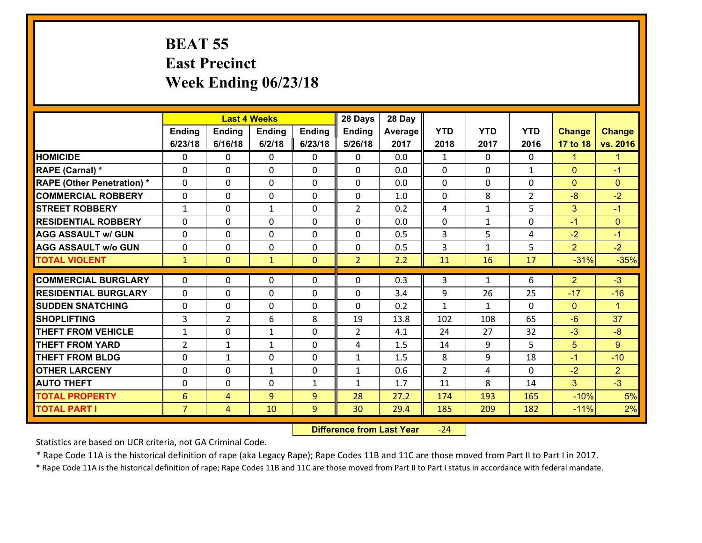#### **BEAT 55 East Precinct Week Ending 06/23/18**

|                                   |                 |                | <b>Last 4 Weeks</b> |              | 28 Days        | 28 Day  |                |              |                |                |                |
|-----------------------------------|-----------------|----------------|---------------------|--------------|----------------|---------|----------------|--------------|----------------|----------------|----------------|
|                                   | Ending          | Ending         | <b>Ending</b>       | Ending       | <b>Ending</b>  | Average | <b>YTD</b>     | <b>YTD</b>   | <b>YTD</b>     | <b>Change</b>  | <b>Change</b>  |
|                                   | 6/23/18         | 6/16/18        | 6/2/18              | 6/23/18      | 5/26/18        | 2017    | 2018           | 2017         | 2016           | 17 to 18       | vs. 2016       |
| <b>HOMICIDE</b>                   | $\Omega$        | 0              | $\Omega$            | 0            | $\Omega$       | 0.0     | 1              | $\Omega$     | 0              | $\mathbf{1}$   | -1             |
| RAPE (Carnal) *                   | $\Omega$        | 0              | $\mathbf{0}$        | $\Omega$     | $\Omega$       | 0.0     | $\Omega$       | $\Omega$     | $\mathbf{1}$   | $\Omega$       | $-1$           |
| <b>RAPE (Other Penetration) *</b> | 0               | 0              | $\mathbf 0$         | 0            | 0              | 0.0     | 0              | 0            | 0              | $\mathbf{0}$   | $\mathbf{0}$   |
| <b>COMMERCIAL ROBBERY</b>         | 0               | 0              | $\mathbf 0$         | 0            | 0              | 1.0     | $\mathbf 0$    | 8            | $\overline{2}$ | $-8$           | $-2$           |
| <b>STREET ROBBERY</b>             | $\mathbf{1}$    | 0              | $\mathbf{1}$        | 0            | $\overline{2}$ | 0.2     | 4              | $\mathbf{1}$ | 5              | 3              | $-1$           |
| <b>RESIDENTIAL ROBBERY</b>        | $\Omega$        | 0              | $\mathbf 0$         | 0            | 0              | 0.0     | $\mathbf 0$    | $\mathbf{1}$ | 0              | $-1$           | $\mathbf{0}$   |
| <b>AGG ASSAULT w/ GUN</b>         | 0               | 0              | $\mathbf 0$         | 0            | 0              | 0.5     | 3              | 5            | 4              | $-2$           | $-1$           |
| <b>AGG ASSAULT w/o GUN</b>        | 0               | 0              | $\mathbf 0$         | $\Omega$     | $\mathbf 0$    | 0.5     | 3              | $\mathbf{1}$ | 5              | $\overline{2}$ | $-2$           |
| <b>TOTAL VIOLENT</b>              | $\mathbf{1}$    | $\overline{0}$ | $\mathbf{1}$        | $\mathbf{0}$ | $\overline{2}$ | 2.2     | 11             | 16           | 17             | $-31%$         | $-35%$         |
|                                   | $\Omega$        |                |                     |              |                |         |                |              |                |                |                |
| <b>COMMERCIAL BURGLARY</b>        |                 | 0              | $\mathbf{0}$        | 0            | $\Omega$       | 0.3     | 3              | $\mathbf{1}$ | 6              | 2              | $-3$           |
| <b>RESIDENTIAL BURGLARY</b>       | 0               | 0              | 0                   | 0            | 0              | 3.4     | 9              | 26           | 25             | $-17$          | $-16$          |
| <b>SUDDEN SNATCHING</b>           | 0               | 0              | $\mathbf 0$         | 0            | 0              | 0.2     | $\mathbf{1}$   | $\mathbf{1}$ | $\Omega$       | $\mathbf{0}$   | $\mathbf{1}$   |
| <b>SHOPLIFTING</b>                | 3               | $\overline{2}$ | 6                   | 8            | 19             | 13.8    | 102            | 108          | 65             | $-6$           | 37             |
| <b>THEFT FROM VEHICLE</b>         | $\mathbf{1}$    | 0              | 1                   | 0            | $\overline{2}$ | 4.1     | 24             | 27           | 32             | $-3$           | $-8$           |
| <b>THEFT FROM YARD</b>            | $\overline{2}$  | 1              | $\mathbf{1}$        | 0            | 4              | 1.5     | 14             | 9            | 5              | 5              | 9              |
| <b>THEFT FROM BLDG</b>            | 0               | 1              | $\mathbf 0$         | $\mathbf{0}$ | $\mathbf{1}$   | 1.5     | 8              | 9            | 18             | $-1$           | $-10$          |
| <b>OTHER LARCENY</b>              | $\mathbf 0$     | 0              | $\mathbf{1}$        | 0            | $\mathbf{1}$   | 0.6     | $\overline{2}$ | 4            | 0              | $-2$           | $\overline{2}$ |
| <b>AUTO THEFT</b>                 | 0               | 0              | $\mathbf 0$         | $\mathbf{1}$ | $\mathbf{1}$   | 1.7     | 11             | 8            | 14             | 3              | $-3$           |
| <b>TOTAL PROPERTY</b>             | $6\phantom{1}6$ | 4              | 9                   | 9            | 28             | 27.2    | 174            | 193          | 165            | $-10%$         | 5%             |
| <b>TOTAL PART I</b>               | $\overline{7}$  | 4              | 10                  | 9            | 30             | 29.4    | 185            | 209          | 182            | $-11%$         | 2%             |

 **Difference from Last Year**‐24

Statistics are based on UCR criteria, not GA Criminal Code.

\* Rape Code 11A is the historical definition of rape (aka Legacy Rape); Rape Codes 11B and 11C are those moved from Part II to Part I in 2017.